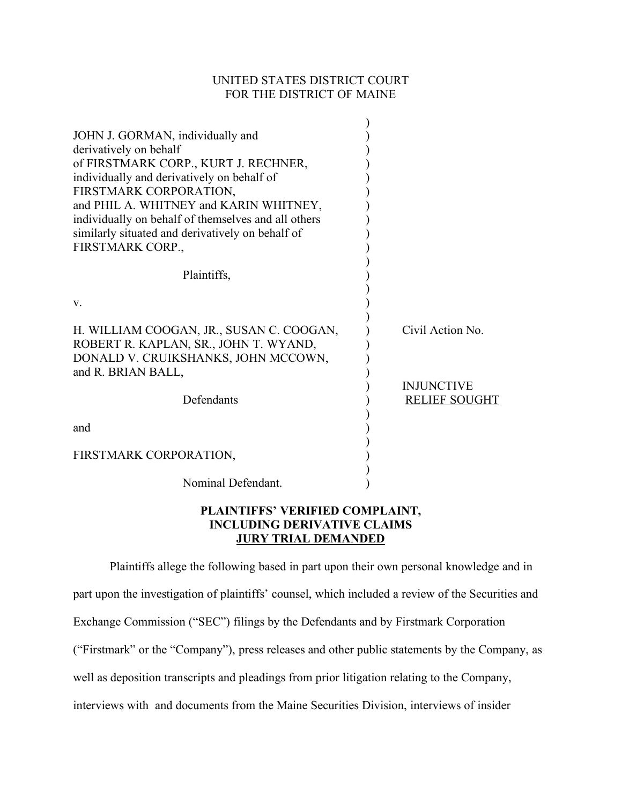# UNITED STATES DISTRICT COURT FOR THE DISTRICT OF MAINE

| JOHN J. GORMAN, individually and<br>derivatively on behalf<br>of FIRSTMARK CORP., KURT J. RECHNER,<br>individually and derivatively on behalf of<br>FIRSTMARK CORPORATION,<br>and PHIL A. WHITNEY and KARIN WHITNEY,<br>individually on behalf of themselves and all others<br>similarly situated and derivatively on behalf of<br>FIRSTMARK CORP., |                                           |
|-----------------------------------------------------------------------------------------------------------------------------------------------------------------------------------------------------------------------------------------------------------------------------------------------------------------------------------------------------|-------------------------------------------|
| Plaintiffs,                                                                                                                                                                                                                                                                                                                                         |                                           |
| V.                                                                                                                                                                                                                                                                                                                                                  |                                           |
| H. WILLIAM COOGAN, JR., SUSAN C. COOGAN,<br>ROBERT R. KAPLAN, SR., JOHN T. WYAND,<br>DONALD V. CRUIKSHANKS, JOHN MCCOWN,                                                                                                                                                                                                                            | Civil Action No.                          |
| and R. BRIAN BALL,<br>Defendants                                                                                                                                                                                                                                                                                                                    | <b>INJUNCTIVE</b><br><b>RELIEF SOUGHT</b> |
| and                                                                                                                                                                                                                                                                                                                                                 |                                           |
| FIRSTMARK CORPORATION,                                                                                                                                                                                                                                                                                                                              |                                           |
| Nominal Defendant.                                                                                                                                                                                                                                                                                                                                  |                                           |

# **PLAINTIFFS' VERIFIED COMPLAINT, INCLUDING DERIVATIVE CLAIMS JURY TRIAL DEMANDED**

Plaintiffs allege the following based in part upon their own personal knowledge and in part upon the investigation of plaintiffs' counsel, which included a review of the Securities and Exchange Commission ("SEC") filings by the Defendants and by Firstmark Corporation ("Firstmark" or the "Company"), press releases and other public statements by the Company, as well as deposition transcripts and pleadings from prior litigation relating to the Company, interviews with and documents from the Maine Securities Division, interviews of insider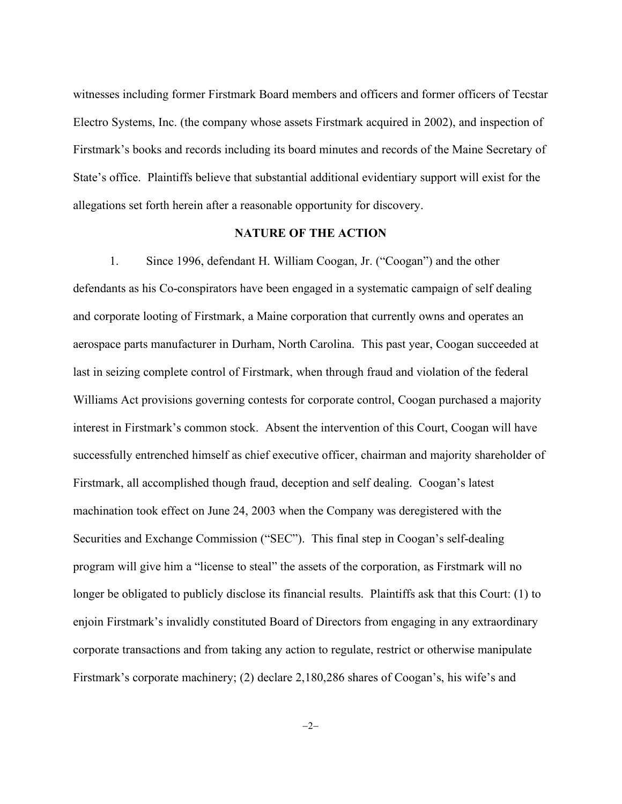witnesses including former Firstmark Board members and officers and former officers of Tecstar Electro Systems, Inc. (the company whose assets Firstmark acquired in 2002), and inspection of Firstmark's books and records including its board minutes and records of the Maine Secretary of State's office. Plaintiffs believe that substantial additional evidentiary support will exist for the allegations set forth herein after a reasonable opportunity for discovery.

## **NATURE OF THE ACTION**

1. Since 1996, defendant H. William Coogan, Jr. ("Coogan") and the other defendants as his Co-conspirators have been engaged in a systematic campaign of self dealing and corporate looting of Firstmark, a Maine corporation that currently owns and operates an aerospace parts manufacturer in Durham, North Carolina. This past year, Coogan succeeded at last in seizing complete control of Firstmark, when through fraud and violation of the federal Williams Act provisions governing contests for corporate control, Coogan purchased a majority interest in Firstmark's common stock. Absent the intervention of this Court, Coogan will have successfully entrenched himself as chief executive officer, chairman and majority shareholder of Firstmark, all accomplished though fraud, deception and self dealing. Coogan's latest machination took effect on June 24, 2003 when the Company was deregistered with the Securities and Exchange Commission ("SEC"). This final step in Coogan's self-dealing program will give him a "license to steal" the assets of the corporation, as Firstmark will no longer be obligated to publicly disclose its financial results. Plaintiffs ask that this Court: (1) to enjoin Firstmark's invalidly constituted Board of Directors from engaging in any extraordinary corporate transactions and from taking any action to regulate, restrict or otherwise manipulate Firstmark's corporate machinery; (2) declare 2,180,286 shares of Coogan's, his wife's and

 $-2-$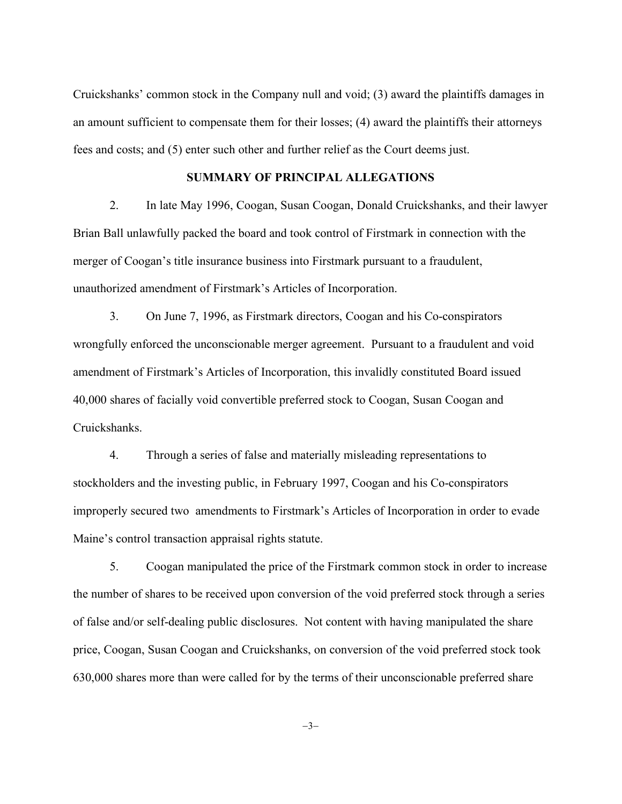Cruickshanks' common stock in the Company null and void; (3) award the plaintiffs damages in an amount sufficient to compensate them for their losses; (4) award the plaintiffs their attorneys fees and costs; and (5) enter such other and further relief as the Court deems just.

## **SUMMARY OF PRINCIPAL ALLEGATIONS**

2. In late May 1996, Coogan, Susan Coogan, Donald Cruickshanks, and their lawyer Brian Ball unlawfully packed the board and took control of Firstmark in connection with the merger of Coogan's title insurance business into Firstmark pursuant to a fraudulent, unauthorized amendment of Firstmark's Articles of Incorporation.

3. On June 7, 1996, as Firstmark directors, Coogan and his Co-conspirators wrongfully enforced the unconscionable merger agreement. Pursuant to a fraudulent and void amendment of Firstmark's Articles of Incorporation, this invalidly constituted Board issued 40,000 shares of facially void convertible preferred stock to Coogan, Susan Coogan and Cruickshanks.

4. Through a series of false and materially misleading representations to stockholders and the investing public, in February 1997, Coogan and his Co-conspirators improperly secured two amendments to Firstmark's Articles of Incorporation in order to evade Maine's control transaction appraisal rights statute.

5. Coogan manipulated the price of the Firstmark common stock in order to increase the number of shares to be received upon conversion of the void preferred stock through a series of false and/or self-dealing public disclosures. Not content with having manipulated the share price, Coogan, Susan Coogan and Cruickshanks, on conversion of the void preferred stock took 630,000 shares more than were called for by the terms of their unconscionable preferred share

 $-3-$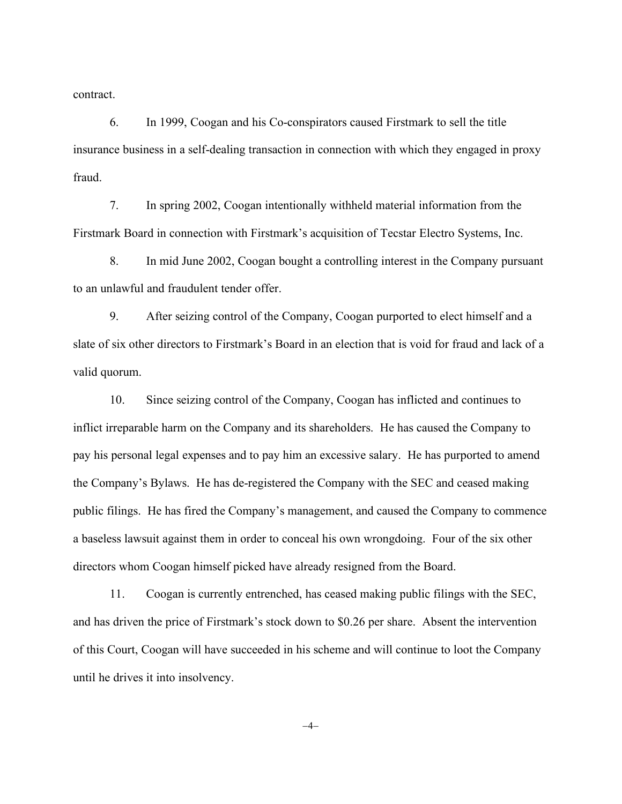contract.

6. In 1999, Coogan and his Co-conspirators caused Firstmark to sell the title insurance business in a self-dealing transaction in connection with which they engaged in proxy fraud.

7. In spring 2002, Coogan intentionally withheld material information from the Firstmark Board in connection with Firstmark's acquisition of Tecstar Electro Systems, Inc.

8. In mid June 2002, Coogan bought a controlling interest in the Company pursuant to an unlawful and fraudulent tender offer.

9. After seizing control of the Company, Coogan purported to elect himself and a slate of six other directors to Firstmark's Board in an election that is void for fraud and lack of a valid quorum.

10. Since seizing control of the Company, Coogan has inflicted and continues to inflict irreparable harm on the Company and its shareholders. He has caused the Company to pay his personal legal expenses and to pay him an excessive salary. He has purported to amend the Company's Bylaws. He has de-registered the Company with the SEC and ceased making public filings. He has fired the Company's management, and caused the Company to commence a baseless lawsuit against them in order to conceal his own wrongdoing. Four of the six other directors whom Coogan himself picked have already resigned from the Board.

11. Coogan is currently entrenched, has ceased making public filings with the SEC, and has driven the price of Firstmark's stock down to \$0.26 per share. Absent the intervention of this Court, Coogan will have succeeded in his scheme and will continue to loot the Company until he drives it into insolvency.

 $-4-$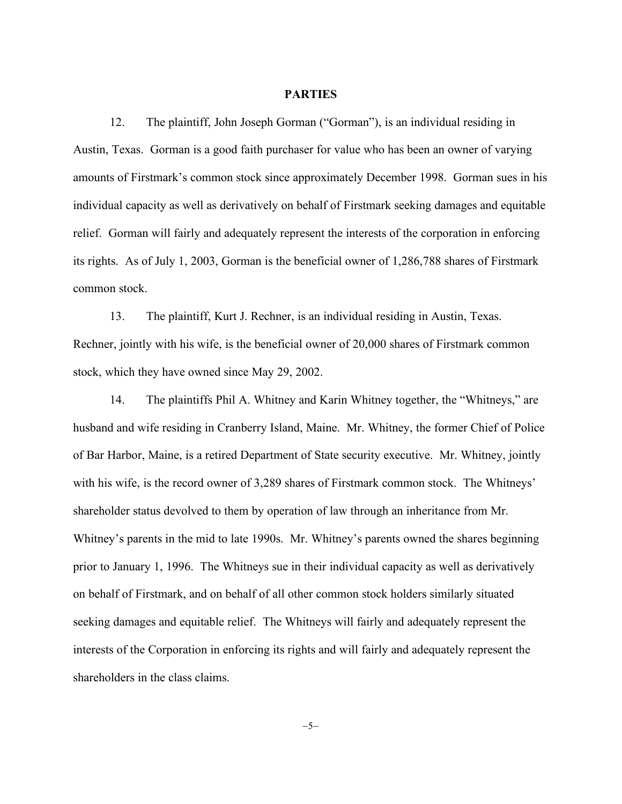## **PARTIES**

12. The plaintiff, John Joseph Gorman ("Gorman"), is an individual residing in Austin, Texas. Gorman is a good faith purchaser for value who has been an owner of varying amounts of Firstmark's common stock since approximately December 1998. Gorman sues in his individual capacity as well as derivatively on behalf of Firstmark seeking damages and equitable relief. Gorman will fairly and adequately represent the interests of the corporation in enforcing its rights. As of July 1, 2003, Gorman is the beneficial owner of 1,286,788 shares of Firstmark common stock.

13. The plaintiff, Kurt J. Rechner, is an individual residing in Austin, Texas. Rechner, jointly with his wife, is the beneficial owner of 20,000 shares of Firstmark common stock, which they have owned since May 29, 2002.

14. The plaintiffs Phil A. Whitney and Karin Whitney together, the "Whitneys," are husband and wife residing in Cranberry Island, Maine. Mr. Whitney, the former Chief of Police of Bar Harbor, Maine, is a retired Department of State security executive. Mr. Whitney, jointly with his wife, is the record owner of 3,289 shares of Firstmark common stock. The Whitneys' shareholder status devolved to them by operation of law through an inheritance from Mr. Whitney's parents in the mid to late 1990s. Mr. Whitney's parents owned the shares beginning prior to January 1, 1996. The Whitneys sue in their individual capacity as well as derivatively on behalf of Firstmark, and on behalf of all other common stock holders similarly situated seeking damages and equitable relief. The Whitneys will fairly and adequately represent the interests of the Corporation in enforcing its rights and will fairly and adequately represent the shareholders in the class claims.

 $-5-$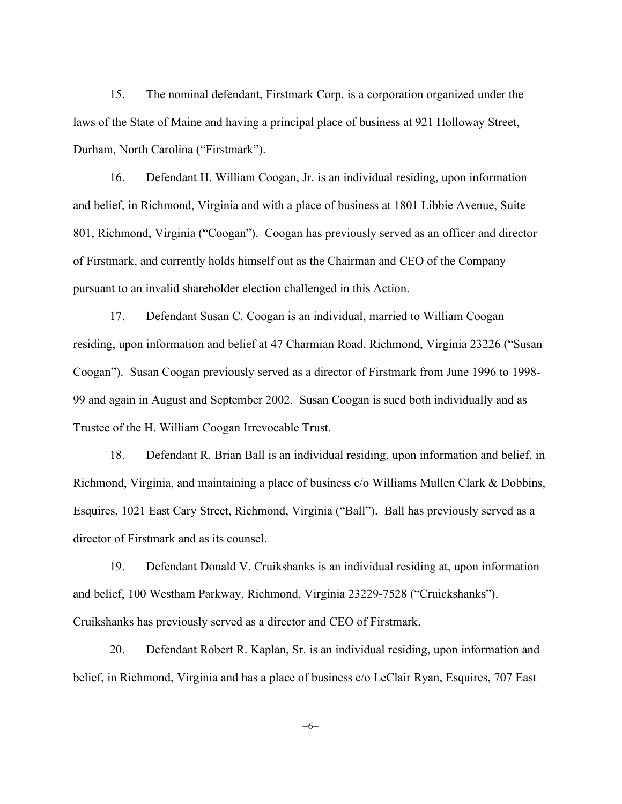15. The nominal defendant, Firstmark Corp. is a corporation organized under the laws of the State of Maine and having a principal place of business at 921 Holloway Street, Durham, North Carolina ("Firstmark").

16. Defendant H. William Coogan, Jr. is an individual residing, upon information and belief, in Richmond, Virginia and with a place of business at 1801 Libbie Avenue, Suite 801, Richmond, Virginia ("Coogan"). Coogan has previously served as an officer and director of Firstmark, and currently holds himself out as the Chairman and CEO of the Company pursuant to an invalid shareholder election challenged in this Action.

17. Defendant Susan C. Coogan is an individual, married to William Coogan residing, upon information and belief at 47 Charmian Road, Richmond, Virginia 23226 ("Susan Coogan"). Susan Coogan previously served as a director of Firstmark from June 1996 to 1998- 99 and again in August and September 2002. Susan Coogan is sued both individually and as Trustee of the H. William Coogan Irrevocable Trust.

18. Defendant R. Brian Ball is an individual residing, upon information and belief, in Richmond, Virginia, and maintaining a place of business c/o Williams Mullen Clark & Dobbins, Esquires, 1021 East Cary Street, Richmond, Virginia ("Ball"). Ball has previously served as a director of Firstmark and as its counsel.

19. Defendant Donald V. Cruikshanks is an individual residing at, upon information and belief, 100 Westham Parkway, Richmond, Virginia 23229-7528 ("Cruickshanks"). Cruikshanks has previously served as a director and CEO of Firstmark.

20. Defendant Robert R. Kaplan, Sr. is an individual residing, upon information and belief, in Richmond, Virginia and has a place of business c/o LeClair Ryan, Esquires, 707 East

-6-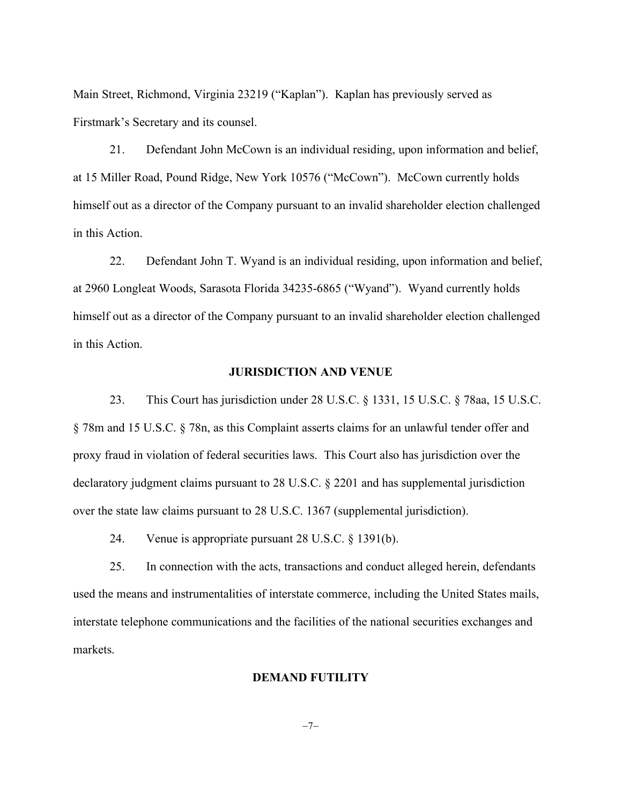Main Street, Richmond, Virginia 23219 ("Kaplan"). Kaplan has previously served as Firstmark's Secretary and its counsel.

21. Defendant John McCown is an individual residing, upon information and belief, at 15 Miller Road, Pound Ridge, New York 10576 ("McCown"). McCown currently holds himself out as a director of the Company pursuant to an invalid shareholder election challenged in this Action.

22. Defendant John T. Wyand is an individual residing, upon information and belief, at 2960 Longleat Woods, Sarasota Florida 34235-6865 ("Wyand"). Wyand currently holds himself out as a director of the Company pursuant to an invalid shareholder election challenged in this Action.

## **JURISDICTION AND VENUE**

23. This Court has jurisdiction under 28 U.S.C. § 1331, 15 U.S.C. § 78aa, 15 U.S.C. § 78m and 15 U.S.C. § 78n, as this Complaint asserts claims for an unlawful tender offer and proxy fraud in violation of federal securities laws. This Court also has jurisdiction over the declaratory judgment claims pursuant to 28 U.S.C. § 2201 and has supplemental jurisdiction over the state law claims pursuant to 28 U.S.C. 1367 (supplemental jurisdiction).

24. Venue is appropriate pursuant 28 U.S.C. § 1391(b).

25. In connection with the acts, transactions and conduct alleged herein, defendants used the means and instrumentalities of interstate commerce, including the United States mails, interstate telephone communications and the facilities of the national securities exchanges and markets.

# **DEMAND FUTILITY**

 $-7-$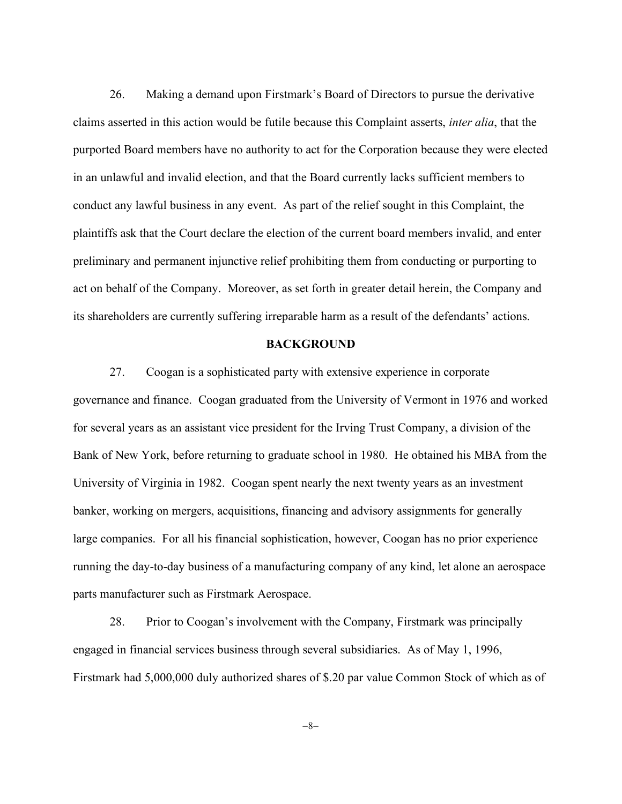26. Making a demand upon Firstmark's Board of Directors to pursue the derivative claims asserted in this action would be futile because this Complaint asserts, *inter alia*, that the purported Board members have no authority to act for the Corporation because they were elected in an unlawful and invalid election, and that the Board currently lacks sufficient members to conduct any lawful business in any event. As part of the relief sought in this Complaint, the plaintiffs ask that the Court declare the election of the current board members invalid, and enter preliminary and permanent injunctive relief prohibiting them from conducting or purporting to act on behalf of the Company. Moreover, as set forth in greater detail herein, the Company and its shareholders are currently suffering irreparable harm as a result of the defendants' actions.

## **BACKGROUND**

27. Coogan is a sophisticated party with extensive experience in corporate governance and finance. Coogan graduated from the University of Vermont in 1976 and worked for several years as an assistant vice president for the Irving Trust Company, a division of the Bank of New York, before returning to graduate school in 1980. He obtained his MBA from the University of Virginia in 1982. Coogan spent nearly the next twenty years as an investment banker, working on mergers, acquisitions, financing and advisory assignments for generally large companies. For all his financial sophistication, however, Coogan has no prior experience running the day-to-day business of a manufacturing company of any kind, let alone an aerospace parts manufacturer such as Firstmark Aerospace.

28. Prior to Coogan's involvement with the Company, Firstmark was principally engaged in financial services business through several subsidiaries. As of May 1, 1996, Firstmark had 5,000,000 duly authorized shares of \$.20 par value Common Stock of which as of

-8-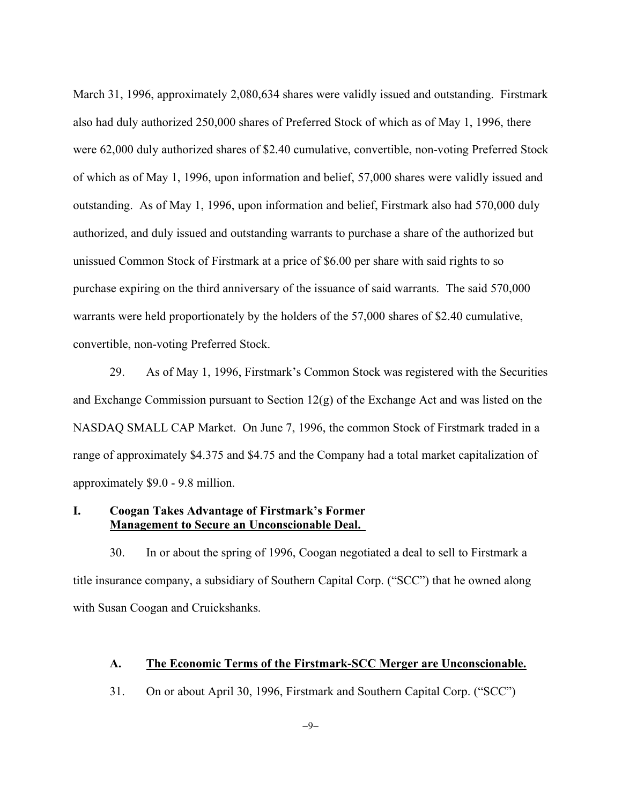March 31, 1996, approximately 2,080,634 shares were validly issued and outstanding. Firstmark also had duly authorized 250,000 shares of Preferred Stock of which as of May 1, 1996, there were 62,000 duly authorized shares of \$2.40 cumulative, convertible, non-voting Preferred Stock of which as of May 1, 1996, upon information and belief, 57,000 shares were validly issued and outstanding. As of May 1, 1996, upon information and belief, Firstmark also had 570,000 duly authorized, and duly issued and outstanding warrants to purchase a share of the authorized but unissued Common Stock of Firstmark at a price of \$6.00 per share with said rights to so purchase expiring on the third anniversary of the issuance of said warrants. The said 570,000 warrants were held proportionately by the holders of the 57,000 shares of \$2.40 cumulative, convertible, non-voting Preferred Stock.

29. As of May 1, 1996, Firstmark's Common Stock was registered with the Securities and Exchange Commission pursuant to Section 12(g) of the Exchange Act and was listed on the NASDAQ SMALL CAP Market. On June 7, 1996, the common Stock of Firstmark traded in a range of approximately \$4.375 and \$4.75 and the Company had a total market capitalization of approximately \$9.0 - 9.8 million.

# **I. Coogan Takes Advantage of Firstmark's Former Management to Secure an Unconscionable Deal.**

30. In or about the spring of 1996, Coogan negotiated a deal to sell to Firstmark a title insurance company, a subsidiary of Southern Capital Corp. ("SCC") that he owned along with Susan Coogan and Cruickshanks.

## **A. The Economic Terms of the Firstmark-SCC Merger are Unconscionable.**

31. On or about April 30, 1996, Firstmark and Southern Capital Corp. ("SCC")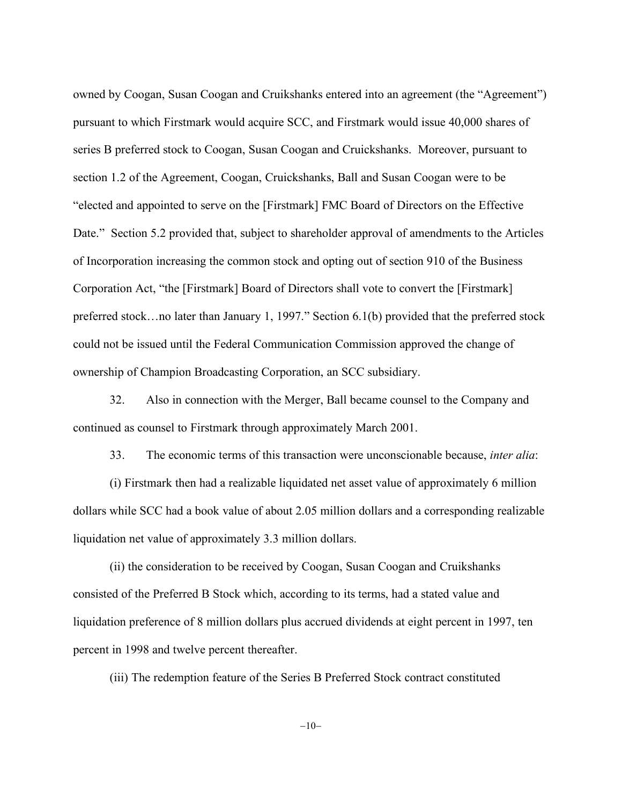owned by Coogan, Susan Coogan and Cruikshanks entered into an agreement (the "Agreement") pursuant to which Firstmark would acquire SCC, and Firstmark would issue 40,000 shares of series B preferred stock to Coogan, Susan Coogan and Cruickshanks. Moreover, pursuant to section 1.2 of the Agreement, Coogan, Cruickshanks, Ball and Susan Coogan were to be "elected and appointed to serve on the [Firstmark] FMC Board of Directors on the Effective Date." Section 5.2 provided that, subject to shareholder approval of amendments to the Articles of Incorporation increasing the common stock and opting out of section 910 of the Business Corporation Act, "the [Firstmark] Board of Directors shall vote to convert the [Firstmark] preferred stock…no later than January 1, 1997." Section 6.1(b) provided that the preferred stock could not be issued until the Federal Communication Commission approved the change of ownership of Champion Broadcasting Corporation, an SCC subsidiary.

32. Also in connection with the Merger, Ball became counsel to the Company and continued as counsel to Firstmark through approximately March 2001.

33. The economic terms of this transaction were unconscionable because, *inter alia*:

(i) Firstmark then had a realizable liquidated net asset value of approximately 6 million dollars while SCC had a book value of about 2.05 million dollars and a corresponding realizable liquidation net value of approximately 3.3 million dollars.

(ii) the consideration to be received by Coogan, Susan Coogan and Cruikshanks consisted of the Preferred B Stock which, according to its terms, had a stated value and liquidation preference of 8 million dollars plus accrued dividends at eight percent in 1997, ten percent in 1998 and twelve percent thereafter.

(iii) The redemption feature of the Series B Preferred Stock contract constituted

 $-10-$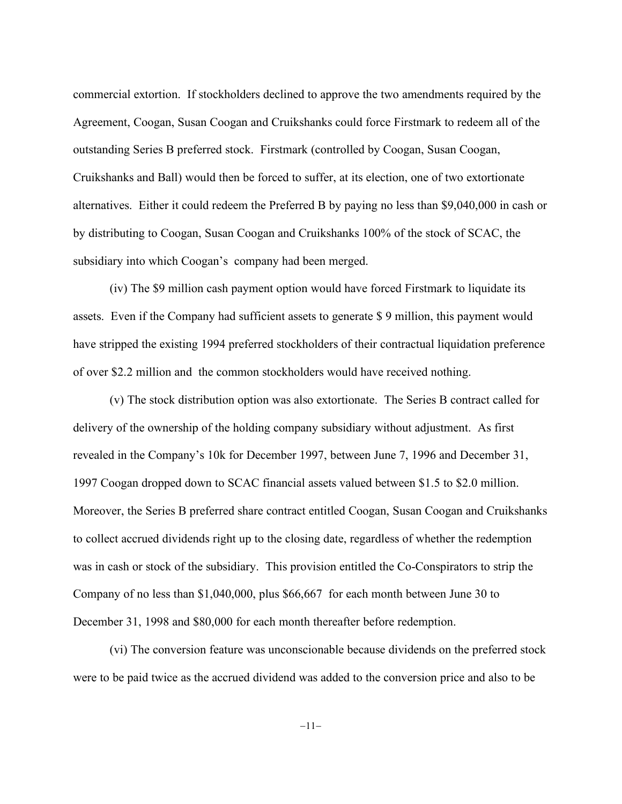commercial extortion. If stockholders declined to approve the two amendments required by the Agreement, Coogan, Susan Coogan and Cruikshanks could force Firstmark to redeem all of the outstanding Series B preferred stock. Firstmark (controlled by Coogan, Susan Coogan, Cruikshanks and Ball) would then be forced to suffer, at its election, one of two extortionate alternatives. Either it could redeem the Preferred B by paying no less than \$9,040,000 in cash or by distributing to Coogan, Susan Coogan and Cruikshanks 100% of the stock of SCAC, the subsidiary into which Coogan's company had been merged.

(iv) The \$9 million cash payment option would have forced Firstmark to liquidate its assets. Even if the Company had sufficient assets to generate \$ 9 million, this payment would have stripped the existing 1994 preferred stockholders of their contractual liquidation preference of over \$2.2 million and the common stockholders would have received nothing.

(v) The stock distribution option was also extortionate. The Series B contract called for delivery of the ownership of the holding company subsidiary without adjustment. As first revealed in the Company's 10k for December 1997, between June 7, 1996 and December 31, 1997 Coogan dropped down to SCAC financial assets valued between \$1.5 to \$2.0 million. Moreover, the Series B preferred share contract entitled Coogan, Susan Coogan and Cruikshanks to collect accrued dividends right up to the closing date, regardless of whether the redemption was in cash or stock of the subsidiary. This provision entitled the Co-Conspirators to strip the Company of no less than \$1,040,000, plus \$66,667 for each month between June 30 to December 31, 1998 and \$80,000 for each month thereafter before redemption.

(vi) The conversion feature was unconscionable because dividends on the preferred stock were to be paid twice as the accrued dividend was added to the conversion price and also to be

 $-11-$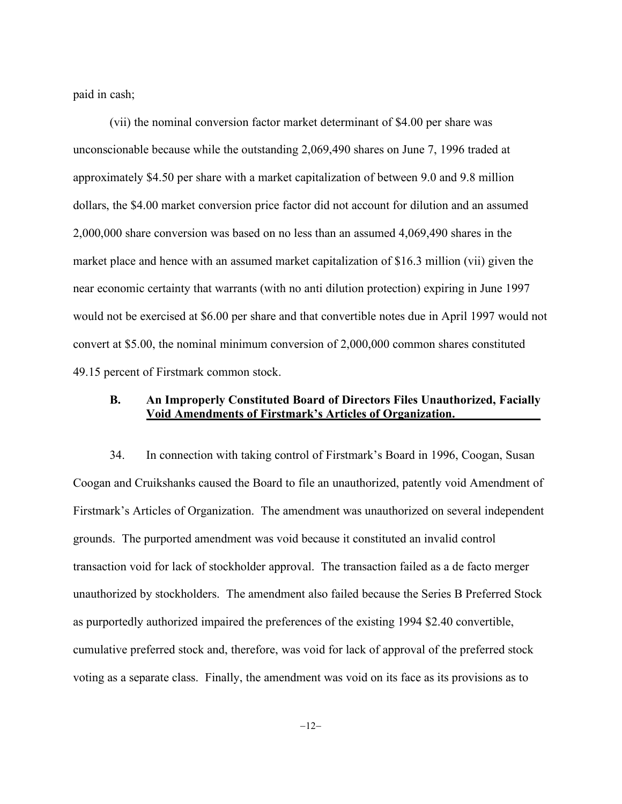paid in cash;

(vii) the nominal conversion factor market determinant of \$4.00 per share was unconscionable because while the outstanding 2,069,490 shares on June 7, 1996 traded at approximately \$4.50 per share with a market capitalization of between 9.0 and 9.8 million dollars, the \$4.00 market conversion price factor did not account for dilution and an assumed 2,000,000 share conversion was based on no less than an assumed 4,069,490 shares in the market place and hence with an assumed market capitalization of \$16.3 million (vii) given the near economic certainty that warrants (with no anti dilution protection) expiring in June 1997 would not be exercised at \$6.00 per share and that convertible notes due in April 1997 would not convert at \$5.00, the nominal minimum conversion of 2,000,000 common shares constituted 49.15 percent of Firstmark common stock.

# **B. An Improperly Constituted Board of Directors Files Unauthorized, Facially Void Amendments of Firstmark's Articles of Organization.\_\_\_\_\_\_\_\_\_\_\_\_\_\_**

34. In connection with taking control of Firstmark's Board in 1996, Coogan, Susan Coogan and Cruikshanks caused the Board to file an unauthorized, patently void Amendment of Firstmark's Articles of Organization. The amendment was unauthorized on several independent grounds. The purported amendment was void because it constituted an invalid control transaction void for lack of stockholder approval. The transaction failed as a de facto merger unauthorized by stockholders. The amendment also failed because the Series B Preferred Stock as purportedly authorized impaired the preferences of the existing 1994 \$2.40 convertible, cumulative preferred stock and, therefore, was void for lack of approval of the preferred stock voting as a separate class. Finally, the amendment was void on its face as its provisions as to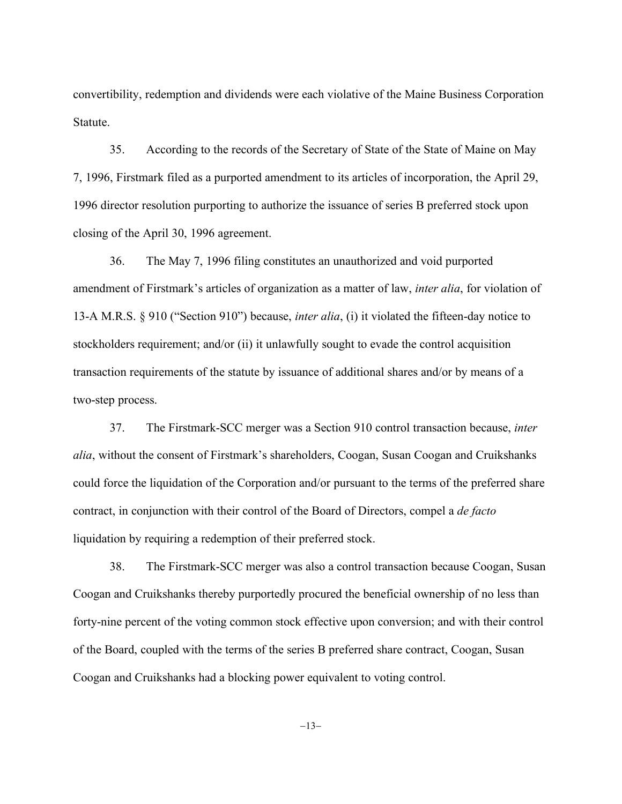convertibility, redemption and dividends were each violative of the Maine Business Corporation Statute.

35. According to the records of the Secretary of State of the State of Maine on May 7, 1996, Firstmark filed as a purported amendment to its articles of incorporation, the April 29, 1996 director resolution purporting to authorize the issuance of series B preferred stock upon closing of the April 30, 1996 agreement.

36. The May 7, 1996 filing constitutes an unauthorized and void purported amendment of Firstmark's articles of organization as a matter of law, *inter alia*, for violation of 13-A M.R.S. § 910 ("Section 910") because, *inter alia*, (i) it violated the fifteen-day notice to stockholders requirement; and/or (ii) it unlawfully sought to evade the control acquisition transaction requirements of the statute by issuance of additional shares and/or by means of a two-step process.

37. The Firstmark-SCC merger was a Section 910 control transaction because, *inter alia*, without the consent of Firstmark's shareholders, Coogan, Susan Coogan and Cruikshanks could force the liquidation of the Corporation and/or pursuant to the terms of the preferred share contract, in conjunction with their control of the Board of Directors, compel a *de facto* liquidation by requiring a redemption of their preferred stock.

38. The Firstmark-SCC merger was also a control transaction because Coogan, Susan Coogan and Cruikshanks thereby purportedly procured the beneficial ownership of no less than forty-nine percent of the voting common stock effective upon conversion; and with their control of the Board, coupled with the terms of the series B preferred share contract, Coogan, Susan Coogan and Cruikshanks had a blocking power equivalent to voting control.

 $-13-$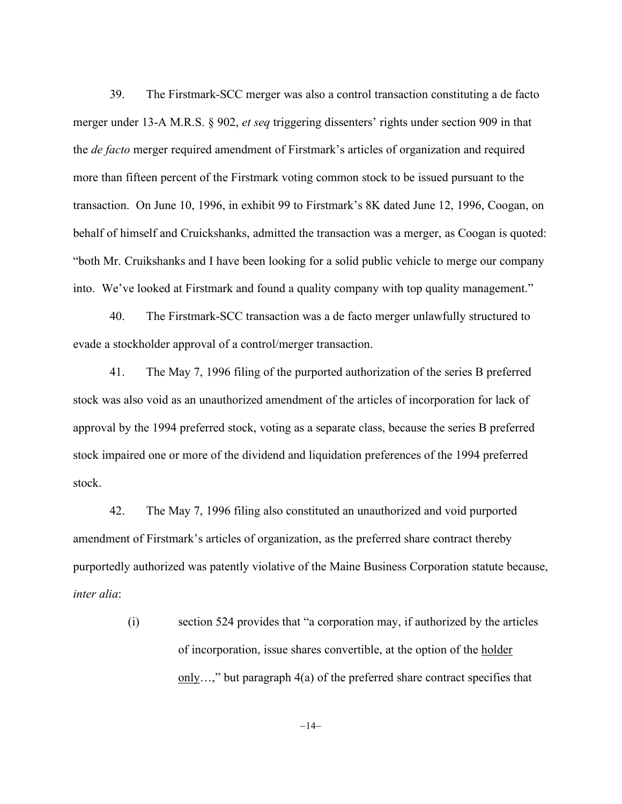39. The Firstmark-SCC merger was also a control transaction constituting a de facto merger under 13-A M.R.S. § 902, *et seq* triggering dissenters' rights under section 909 in that the *de facto* merger required amendment of Firstmark's articles of organization and required more than fifteen percent of the Firstmark voting common stock to be issued pursuant to the transaction. On June 10, 1996, in exhibit 99 to Firstmark's 8K dated June 12, 1996, Coogan, on behalf of himself and Cruickshanks, admitted the transaction was a merger, as Coogan is quoted: "both Mr. Cruikshanks and I have been looking for a solid public vehicle to merge our company into. We've looked at Firstmark and found a quality company with top quality management."

40. The Firstmark-SCC transaction was a de facto merger unlawfully structured to evade a stockholder approval of a control/merger transaction.

41. The May 7, 1996 filing of the purported authorization of the series B preferred stock was also void as an unauthorized amendment of the articles of incorporation for lack of approval by the 1994 preferred stock, voting as a separate class, because the series B preferred stock impaired one or more of the dividend and liquidation preferences of the 1994 preferred stock.

42. The May 7, 1996 filing also constituted an unauthorized and void purported amendment of Firstmark's articles of organization, as the preferred share contract thereby purportedly authorized was patently violative of the Maine Business Corporation statute because, *inter alia*:

> (i) section 524 provides that "a corporation may, if authorized by the articles of incorporation, issue shares convertible, at the option of the holder only…," but paragraph 4(a) of the preferred share contract specifies that

> > $-14-$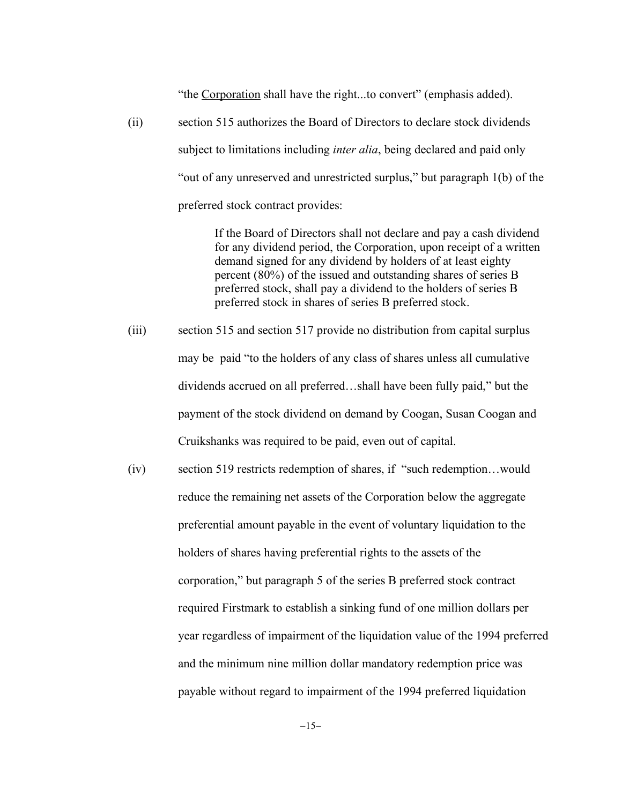"the Corporation shall have the right...to convert" (emphasis added).

(ii) section 515 authorizes the Board of Directors to declare stock dividends subject to limitations including *inter alia*, being declared and paid only "out of any unreserved and unrestricted surplus," but paragraph 1(b) of the preferred stock contract provides:

> If the Board of Directors shall not declare and pay a cash dividend for any dividend period, the Corporation, upon receipt of a written demand signed for any dividend by holders of at least eighty percent (80%) of the issued and outstanding shares of series B preferred stock, shall pay a dividend to the holders of series B preferred stock in shares of series B preferred stock.

- (iii) section 515 and section 517 provide no distribution from capital surplus may be paid "to the holders of any class of shares unless all cumulative dividends accrued on all preferred…shall have been fully paid," but the payment of the stock dividend on demand by Coogan, Susan Coogan and Cruikshanks was required to be paid, even out of capital.
- (iv) section 519 restricts redemption of shares, if "such redemption…would reduce the remaining net assets of the Corporation below the aggregate preferential amount payable in the event of voluntary liquidation to the holders of shares having preferential rights to the assets of the corporation," but paragraph 5 of the series B preferred stock contract required Firstmark to establish a sinking fund of one million dollars per year regardless of impairment of the liquidation value of the 1994 preferred and the minimum nine million dollar mandatory redemption price was payable without regard to impairment of the 1994 preferred liquidation

 $-15-$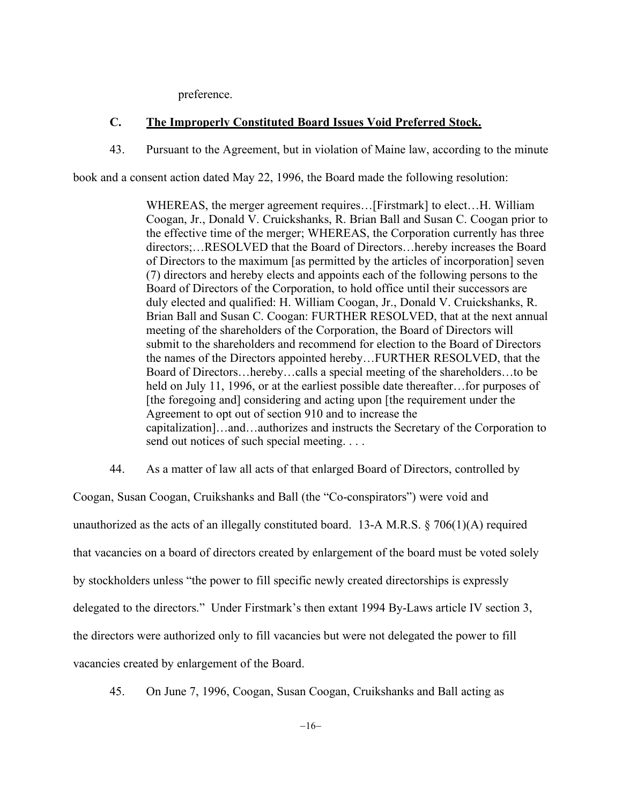preference.

# **C. The Improperly Constituted Board Issues Void Preferred Stock.**

43. Pursuant to the Agreement, but in violation of Maine law, according to the minute

book and a consent action dated May 22, 1996, the Board made the following resolution:

WHEREAS, the merger agreement requires…[Firstmark] to elect…H. William Coogan, Jr., Donald V. Cruickshanks, R. Brian Ball and Susan C. Coogan prior to the effective time of the merger; WHEREAS, the Corporation currently has three directors;…RESOLVED that the Board of Directors…hereby increases the Board of Directors to the maximum [as permitted by the articles of incorporation] seven (7) directors and hereby elects and appoints each of the following persons to the Board of Directors of the Corporation, to hold office until their successors are duly elected and qualified: H. William Coogan, Jr., Donald V. Cruickshanks, R. Brian Ball and Susan C. Coogan: FURTHER RESOLVED, that at the next annual meeting of the shareholders of the Corporation, the Board of Directors will submit to the shareholders and recommend for election to the Board of Directors the names of the Directors appointed hereby…FURTHER RESOLVED, that the Board of Directors…hereby…calls a special meeting of the shareholders…to be held on July 11, 1996, or at the earliest possible date thereafter... for purposes of [the foregoing and] considering and acting upon [the requirement under the Agreement to opt out of section 910 and to increase the capitalization]…and…authorizes and instructs the Secretary of the Corporation to send out notices of such special meeting. . . .

44. As a matter of law all acts of that enlarged Board of Directors, controlled by

Coogan, Susan Coogan, Cruikshanks and Ball (the "Co-conspirators") were void and unauthorized as the acts of an illegally constituted board. 13-A M.R.S.  $\S$  706(1)(A) required that vacancies on a board of directors created by enlargement of the board must be voted solely by stockholders unless "the power to fill specific newly created directorships is expressly delegated to the directors." Under Firstmark's then extant 1994 By-Laws article IV section 3, the directors were authorized only to fill vacancies but were not delegated the power to fill vacancies created by enlargement of the Board.

45. On June 7, 1996, Coogan, Susan Coogan, Cruikshanks and Ball acting as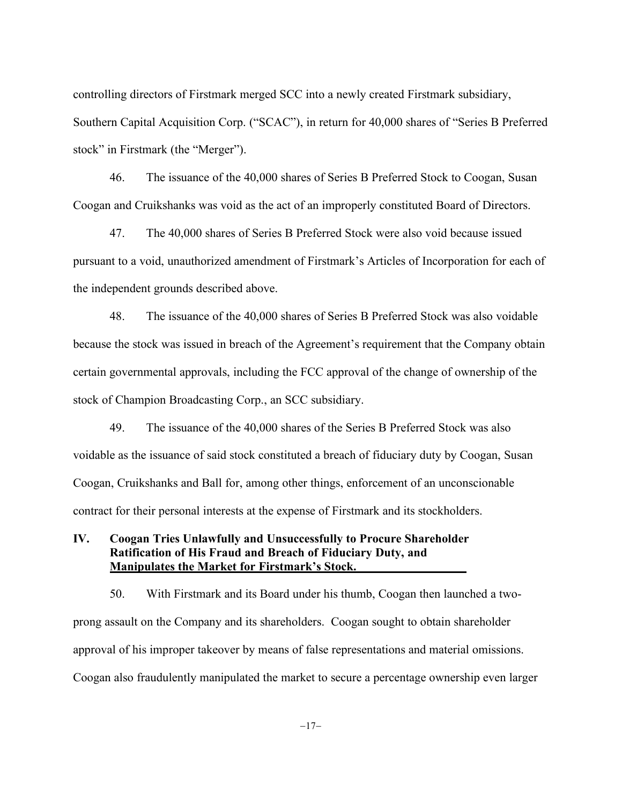controlling directors of Firstmark merged SCC into a newly created Firstmark subsidiary, Southern Capital Acquisition Corp. ("SCAC"), in return for 40,000 shares of "Series B Preferred stock" in Firstmark (the "Merger").

46. The issuance of the 40,000 shares of Series B Preferred Stock to Coogan, Susan Coogan and Cruikshanks was void as the act of an improperly constituted Board of Directors.

47. The 40,000 shares of Series B Preferred Stock were also void because issued pursuant to a void, unauthorized amendment of Firstmark's Articles of Incorporation for each of the independent grounds described above.

48. The issuance of the 40,000 shares of Series B Preferred Stock was also voidable because the stock was issued in breach of the Agreement's requirement that the Company obtain certain governmental approvals, including the FCC approval of the change of ownership of the stock of Champion Broadcasting Corp., an SCC subsidiary.

49. The issuance of the 40,000 shares of the Series B Preferred Stock was also voidable as the issuance of said stock constituted a breach of fiduciary duty by Coogan, Susan Coogan, Cruikshanks and Ball for, among other things, enforcement of an unconscionable contract for their personal interests at the expense of Firstmark and its stockholders.

# **IV. Coogan Tries Unlawfully and Unsuccessfully to Procure Shareholder Ratification of His Fraud and Breach of Fiduciary Duty, and Manipulates the Market for Firstmark's Stock.**

50. With Firstmark and its Board under his thumb, Coogan then launched a twoprong assault on the Company and its shareholders. Coogan sought to obtain shareholder approval of his improper takeover by means of false representations and material omissions. Coogan also fraudulently manipulated the market to secure a percentage ownership even larger

 $-17-$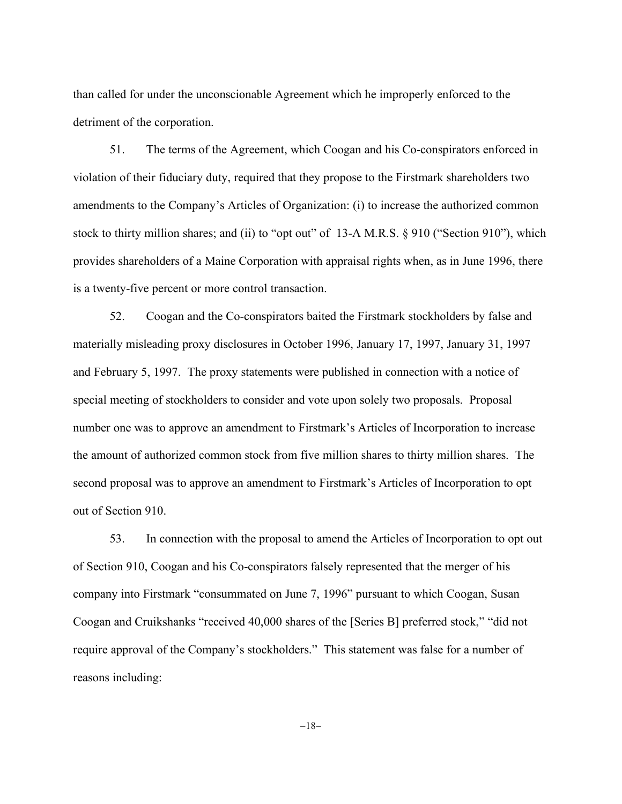than called for under the unconscionable Agreement which he improperly enforced to the detriment of the corporation.

51. The terms of the Agreement, which Coogan and his Co-conspirators enforced in violation of their fiduciary duty, required that they propose to the Firstmark shareholders two amendments to the Company's Articles of Organization: (i) to increase the authorized common stock to thirty million shares; and (ii) to "opt out" of 13-A M.R.S. § 910 ("Section 910"), which provides shareholders of a Maine Corporation with appraisal rights when, as in June 1996, there is a twenty-five percent or more control transaction.

52. Coogan and the Co-conspirators baited the Firstmark stockholders by false and materially misleading proxy disclosures in October 1996, January 17, 1997, January 31, 1997 and February 5, 1997. The proxy statements were published in connection with a notice of special meeting of stockholders to consider and vote upon solely two proposals. Proposal number one was to approve an amendment to Firstmark's Articles of Incorporation to increase the amount of authorized common stock from five million shares to thirty million shares. The second proposal was to approve an amendment to Firstmark's Articles of Incorporation to opt out of Section 910.

53. In connection with the proposal to amend the Articles of Incorporation to opt out of Section 910, Coogan and his Co-conspirators falsely represented that the merger of his company into Firstmark "consummated on June 7, 1996" pursuant to which Coogan, Susan Coogan and Cruikshanks "received 40,000 shares of the [Series B] preferred stock," "did not require approval of the Company's stockholders." This statement was false for a number of reasons including:

 $-18-$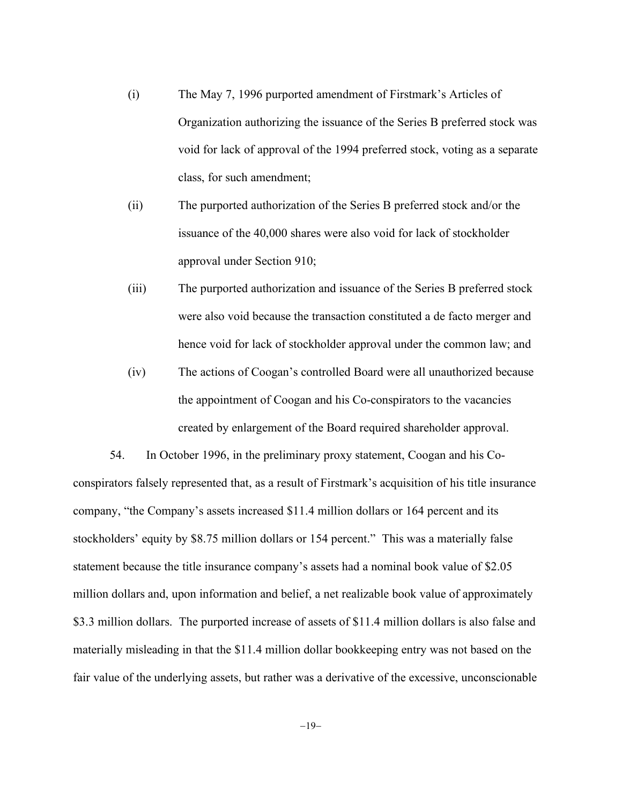- (i) The May 7, 1996 purported amendment of Firstmark's Articles of Organization authorizing the issuance of the Series B preferred stock was void for lack of approval of the 1994 preferred stock, voting as a separate class, for such amendment;
- (ii) The purported authorization of the Series B preferred stock and/or the issuance of the 40,000 shares were also void for lack of stockholder approval under Section 910;
- (iii) The purported authorization and issuance of the Series B preferred stock were also void because the transaction constituted a de facto merger and hence void for lack of stockholder approval under the common law; and
- (iv) The actions of Coogan's controlled Board were all unauthorized because the appointment of Coogan and his Co-conspirators to the vacancies created by enlargement of the Board required shareholder approval.

54. In October 1996, in the preliminary proxy statement, Coogan and his Coconspirators falsely represented that, as a result of Firstmark's acquisition of his title insurance company, "the Company's assets increased \$11.4 million dollars or 164 percent and its stockholders' equity by \$8.75 million dollars or 154 percent." This was a materially false statement because the title insurance company's assets had a nominal book value of \$2.05 million dollars and, upon information and belief, a net realizable book value of approximately \$3.3 million dollars. The purported increase of assets of \$11.4 million dollars is also false and materially misleading in that the \$11.4 million dollar bookkeeping entry was not based on the fair value of the underlying assets, but rather was a derivative of the excessive, unconscionable

 $-19-$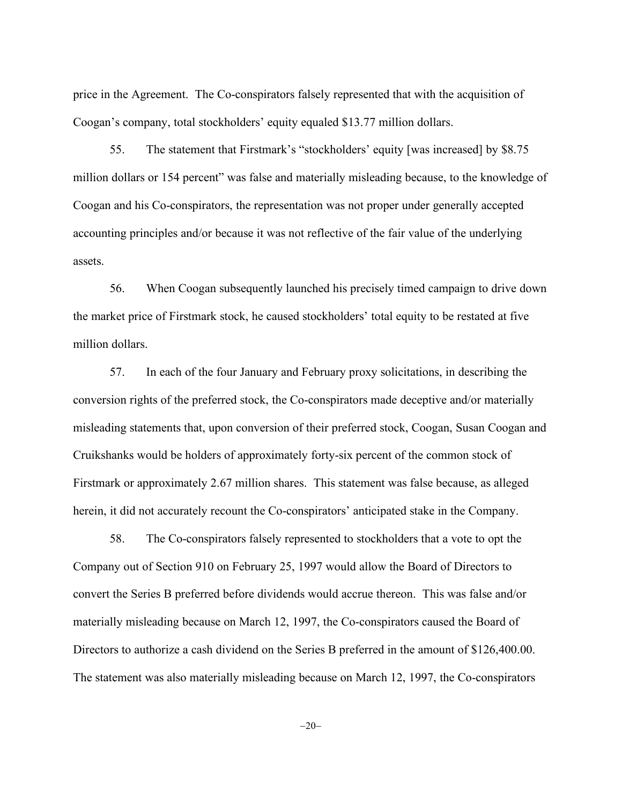price in the Agreement. The Co-conspirators falsely represented that with the acquisition of Coogan's company, total stockholders' equity equaled \$13.77 million dollars.

55. The statement that Firstmark's "stockholders' equity [was increased] by \$8.75 million dollars or 154 percent" was false and materially misleading because, to the knowledge of Coogan and his Co-conspirators, the representation was not proper under generally accepted accounting principles and/or because it was not reflective of the fair value of the underlying assets.

56. When Coogan subsequently launched his precisely timed campaign to drive down the market price of Firstmark stock, he caused stockholders' total equity to be restated at five million dollars.

57. In each of the four January and February proxy solicitations, in describing the conversion rights of the preferred stock, the Co-conspirators made deceptive and/or materially misleading statements that, upon conversion of their preferred stock, Coogan, Susan Coogan and Cruikshanks would be holders of approximately forty-six percent of the common stock of Firstmark or approximately 2.67 million shares. This statement was false because, as alleged herein, it did not accurately recount the Co-conspirators' anticipated stake in the Company.

58. The Co-conspirators falsely represented to stockholders that a vote to opt the Company out of Section 910 on February 25, 1997 would allow the Board of Directors to convert the Series B preferred before dividends would accrue thereon. This was false and/or materially misleading because on March 12, 1997, the Co-conspirators caused the Board of Directors to authorize a cash dividend on the Series B preferred in the amount of \$126,400.00. The statement was also materially misleading because on March 12, 1997, the Co-conspirators

 $-20-$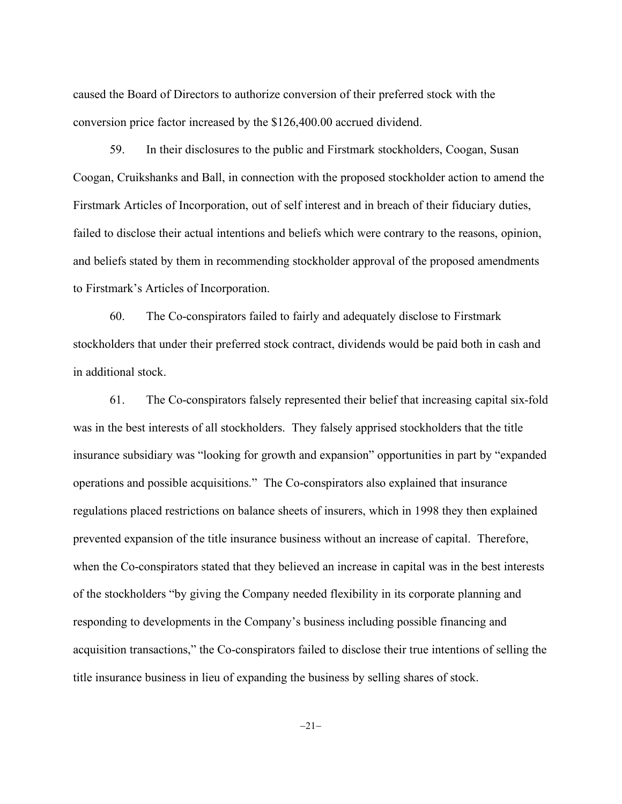caused the Board of Directors to authorize conversion of their preferred stock with the conversion price factor increased by the \$126,400.00 accrued dividend.

59. In their disclosures to the public and Firstmark stockholders, Coogan, Susan Coogan, Cruikshanks and Ball, in connection with the proposed stockholder action to amend the Firstmark Articles of Incorporation, out of self interest and in breach of their fiduciary duties, failed to disclose their actual intentions and beliefs which were contrary to the reasons, opinion, and beliefs stated by them in recommending stockholder approval of the proposed amendments to Firstmark's Articles of Incorporation.

60. The Co-conspirators failed to fairly and adequately disclose to Firstmark stockholders that under their preferred stock contract, dividends would be paid both in cash and in additional stock.

61. The Co-conspirators falsely represented their belief that increasing capital six-fold was in the best interests of all stockholders. They falsely apprised stockholders that the title insurance subsidiary was "looking for growth and expansion" opportunities in part by "expanded operations and possible acquisitions." The Co-conspirators also explained that insurance regulations placed restrictions on balance sheets of insurers, which in 1998 they then explained prevented expansion of the title insurance business without an increase of capital. Therefore, when the Co-conspirators stated that they believed an increase in capital was in the best interests of the stockholders "by giving the Company needed flexibility in its corporate planning and responding to developments in the Company's business including possible financing and acquisition transactions," the Co-conspirators failed to disclose their true intentions of selling the title insurance business in lieu of expanding the business by selling shares of stock.

 $-21-$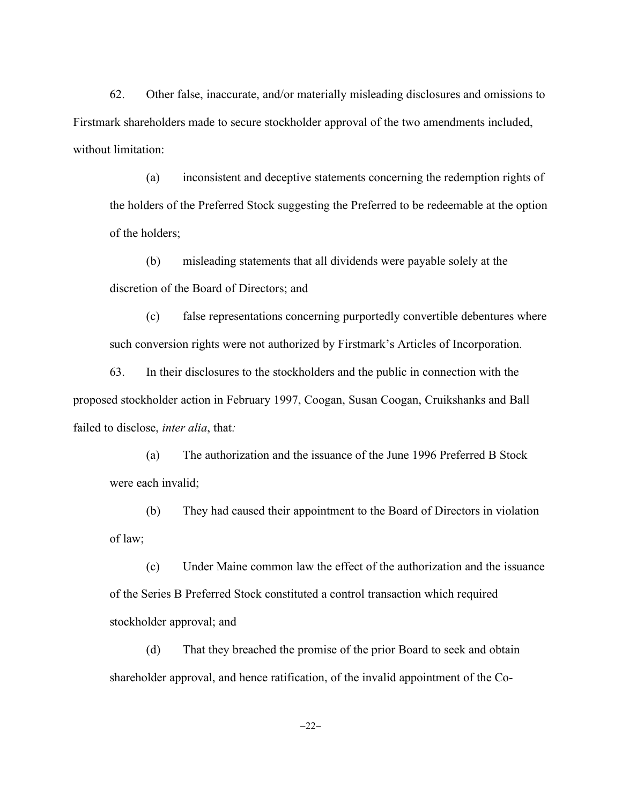62. Other false, inaccurate, and/or materially misleading disclosures and omissions to Firstmark shareholders made to secure stockholder approval of the two amendments included, without limitation:

(a) inconsistent and deceptive statements concerning the redemption rights of the holders of the Preferred Stock suggesting the Preferred to be redeemable at the option of the holders;

(b) misleading statements that all dividends were payable solely at the discretion of the Board of Directors; and

(c) false representations concerning purportedly convertible debentures where such conversion rights were not authorized by Firstmark's Articles of Incorporation.

63. In their disclosures to the stockholders and the public in connection with the proposed stockholder action in February 1997, Coogan, Susan Coogan, Cruikshanks and Ball failed to disclose, *inter alia*, that*:*

(a) The authorization and the issuance of the June 1996 Preferred B Stock were each invalid;

(b) They had caused their appointment to the Board of Directors in violation of law;

(c) Under Maine common law the effect of the authorization and the issuance of the Series B Preferred Stock constituted a control transaction which required stockholder approval; and

(d) That they breached the promise of the prior Board to seek and obtain shareholder approval, and hence ratification, of the invalid appointment of the Co-

 $-22-$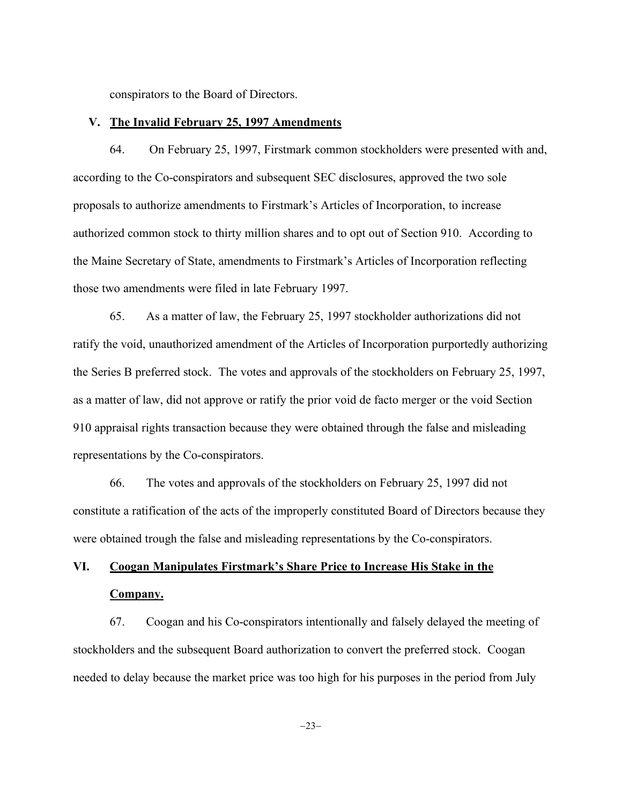conspirators to the Board of Directors.

### **V. The Invalid February 25, 1997 Amendments**

64. On February 25, 1997, Firstmark common stockholders were presented with and, according to the Co-conspirators and subsequent SEC disclosures, approved the two sole proposals to authorize amendments to Firstmark's Articles of Incorporation, to increase authorized common stock to thirty million shares and to opt out of Section 910. According to the Maine Secretary of State, amendments to Firstmark's Articles of Incorporation reflecting those two amendments were filed in late February 1997.

65. As a matter of law, the February 25, 1997 stockholder authorizations did not ratify the void, unauthorized amendment of the Articles of Incorporation purportedly authorizing the Series B preferred stock. The votes and approvals of the stockholders on February 25, 1997, as a matter of law, did not approve or ratify the prior void de facto merger or the void Section 910 appraisal rights transaction because they were obtained through the false and misleading representations by the Co-conspirators.

66. The votes and approvals of the stockholders on February 25, 1997 did not constitute a ratification of the acts of the improperly constituted Board of Directors because they were obtained trough the false and misleading representations by the Co-conspirators.

# **VI. Coogan Manipulates Firstmark's Share Price to Increase His Stake in the Company.**

67. Coogan and his Co-conspirators intentionally and falsely delayed the meeting of stockholders and the subsequent Board authorization to convert the preferred stock. Coogan needed to delay because the market price was too high for his purposes in the period from July

 $-23-$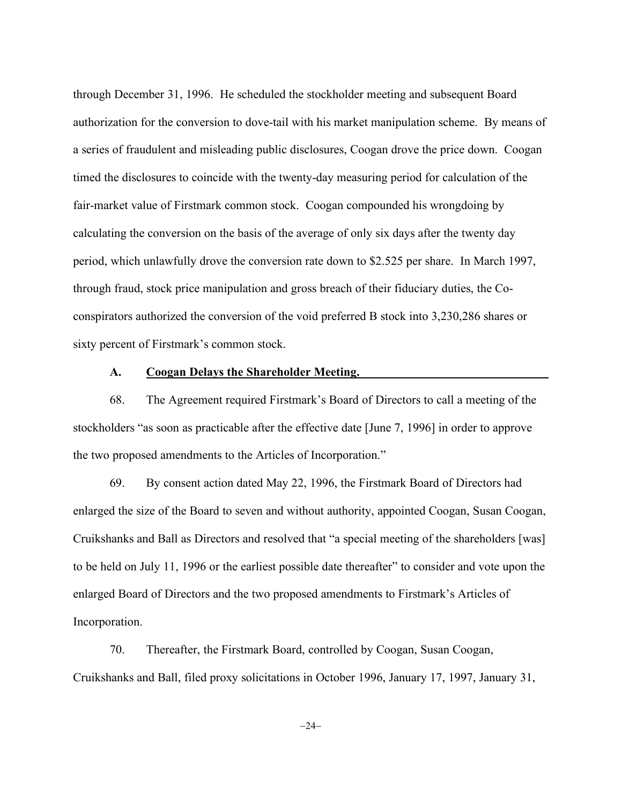through December 31, 1996. He scheduled the stockholder meeting and subsequent Board authorization for the conversion to dove-tail with his market manipulation scheme. By means of a series of fraudulent and misleading public disclosures, Coogan drove the price down. Coogan timed the disclosures to coincide with the twenty-day measuring period for calculation of the fair-market value of Firstmark common stock. Coogan compounded his wrongdoing by calculating the conversion on the basis of the average of only six days after the twenty day period, which unlawfully drove the conversion rate down to \$2.525 per share. In March 1997, through fraud, stock price manipulation and gross breach of their fiduciary duties, the Coconspirators authorized the conversion of the void preferred B stock into 3,230,286 shares or sixty percent of Firstmark's common stock.

## **A. Coogan Delays the Shareholder Meeting.**

68. The Agreement required Firstmark's Board of Directors to call a meeting of the stockholders "as soon as practicable after the effective date [June 7, 1996] in order to approve the two proposed amendments to the Articles of Incorporation."

69. By consent action dated May 22, 1996, the Firstmark Board of Directors had enlarged the size of the Board to seven and without authority, appointed Coogan, Susan Coogan, Cruikshanks and Ball as Directors and resolved that "a special meeting of the shareholders [was] to be held on July 11, 1996 or the earliest possible date thereafter" to consider and vote upon the enlarged Board of Directors and the two proposed amendments to Firstmark's Articles of Incorporation.

70. Thereafter, the Firstmark Board, controlled by Coogan, Susan Coogan, Cruikshanks and Ball, filed proxy solicitations in October 1996, January 17, 1997, January 31,

 $-24-$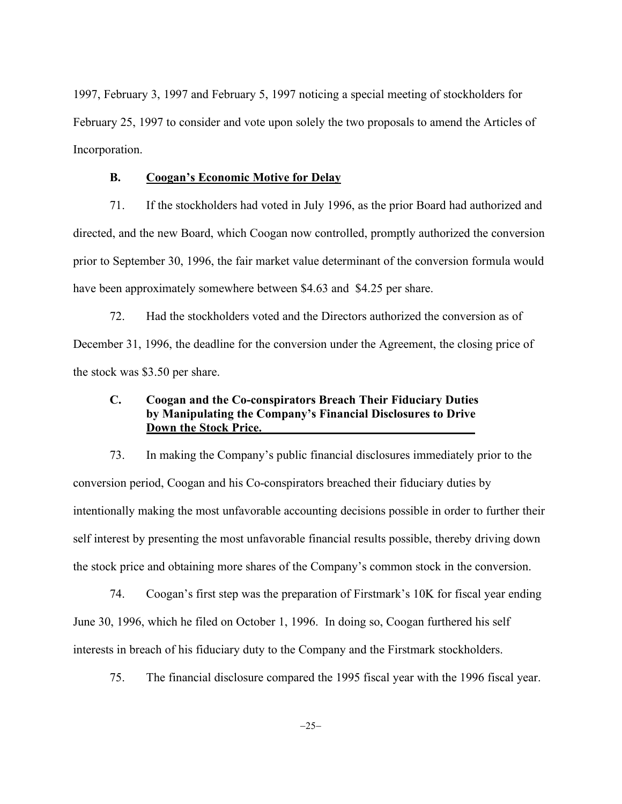1997, February 3, 1997 and February 5, 1997 noticing a special meeting of stockholders for February 25, 1997 to consider and vote upon solely the two proposals to amend the Articles of Incorporation.

## **B. Coogan's Economic Motive for Delay**

71. If the stockholders had voted in July 1996, as the prior Board had authorized and directed, and the new Board, which Coogan now controlled, promptly authorized the conversion prior to September 30, 1996, the fair market value determinant of the conversion formula would have been approximately somewhere between \$4.63 and \$4.25 per share.

72. Had the stockholders voted and the Directors authorized the conversion as of December 31, 1996, the deadline for the conversion under the Agreement, the closing price of the stock was \$3.50 per share.

# **C. Coogan and the Co-conspirators Breach Their Fiduciary Duties by Manipulating the Company's Financial Disclosures to Drive Down the Stock Price.**

73. In making the Company's public financial disclosures immediately prior to the conversion period, Coogan and his Co-conspirators breached their fiduciary duties by intentionally making the most unfavorable accounting decisions possible in order to further their self interest by presenting the most unfavorable financial results possible, thereby driving down the stock price and obtaining more shares of the Company's common stock in the conversion.

74. Coogan's first step was the preparation of Firstmark's 10K for fiscal year ending June 30, 1996, which he filed on October 1, 1996. In doing so, Coogan furthered his self interests in breach of his fiduciary duty to the Company and the Firstmark stockholders.

75. The financial disclosure compared the 1995 fiscal year with the 1996 fiscal year.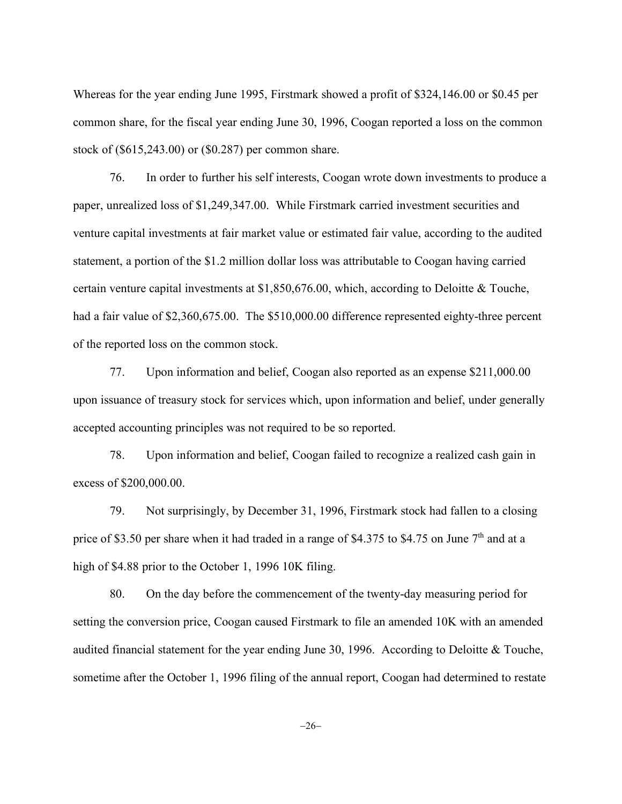Whereas for the year ending June 1995, Firstmark showed a profit of \$324,146.00 or \$0.45 per common share, for the fiscal year ending June 30, 1996, Coogan reported a loss on the common stock of (\$615,243.00) or (\$0.287) per common share.

76. In order to further his self interests, Coogan wrote down investments to produce a paper, unrealized loss of \$1,249,347.00. While Firstmark carried investment securities and venture capital investments at fair market value or estimated fair value, according to the audited statement, a portion of the \$1.2 million dollar loss was attributable to Coogan having carried certain venture capital investments at \$1,850,676.00, which, according to Deloitte & Touche, had a fair value of \$2,360,675.00. The \$510,000.00 difference represented eighty-three percent of the reported loss on the common stock.

77. Upon information and belief, Coogan also reported as an expense \$211,000.00 upon issuance of treasury stock for services which, upon information and belief, under generally accepted accounting principles was not required to be so reported.

78. Upon information and belief, Coogan failed to recognize a realized cash gain in excess of \$200,000.00.

79. Not surprisingly, by December 31, 1996, Firstmark stock had fallen to a closing price of \$3.50 per share when it had traded in a range of \$4.375 to \$4.75 on June  $7<sup>th</sup>$  and at a high of \$4.88 prior to the October 1, 1996 10K filing.

80. On the day before the commencement of the twenty-day measuring period for setting the conversion price, Coogan caused Firstmark to file an amended 10K with an amended audited financial statement for the year ending June 30, 1996. According to Deloitte & Touche, sometime after the October 1, 1996 filing of the annual report, Coogan had determined to restate

 $-26-$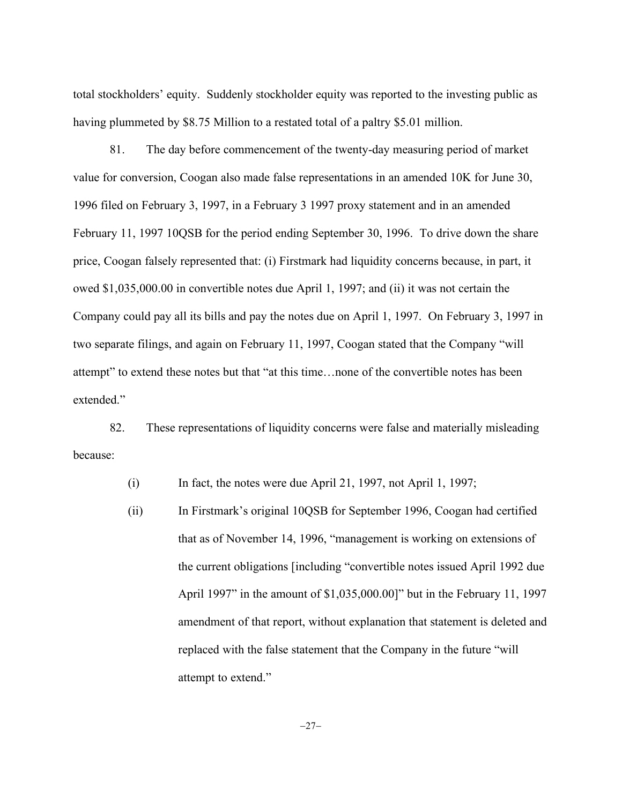total stockholders' equity. Suddenly stockholder equity was reported to the investing public as having plummeted by \$8.75 Million to a restated total of a paltry \$5.01 million.

81. The day before commencement of the twenty-day measuring period of market value for conversion, Coogan also made false representations in an amended 10K for June 30, 1996 filed on February 3, 1997, in a February 3 1997 proxy statement and in an amended February 11, 1997 10QSB for the period ending September 30, 1996. To drive down the share price, Coogan falsely represented that: (i) Firstmark had liquidity concerns because, in part, it owed \$1,035,000.00 in convertible notes due April 1, 1997; and (ii) it was not certain the Company could pay all its bills and pay the notes due on April 1, 1997. On February 3, 1997 in two separate filings, and again on February 11, 1997, Coogan stated that the Company "will attempt" to extend these notes but that "at this time…none of the convertible notes has been extended."

82. These representations of liquidity concerns were false and materially misleading because:

(i) In fact, the notes were due April 21, 1997, not April 1, 1997;

(ii) In Firstmark's original 10QSB for September 1996, Coogan had certified that as of November 14, 1996, "management is working on extensions of the current obligations [including "convertible notes issued April 1992 due April 1997" in the amount of \$1,035,000.00]" but in the February 11, 1997 amendment of that report, without explanation that statement is deleted and replaced with the false statement that the Company in the future "will attempt to extend."

 $-27-$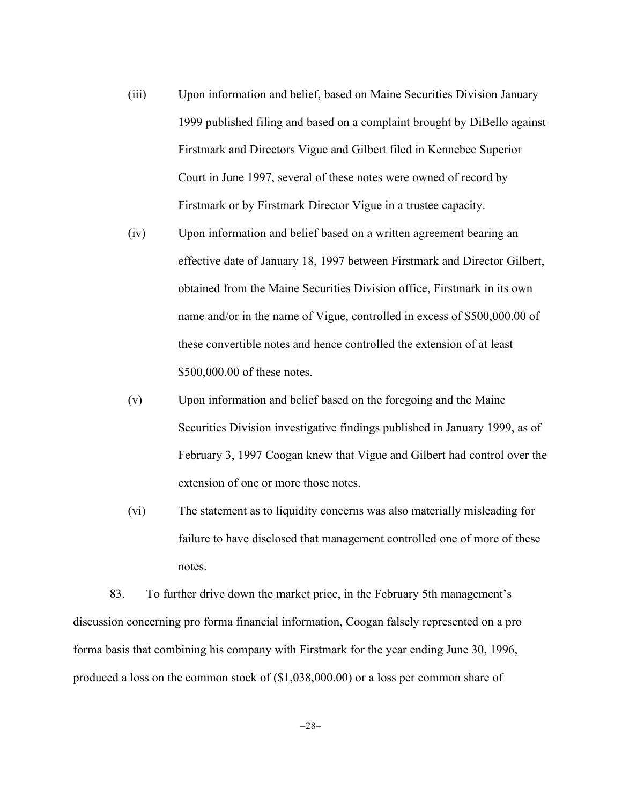- (iii) Upon information and belief, based on Maine Securities Division January 1999 published filing and based on a complaint brought by DiBello against Firstmark and Directors Vigue and Gilbert filed in Kennebec Superior Court in June 1997, several of these notes were owned of record by Firstmark or by Firstmark Director Vigue in a trustee capacity.
- (iv) Upon information and belief based on a written agreement bearing an effective date of January 18, 1997 between Firstmark and Director Gilbert, obtained from the Maine Securities Division office, Firstmark in its own name and/or in the name of Vigue, controlled in excess of \$500,000.00 of these convertible notes and hence controlled the extension of at least \$500,000.00 of these notes.
- (v) Upon information and belief based on the foregoing and the Maine Securities Division investigative findings published in January 1999, as of February 3, 1997 Coogan knew that Vigue and Gilbert had control over the extension of one or more those notes.
- (vi) The statement as to liquidity concerns was also materially misleading for failure to have disclosed that management controlled one of more of these notes.

83. To further drive down the market price, in the February 5th management's discussion concerning pro forma financial information, Coogan falsely represented on a pro forma basis that combining his company with Firstmark for the year ending June 30, 1996, produced a loss on the common stock of (\$1,038,000.00) or a loss per common share of

 $-28-$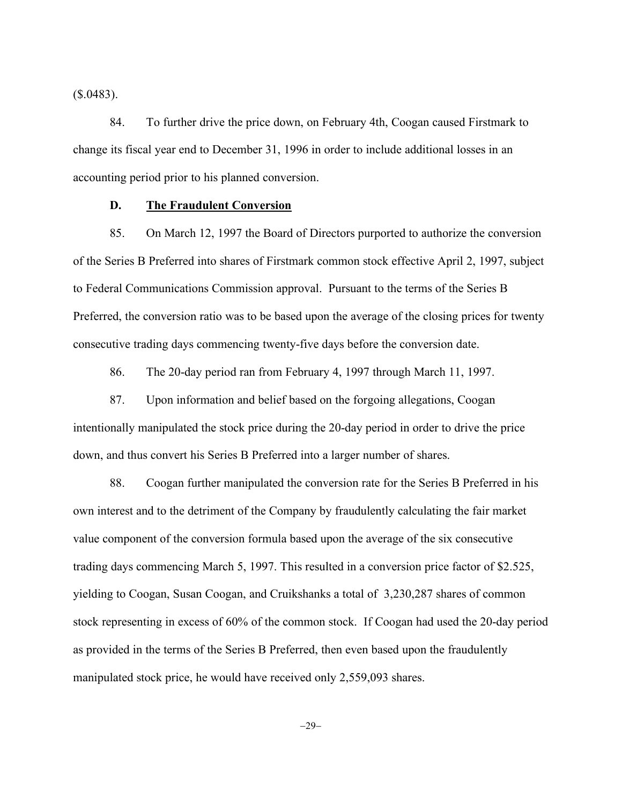$($.0483).$ 

84. To further drive the price down, on February 4th, Coogan caused Firstmark to change its fiscal year end to December 31, 1996 in order to include additional losses in an accounting period prior to his planned conversion.

## **D. The Fraudulent Conversion**

85. On March 12, 1997 the Board of Directors purported to authorize the conversion of the Series B Preferred into shares of Firstmark common stock effective April 2, 1997, subject to Federal Communications Commission approval. Pursuant to the terms of the Series B Preferred, the conversion ratio was to be based upon the average of the closing prices for twenty consecutive trading days commencing twenty-five days before the conversion date.

86. The 20-day period ran from February 4, 1997 through March 11, 1997.

87. Upon information and belief based on the forgoing allegations, Coogan intentionally manipulated the stock price during the 20-day period in order to drive the price down, and thus convert his Series B Preferred into a larger number of shares.

88. Coogan further manipulated the conversion rate for the Series B Preferred in his own interest and to the detriment of the Company by fraudulently calculating the fair market value component of the conversion formula based upon the average of the six consecutive trading days commencing March 5, 1997. This resulted in a conversion price factor of \$2.525, yielding to Coogan, Susan Coogan, and Cruikshanks a total of 3,230,287 shares of common stock representing in excess of 60% of the common stock. If Coogan had used the 20-day period as provided in the terms of the Series B Preferred, then even based upon the fraudulently manipulated stock price, he would have received only 2,559,093 shares.

 $-29-$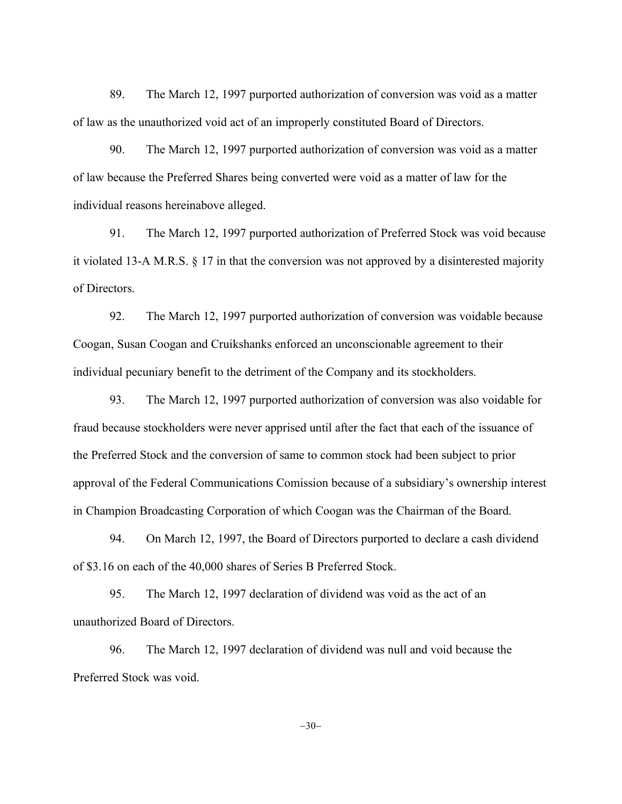89. The March 12, 1997 purported authorization of conversion was void as a matter of law as the unauthorized void act of an improperly constituted Board of Directors.

90. The March 12, 1997 purported authorization of conversion was void as a matter of law because the Preferred Shares being converted were void as a matter of law for the individual reasons hereinabove alleged.

91. The March 12, 1997 purported authorization of Preferred Stock was void because it violated 13-A M.R.S. § 17 in that the conversion was not approved by a disinterested majority of Directors.

92. The March 12, 1997 purported authorization of conversion was voidable because Coogan, Susan Coogan and Cruikshanks enforced an unconscionable agreement to their individual pecuniary benefit to the detriment of the Company and its stockholders.

93. The March 12, 1997 purported authorization of conversion was also voidable for fraud because stockholders were never apprised until after the fact that each of the issuance of the Preferred Stock and the conversion of same to common stock had been subject to prior approval of the Federal Communications Comission because of a subsidiary's ownership interest in Champion Broadcasting Corporation of which Coogan was the Chairman of the Board.

94. On March 12, 1997, the Board of Directors purported to declare a cash dividend of \$3.16 on each of the 40,000 shares of Series B Preferred Stock.

95. The March 12, 1997 declaration of dividend was void as the act of an unauthorized Board of Directors.

96. The March 12, 1997 declaration of dividend was null and void because the Preferred Stock was void.

 $-30-$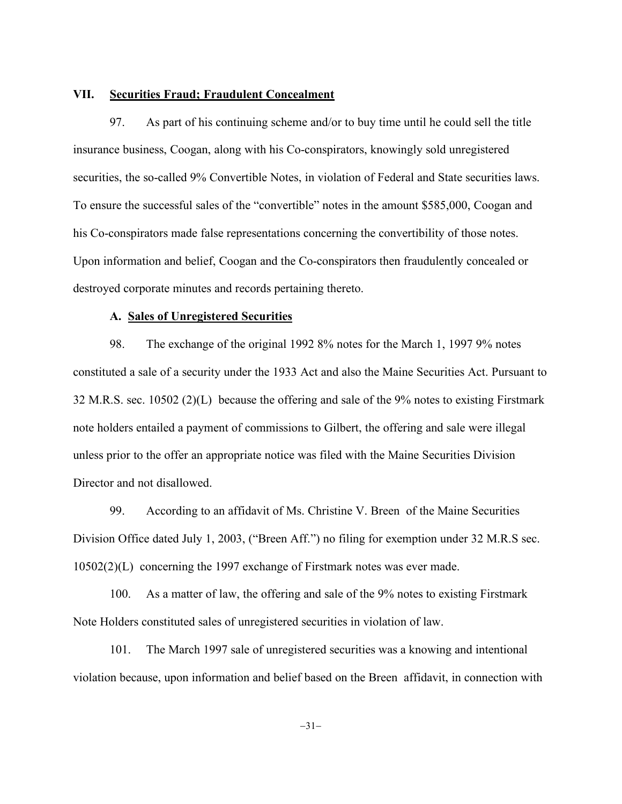## **VII. Securities Fraud; Fraudulent Concealment**

97. As part of his continuing scheme and/or to buy time until he could sell the title insurance business, Coogan, along with his Co-conspirators, knowingly sold unregistered securities, the so-called 9% Convertible Notes, in violation of Federal and State securities laws. To ensure the successful sales of the "convertible" notes in the amount \$585,000, Coogan and his Co-conspirators made false representations concerning the convertibility of those notes. Upon information and belief, Coogan and the Co-conspirators then fraudulently concealed or destroyed corporate minutes and records pertaining thereto.

### **A. Sales of Unregistered Securities**

98. The exchange of the original 1992 8% notes for the March 1, 1997 9% notes constituted a sale of a security under the 1933 Act and also the Maine Securities Act. Pursuant to 32 M.R.S. sec. 10502 (2)(L) because the offering and sale of the 9% notes to existing Firstmark note holders entailed a payment of commissions to Gilbert, the offering and sale were illegal unless prior to the offer an appropriate notice was filed with the Maine Securities Division Director and not disallowed.

99. According to an affidavit of Ms. Christine V. Breen of the Maine Securities Division Office dated July 1, 2003, ("Breen Aff.") no filing for exemption under 32 M.R.S sec. 10502(2)(L) concerning the 1997 exchange of Firstmark notes was ever made.

100. As a matter of law, the offering and sale of the 9% notes to existing Firstmark Note Holders constituted sales of unregistered securities in violation of law.

101. The March 1997 sale of unregistered securities was a knowing and intentional violation because, upon information and belief based on the Breen affidavit, in connection with

 $-31-$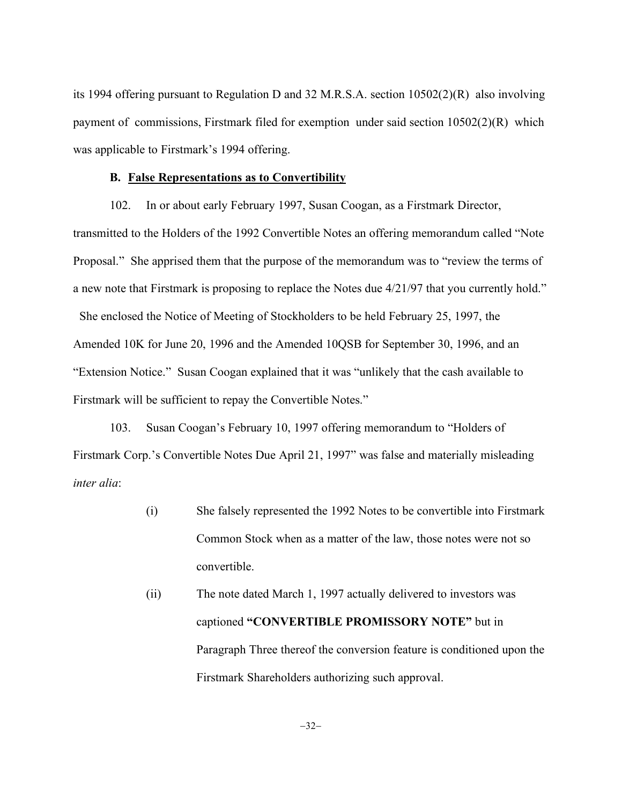its 1994 offering pursuant to Regulation D and 32 M.R.S.A. section 10502(2)(R) also involving payment of commissions, Firstmark filed for exemption under said section 10502(2)(R) which was applicable to Firstmark's 1994 offering.

### **B. False Representations as to Convertibility**

102. In or about early February 1997, Susan Coogan, as a Firstmark Director, transmitted to the Holders of the 1992 Convertible Notes an offering memorandum called "Note Proposal." She apprised them that the purpose of the memorandum was to "review the terms of a new note that Firstmark is proposing to replace the Notes due 4/21/97 that you currently hold." She enclosed the Notice of Meeting of Stockholders to be held February 25, 1997, the Amended 10K for June 20, 1996 and the Amended 10QSB for September 30, 1996, and an "Extension Notice." Susan Coogan explained that it was "unlikely that the cash available to Firstmark will be sufficient to repay the Convertible Notes."

103. Susan Coogan's February 10, 1997 offering memorandum to "Holders of Firstmark Corp.'s Convertible Notes Due April 21, 1997" was false and materially misleading *inter alia*:

- (i) She falsely represented the 1992 Notes to be convertible into Firstmark Common Stock when as a matter of the law, those notes were not so convertible.
- (ii) The note dated March 1, 1997 actually delivered to investors was captioned **"CONVERTIBLE PROMISSORY NOTE"** but in Paragraph Three thereof the conversion feature is conditioned upon the Firstmark Shareholders authorizing such approval.

-32-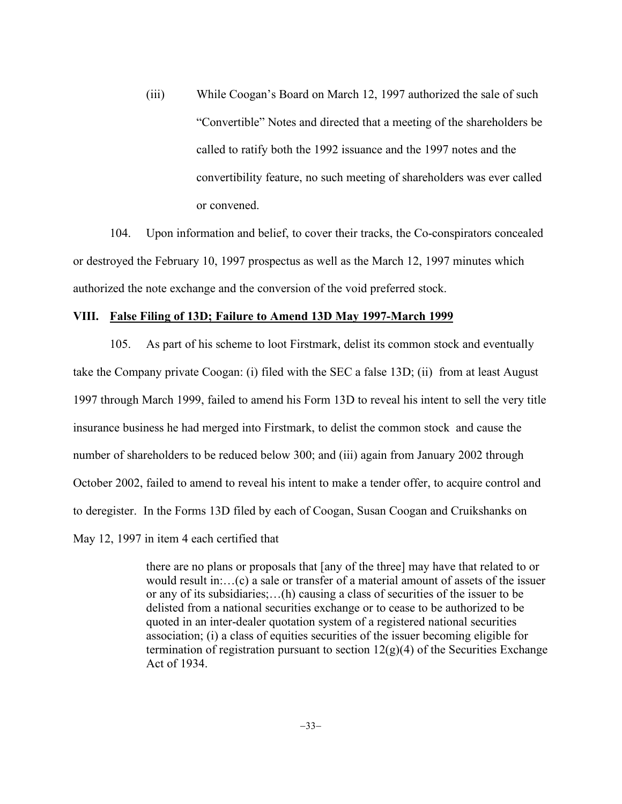(iii) While Coogan's Board on March 12, 1997 authorized the sale of such "Convertible" Notes and directed that a meeting of the shareholders be called to ratify both the 1992 issuance and the 1997 notes and the convertibility feature, no such meeting of shareholders was ever called or convened.

104. Upon information and belief, to cover their tracks, the Co-conspirators concealed or destroyed the February 10, 1997 prospectus as well as the March 12, 1997 minutes which authorized the note exchange and the conversion of the void preferred stock.

### **VIII. False Filing of 13D; Failure to Amend 13D May 1997-March 1999**

105. As part of his scheme to loot Firstmark, delist its common stock and eventually take the Company private Coogan: (i) filed with the SEC a false 13D; (ii) from at least August 1997 through March 1999, failed to amend his Form 13D to reveal his intent to sell the very title insurance business he had merged into Firstmark, to delist the common stock and cause the number of shareholders to be reduced below 300; and (iii) again from January 2002 through October 2002, failed to amend to reveal his intent to make a tender offer, to acquire control and to deregister. In the Forms 13D filed by each of Coogan, Susan Coogan and Cruikshanks on May 12, 1997 in item 4 each certified that

> there are no plans or proposals that [any of the three] may have that related to or would result in:…(c) a sale or transfer of a material amount of assets of the issuer or any of its subsidiaries;…(h) causing a class of securities of the issuer to be delisted from a national securities exchange or to cease to be authorized to be quoted in an inter-dealer quotation system of a registered national securities association; (i) a class of equities securities of the issuer becoming eligible for termination of registration pursuant to section  $12(g)(4)$  of the Securities Exchange Act of 1934.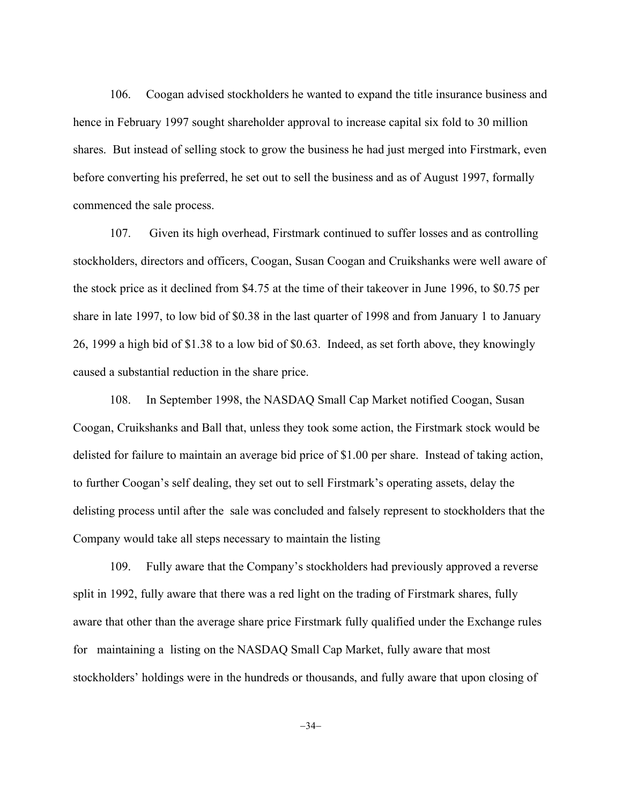106. Coogan advised stockholders he wanted to expand the title insurance business and hence in February 1997 sought shareholder approval to increase capital six fold to 30 million shares. But instead of selling stock to grow the business he had just merged into Firstmark, even before converting his preferred, he set out to sell the business and as of August 1997, formally commenced the sale process.

107. Given its high overhead, Firstmark continued to suffer losses and as controlling stockholders, directors and officers, Coogan, Susan Coogan and Cruikshanks were well aware of the stock price as it declined from \$4.75 at the time of their takeover in June 1996, to \$0.75 per share in late 1997, to low bid of \$0.38 in the last quarter of 1998 and from January 1 to January 26, 1999 a high bid of \$1.38 to a low bid of \$0.63. Indeed, as set forth above, they knowingly caused a substantial reduction in the share price.

108. In September 1998, the NASDAQ Small Cap Market notified Coogan, Susan Coogan, Cruikshanks and Ball that, unless they took some action, the Firstmark stock would be delisted for failure to maintain an average bid price of \$1.00 per share. Instead of taking action, to further Coogan's self dealing, they set out to sell Firstmark's operating assets, delay the delisting process until after the sale was concluded and falsely represent to stockholders that the Company would take all steps necessary to maintain the listing

109. Fully aware that the Company's stockholders had previously approved a reverse split in 1992, fully aware that there was a red light on the trading of Firstmark shares, fully aware that other than the average share price Firstmark fully qualified under the Exchange rules for maintaining a listing on the NASDAQ Small Cap Market, fully aware that most stockholders' holdings were in the hundreds or thousands, and fully aware that upon closing of

 $-34-$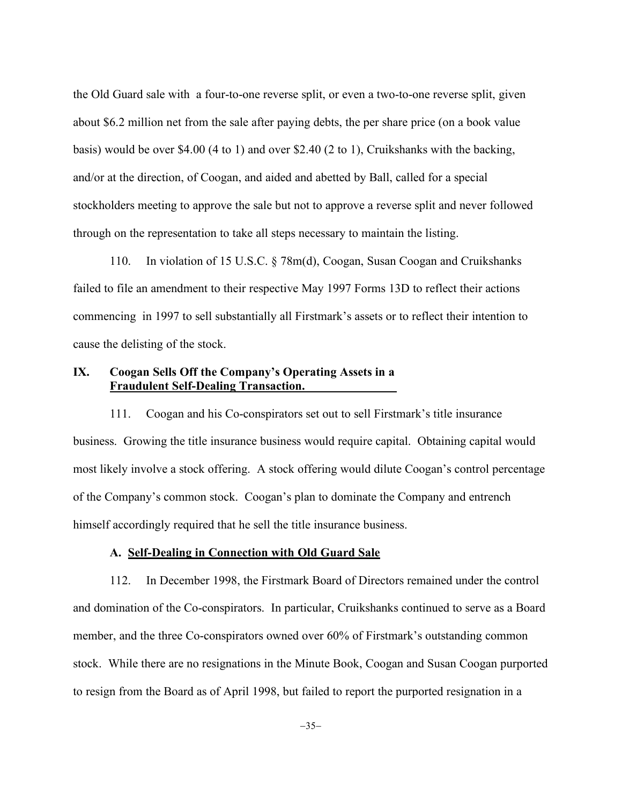the Old Guard sale with a four-to-one reverse split, or even a two-to-one reverse split, given about \$6.2 million net from the sale after paying debts, the per share price (on a book value basis) would be over \$4.00 (4 to 1) and over \$2.40 (2 to 1), Cruikshanks with the backing, and/or at the direction, of Coogan, and aided and abetted by Ball, called for a special stockholders meeting to approve the sale but not to approve a reverse split and never followed through on the representation to take all steps necessary to maintain the listing.

110. In violation of 15 U.S.C. § 78m(d), Coogan, Susan Coogan and Cruikshanks failed to file an amendment to their respective May 1997 Forms 13D to reflect their actions commencing in 1997 to sell substantially all Firstmark's assets or to reflect their intention to cause the delisting of the stock.

# **IX. Coogan Sells Off the Company's Operating Assets in a Fraudulent Self-Dealing Transaction.\_\_\_\_\_\_\_\_\_\_\_\_\_\_\_**

111. Coogan and his Co-conspirators set out to sell Firstmark's title insurance business. Growing the title insurance business would require capital. Obtaining capital would most likely involve a stock offering. A stock offering would dilute Coogan's control percentage of the Company's common stock. Coogan's plan to dominate the Company and entrench himself accordingly required that he sell the title insurance business.

## **A. Self-Dealing in Connection with Old Guard Sale**

112. In December 1998, the Firstmark Board of Directors remained under the control and domination of the Co-conspirators. In particular, Cruikshanks continued to serve as a Board member, and the three Co-conspirators owned over 60% of Firstmark's outstanding common stock. While there are no resignations in the Minute Book, Coogan and Susan Coogan purported to resign from the Board as of April 1998, but failed to report the purported resignation in a

 $-35-$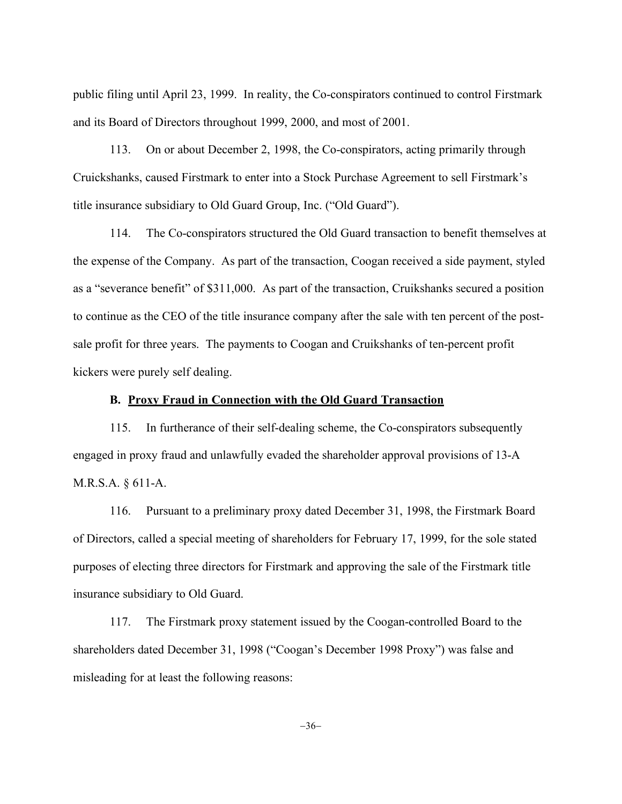public filing until April 23, 1999. In reality, the Co-conspirators continued to control Firstmark and its Board of Directors throughout 1999, 2000, and most of 2001.

113. On or about December 2, 1998, the Co-conspirators, acting primarily through Cruickshanks, caused Firstmark to enter into a Stock Purchase Agreement to sell Firstmark's title insurance subsidiary to Old Guard Group, Inc. ("Old Guard").

114. The Co-conspirators structured the Old Guard transaction to benefit themselves at the expense of the Company. As part of the transaction, Coogan received a side payment, styled as a "severance benefit" of \$311,000. As part of the transaction, Cruikshanks secured a position to continue as the CEO of the title insurance company after the sale with ten percent of the postsale profit for three years. The payments to Coogan and Cruikshanks of ten-percent profit kickers were purely self dealing.

## **B. Proxy Fraud in Connection with the Old Guard Transaction**

115. In furtherance of their self-dealing scheme, the Co-conspirators subsequently engaged in proxy fraud and unlawfully evaded the shareholder approval provisions of 13-A M.R.S.A. § 611-A.

116. Pursuant to a preliminary proxy dated December 31, 1998, the Firstmark Board of Directors, called a special meeting of shareholders for February 17, 1999, for the sole stated purposes of electing three directors for Firstmark and approving the sale of the Firstmark title insurance subsidiary to Old Guard.

117. The Firstmark proxy statement issued by the Coogan-controlled Board to the shareholders dated December 31, 1998 ("Coogan's December 1998 Proxy") was false and misleading for at least the following reasons:

 $-36-$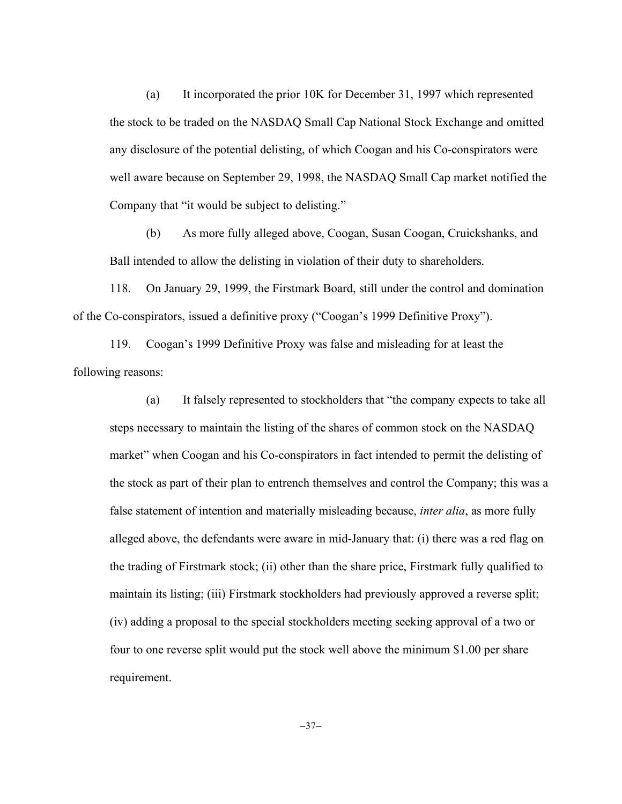(a) It incorporated the prior 10K for December 31, 1997 which represented the stock to be traded on the NASDAQ Small Cap National Stock Exchange and omitted any disclosure of the potential delisting, of which Coogan and his Co-conspirators were well aware because on September 29, 1998, the NASDAQ Small Cap market notified the Company that "it would be subject to delisting."

(b) As more fully alleged above, Coogan, Susan Coogan, Cruickshanks, and Ball intended to allow the delisting in violation of their duty to shareholders.

118. On January 29, 1999, the Firstmark Board, still under the control and domination of the Co-conspirators, issued a definitive proxy ("Coogan's 1999 Definitive Proxy").

119. Coogan's 1999 Definitive Proxy was false and misleading for at least the following reasons:

(a) It falsely represented to stockholders that "the company expects to take all steps necessary to maintain the listing of the shares of common stock on the NASDAQ market" when Coogan and his Co-conspirators in fact intended to permit the delisting of the stock as part of their plan to entrench themselves and control the Company; this was a false statement of intention and materially misleading because, *inter alia*, as more fully alleged above, the defendants were aware in mid-January that: (i) there was a red flag on the trading of Firstmark stock; (ii) other than the share price, Firstmark fully qualified to maintain its listing; (iii) Firstmark stockholders had previously approved a reverse split; (iv) adding a proposal to the special stockholders meeting seeking approval of a two or four to one reverse split would put the stock well above the minimum \$1.00 per share requirement.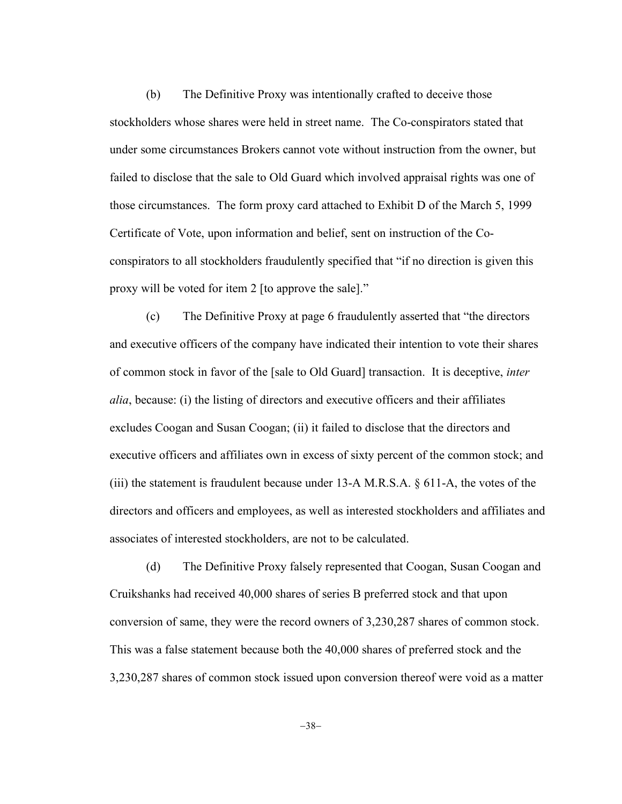(b) The Definitive Proxy was intentionally crafted to deceive those stockholders whose shares were held in street name. The Co-conspirators stated that under some circumstances Brokers cannot vote without instruction from the owner, but failed to disclose that the sale to Old Guard which involved appraisal rights was one of those circumstances. The form proxy card attached to Exhibit D of the March 5, 1999 Certificate of Vote, upon information and belief, sent on instruction of the Coconspirators to all stockholders fraudulently specified that "if no direction is given this proxy will be voted for item 2 [to approve the sale]."

(c) The Definitive Proxy at page 6 fraudulently asserted that "the directors and executive officers of the company have indicated their intention to vote their shares of common stock in favor of the [sale to Old Guard] transaction. It is deceptive, *inter alia*, because: (i) the listing of directors and executive officers and their affiliates excludes Coogan and Susan Coogan; (ii) it failed to disclose that the directors and executive officers and affiliates own in excess of sixty percent of the common stock; and (iii) the statement is fraudulent because under 13-A M.R.S.A. § 611-A, the votes of the directors and officers and employees, as well as interested stockholders and affiliates and associates of interested stockholders, are not to be calculated.

(d) The Definitive Proxy falsely represented that Coogan, Susan Coogan and Cruikshanks had received 40,000 shares of series B preferred stock and that upon conversion of same, they were the record owners of 3,230,287 shares of common stock. This was a false statement because both the 40,000 shares of preferred stock and the 3,230,287 shares of common stock issued upon conversion thereof were void as a matter

-38-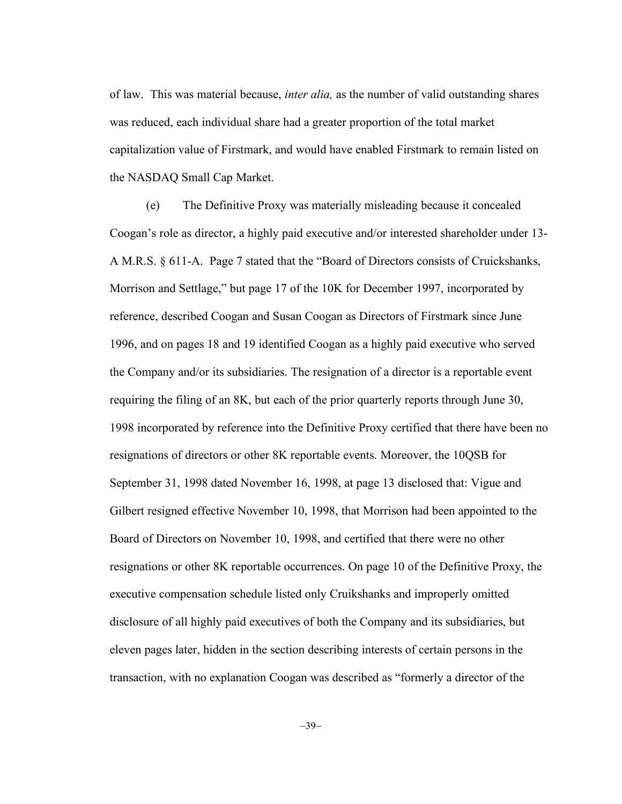of law. This was material because, *inter alia,* as the number of valid outstanding shares was reduced, each individual share had a greater proportion of the total market capitalization value of Firstmark, and would have enabled Firstmark to remain listed on the NASDAQ Small Cap Market.

(e) The Definitive Proxy was materially misleading because it concealed Coogan's role as director, a highly paid executive and/or interested shareholder under 13- A M.R.S. § 611-A. Page 7 stated that the "Board of Directors consists of Cruickshanks, Morrison and Settlage," but page 17 of the 10K for December 1997, incorporated by reference, described Coogan and Susan Coogan as Directors of Firstmark since June 1996, and on pages 18 and 19 identified Coogan as a highly paid executive who served the Company and/or its subsidiaries. The resignation of a director is a reportable event requiring the filing of an 8K, but each of the prior quarterly reports through June 30, 1998 incorporated by reference into the Definitive Proxy certified that there have been no resignations of directors or other 8K reportable events. Moreover, the 10QSB for September 31, 1998 dated November 16, 1998, at page 13 disclosed that: Vigue and Gilbert resigned effective November 10, 1998, that Morrison had been appointed to the Board of Directors on November 10, 1998, and certified that there were no other resignations or other 8K reportable occurrences. On page 10 of the Definitive Proxy, the executive compensation schedule listed only Cruikshanks and improperly omitted disclosure of all highly paid executives of both the Company and its subsidiaries, but eleven pages later, hidden in the section describing interests of certain persons in the transaction, with no explanation Coogan was described as "formerly a director of the

 $-39-$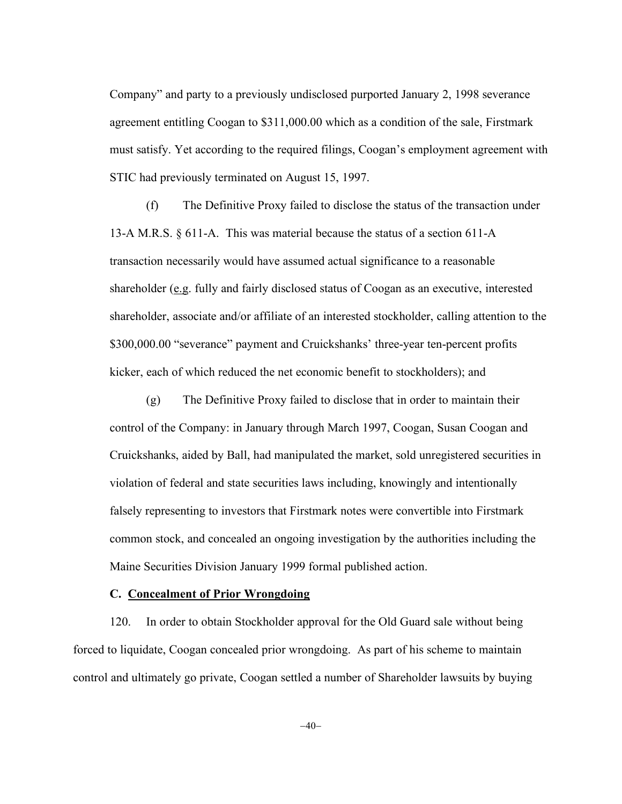Company" and party to a previously undisclosed purported January 2, 1998 severance agreement entitling Coogan to \$311,000.00 which as a condition of the sale, Firstmark must satisfy. Yet according to the required filings, Coogan's employment agreement with STIC had previously terminated on August 15, 1997.

(f) The Definitive Proxy failed to disclose the status of the transaction under 13-A M.R.S. § 611-A. This was material because the status of a section 611-A transaction necessarily would have assumed actual significance to a reasonable shareholder (e.g. fully and fairly disclosed status of Coogan as an executive, interested shareholder, associate and/or affiliate of an interested stockholder, calling attention to the \$300,000.00 "severance" payment and Cruickshanks' three-year ten-percent profits kicker, each of which reduced the net economic benefit to stockholders); and

(g) The Definitive Proxy failed to disclose that in order to maintain their control of the Company: in January through March 1997, Coogan, Susan Coogan and Cruickshanks, aided by Ball, had manipulated the market, sold unregistered securities in violation of federal and state securities laws including, knowingly and intentionally falsely representing to investors that Firstmark notes were convertible into Firstmark common stock, and concealed an ongoing investigation by the authorities including the Maine Securities Division January 1999 formal published action.

#### **C. Concealment of Prior Wrongdoing**

120. In order to obtain Stockholder approval for the Old Guard sale without being forced to liquidate, Coogan concealed prior wrongdoing. As part of his scheme to maintain control and ultimately go private, Coogan settled a number of Shareholder lawsuits by buying

 $-40-$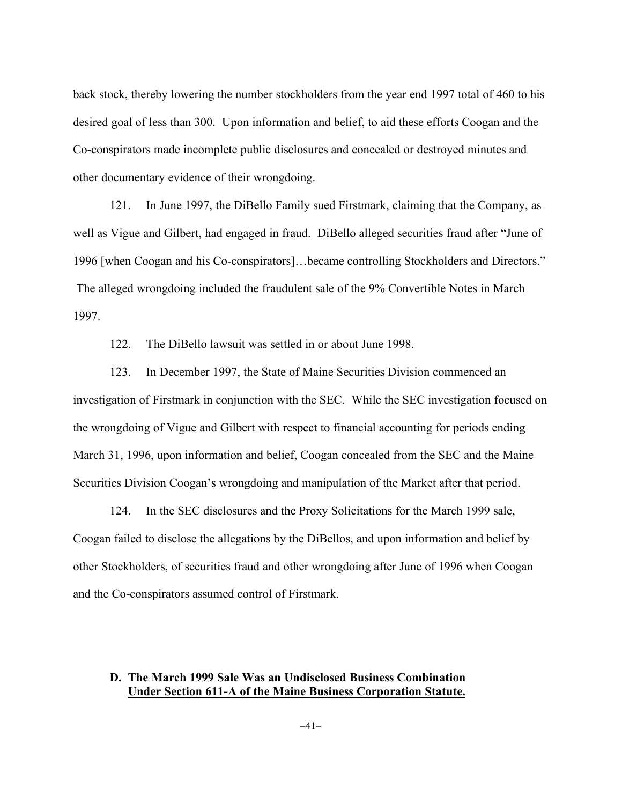back stock, thereby lowering the number stockholders from the year end 1997 total of 460 to his desired goal of less than 300. Upon information and belief, to aid these efforts Coogan and the Co-conspirators made incomplete public disclosures and concealed or destroyed minutes and other documentary evidence of their wrongdoing.

121. In June 1997, the DiBello Family sued Firstmark, claiming that the Company, as well as Vigue and Gilbert, had engaged in fraud. DiBello alleged securities fraud after "June of 1996 [when Coogan and his Co-conspirators]…became controlling Stockholders and Directors." The alleged wrongdoing included the fraudulent sale of the 9% Convertible Notes in March 1997.

122. The DiBello lawsuit was settled in or about June 1998.

123. In December 1997, the State of Maine Securities Division commenced an investigation of Firstmark in conjunction with the SEC. While the SEC investigation focused on the wrongdoing of Vigue and Gilbert with respect to financial accounting for periods ending March 31, 1996, upon information and belief, Coogan concealed from the SEC and the Maine Securities Division Coogan's wrongdoing and manipulation of the Market after that period.

124. In the SEC disclosures and the Proxy Solicitations for the March 1999 sale, Coogan failed to disclose the allegations by the DiBellos, and upon information and belief by other Stockholders, of securities fraud and other wrongdoing after June of 1996 when Coogan and the Co-conspirators assumed control of Firstmark.

# **D. The March 1999 Sale Was an Undisclosed Business Combination Under Section 611-A of the Maine Business Corporation Statute.**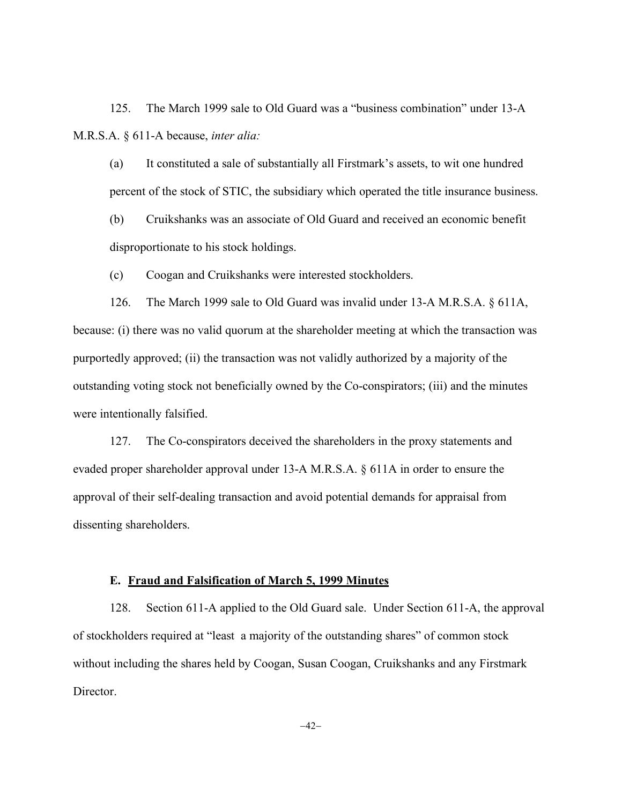125. The March 1999 sale to Old Guard was a "business combination" under 13-A M.R.S.A. § 611-A because, *inter alia:*

(a) It constituted a sale of substantially all Firstmark's assets, to wit one hundred percent of the stock of STIC, the subsidiary which operated the title insurance business.

(b) Cruikshanks was an associate of Old Guard and received an economic benefit disproportionate to his stock holdings.

(c) Coogan and Cruikshanks were interested stockholders.

126. The March 1999 sale to Old Guard was invalid under 13-A M.R.S.A. § 611A, because: (i) there was no valid quorum at the shareholder meeting at which the transaction was purportedly approved; (ii) the transaction was not validly authorized by a majority of the outstanding voting stock not beneficially owned by the Co-conspirators; (iii) and the minutes were intentionally falsified.

127. The Co-conspirators deceived the shareholders in the proxy statements and evaded proper shareholder approval under 13-A M.R.S.A. § 611A in order to ensure the approval of their self-dealing transaction and avoid potential demands for appraisal from dissenting shareholders.

## **E. Fraud and Falsification of March 5, 1999 Minutes**

128. Section 611-A applied to the Old Guard sale. Under Section 611-A, the approval of stockholders required at "least a majority of the outstanding shares" of common stock without including the shares held by Coogan, Susan Coogan, Cruikshanks and any Firstmark Director.

 $-42-$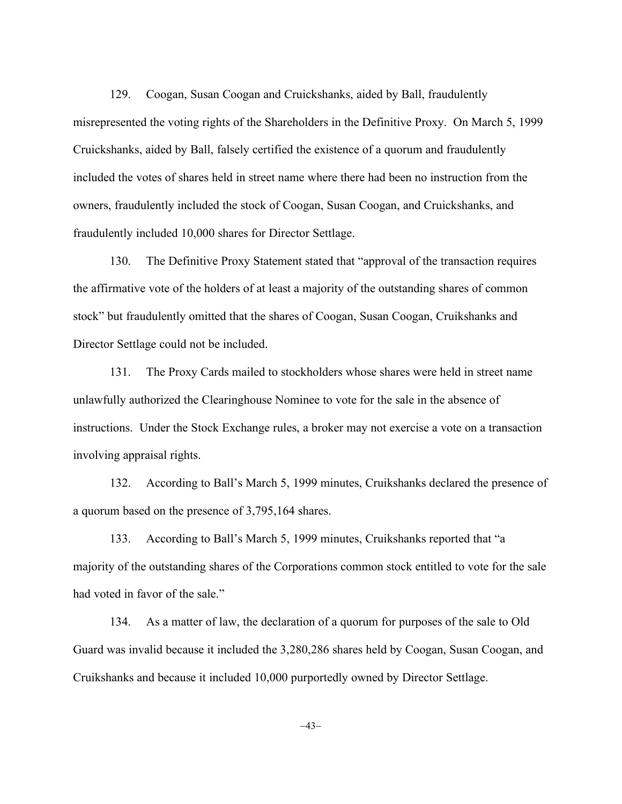129. Coogan, Susan Coogan and Cruickshanks, aided by Ball, fraudulently misrepresented the voting rights of the Shareholders in the Definitive Proxy. On March 5, 1999 Cruickshanks, aided by Ball, falsely certified the existence of a quorum and fraudulently included the votes of shares held in street name where there had been no instruction from the owners, fraudulently included the stock of Coogan, Susan Coogan, and Cruickshanks, and fraudulently included 10,000 shares for Director Settlage.

130. The Definitive Proxy Statement stated that "approval of the transaction requires the affirmative vote of the holders of at least a majority of the outstanding shares of common stock" but fraudulently omitted that the shares of Coogan, Susan Coogan, Cruikshanks and Director Settlage could not be included.

131. The Proxy Cards mailed to stockholders whose shares were held in street name unlawfully authorized the Clearinghouse Nominee to vote for the sale in the absence of instructions. Under the Stock Exchange rules, a broker may not exercise a vote on a transaction involving appraisal rights.

132. According to Ball's March 5, 1999 minutes, Cruikshanks declared the presence of a quorum based on the presence of 3,795,164 shares.

133. According to Ball's March 5, 1999 minutes, Cruikshanks reported that "a majority of the outstanding shares of the Corporations common stock entitled to vote for the sale had voted in favor of the sale."

134. As a matter of law, the declaration of a quorum for purposes of the sale to Old Guard was invalid because it included the 3,280,286 shares held by Coogan, Susan Coogan, and Cruikshanks and because it included 10,000 purportedly owned by Director Settlage.

 $-43-$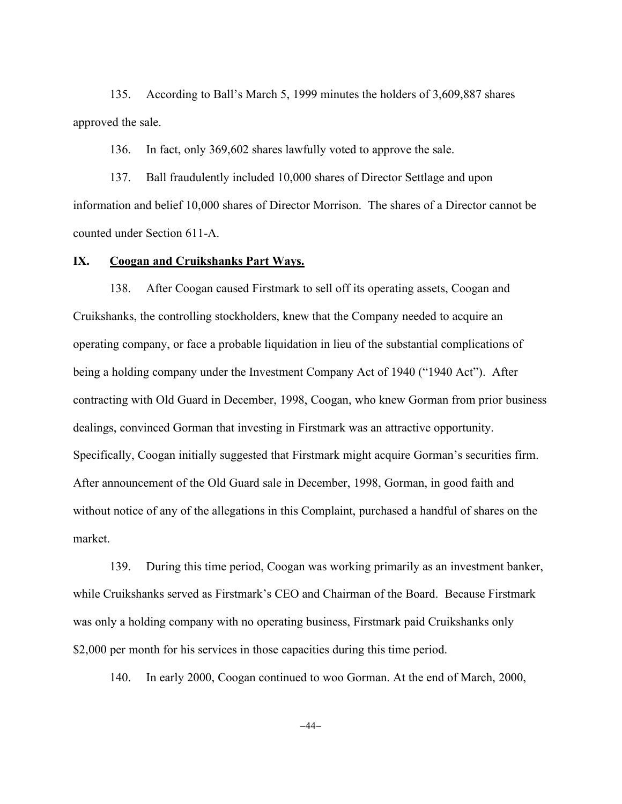135. According to Ball's March 5, 1999 minutes the holders of 3,609,887 shares approved the sale.

136. In fact, only 369,602 shares lawfully voted to approve the sale.

137. Ball fraudulently included 10,000 shares of Director Settlage and upon information and belief 10,000 shares of Director Morrison. The shares of a Director cannot be counted under Section 611-A.

### **IX. Coogan and Cruikshanks Part Ways.**

138. After Coogan caused Firstmark to sell off its operating assets, Coogan and Cruikshanks, the controlling stockholders, knew that the Company needed to acquire an operating company, or face a probable liquidation in lieu of the substantial complications of being a holding company under the Investment Company Act of 1940 ("1940 Act"). After contracting with Old Guard in December, 1998, Coogan, who knew Gorman from prior business dealings, convinced Gorman that investing in Firstmark was an attractive opportunity. Specifically, Coogan initially suggested that Firstmark might acquire Gorman's securities firm. After announcement of the Old Guard sale in December, 1998, Gorman, in good faith and without notice of any of the allegations in this Complaint, purchased a handful of shares on the market.

139. During this time period, Coogan was working primarily as an investment banker, while Cruikshanks served as Firstmark's CEO and Chairman of the Board. Because Firstmark was only a holding company with no operating business, Firstmark paid Cruikshanks only \$2,000 per month for his services in those capacities during this time period.

140. In early 2000, Coogan continued to woo Gorman. At the end of March, 2000,

 $-44-$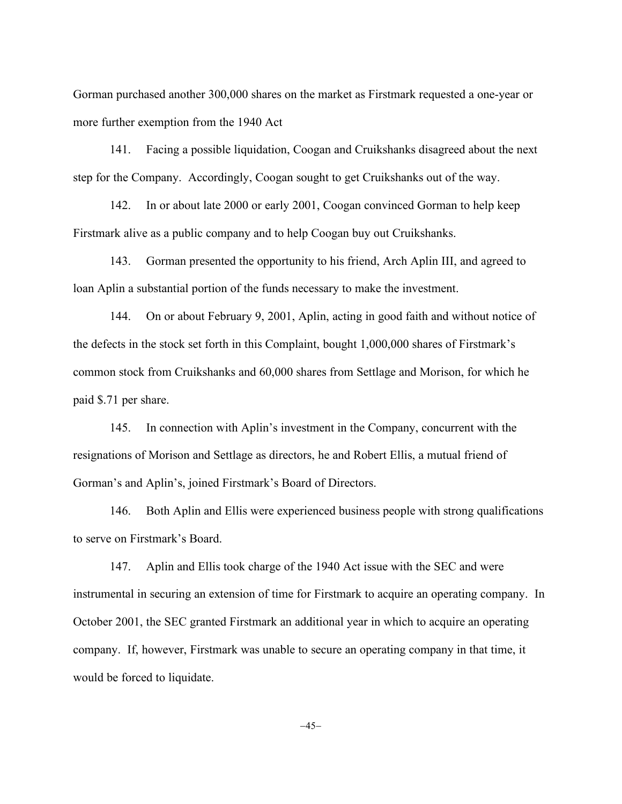Gorman purchased another 300,000 shares on the market as Firstmark requested a one-year or more further exemption from the 1940 Act

141. Facing a possible liquidation, Coogan and Cruikshanks disagreed about the next step for the Company. Accordingly, Coogan sought to get Cruikshanks out of the way.

142. In or about late 2000 or early 2001, Coogan convinced Gorman to help keep Firstmark alive as a public company and to help Coogan buy out Cruikshanks.

143. Gorman presented the opportunity to his friend, Arch Aplin III, and agreed to loan Aplin a substantial portion of the funds necessary to make the investment.

144. On or about February 9, 2001, Aplin, acting in good faith and without notice of the defects in the stock set forth in this Complaint, bought 1,000,000 shares of Firstmark's common stock from Cruikshanks and 60,000 shares from Settlage and Morison, for which he paid \$.71 per share.

145. In connection with Aplin's investment in the Company, concurrent with the resignations of Morison and Settlage as directors, he and Robert Ellis, a mutual friend of Gorman's and Aplin's, joined Firstmark's Board of Directors.

146. Both Aplin and Ellis were experienced business people with strong qualifications to serve on Firstmark's Board.

147. Aplin and Ellis took charge of the 1940 Act issue with the SEC and were instrumental in securing an extension of time for Firstmark to acquire an operating company. In October 2001, the SEC granted Firstmark an additional year in which to acquire an operating company. If, however, Firstmark was unable to secure an operating company in that time, it would be forced to liquidate.

 $-45-$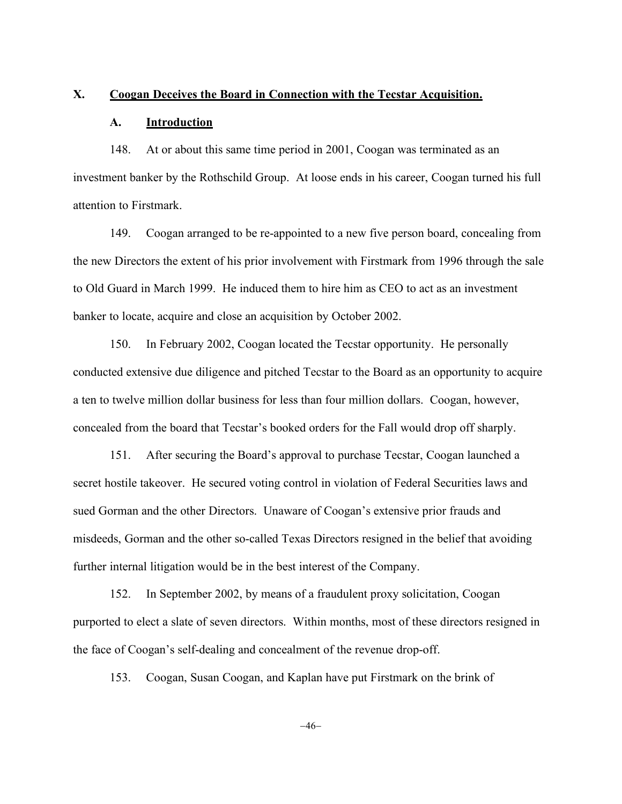#### **X. Coogan Deceives the Board in Connection with the Tecstar Acquisition.**

#### **A. Introduction**

148. At or about this same time period in 2001, Coogan was terminated as an investment banker by the Rothschild Group. At loose ends in his career, Coogan turned his full attention to Firstmark.

149. Coogan arranged to be re-appointed to a new five person board, concealing from the new Directors the extent of his prior involvement with Firstmark from 1996 through the sale to Old Guard in March 1999. He induced them to hire him as CEO to act as an investment banker to locate, acquire and close an acquisition by October 2002.

150. In February 2002, Coogan located the Tecstar opportunity. He personally conducted extensive due diligence and pitched Tecstar to the Board as an opportunity to acquire a ten to twelve million dollar business for less than four million dollars. Coogan, however, concealed from the board that Tecstar's booked orders for the Fall would drop off sharply.

151. After securing the Board's approval to purchase Tecstar, Coogan launched a secret hostile takeover. He secured voting control in violation of Federal Securities laws and sued Gorman and the other Directors. Unaware of Coogan's extensive prior frauds and misdeeds, Gorman and the other so-called Texas Directors resigned in the belief that avoiding further internal litigation would be in the best interest of the Company.

152. In September 2002, by means of a fraudulent proxy solicitation, Coogan purported to elect a slate of seven directors. Within months, most of these directors resigned in the face of Coogan's self-dealing and concealment of the revenue drop-off.

153. Coogan, Susan Coogan, and Kaplan have put Firstmark on the brink of

 $-46-$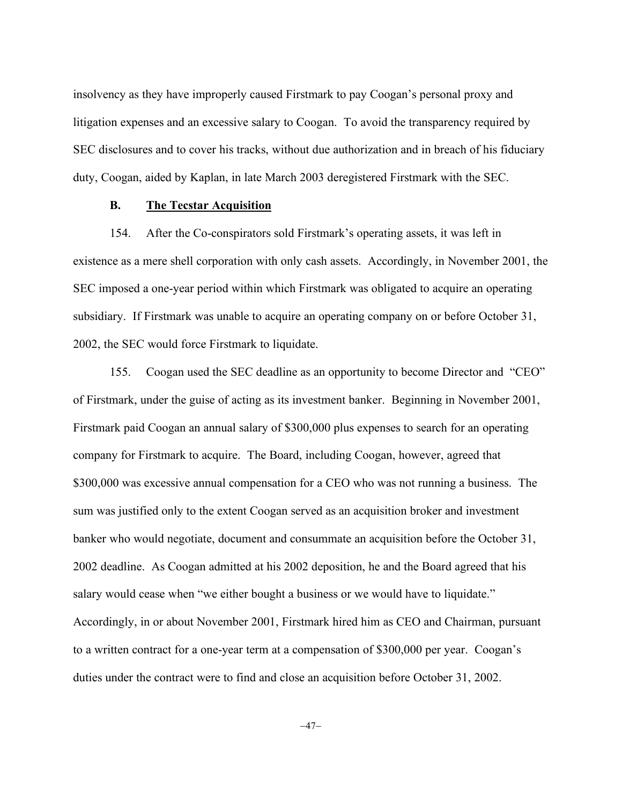insolvency as they have improperly caused Firstmark to pay Coogan's personal proxy and litigation expenses and an excessive salary to Coogan. To avoid the transparency required by SEC disclosures and to cover his tracks, without due authorization and in breach of his fiduciary duty, Coogan, aided by Kaplan, in late March 2003 deregistered Firstmark with the SEC.

### **B. The Tecstar Acquisition**

154. After the Co-conspirators sold Firstmark's operating assets, it was left in existence as a mere shell corporation with only cash assets. Accordingly, in November 2001, the SEC imposed a one-year period within which Firstmark was obligated to acquire an operating subsidiary. If Firstmark was unable to acquire an operating company on or before October 31, 2002, the SEC would force Firstmark to liquidate.

155. Coogan used the SEC deadline as an opportunity to become Director and "CEO" of Firstmark, under the guise of acting as its investment banker. Beginning in November 2001, Firstmark paid Coogan an annual salary of \$300,000 plus expenses to search for an operating company for Firstmark to acquire. The Board, including Coogan, however, agreed that \$300,000 was excessive annual compensation for a CEO who was not running a business. The sum was justified only to the extent Coogan served as an acquisition broker and investment banker who would negotiate, document and consummate an acquisition before the October 31, 2002 deadline. As Coogan admitted at his 2002 deposition, he and the Board agreed that his salary would cease when "we either bought a business or we would have to liquidate." Accordingly, in or about November 2001, Firstmark hired him as CEO and Chairman, pursuant to a written contract for a one-year term at a compensation of \$300,000 per year. Coogan's duties under the contract were to find and close an acquisition before October 31, 2002.

 $-47-$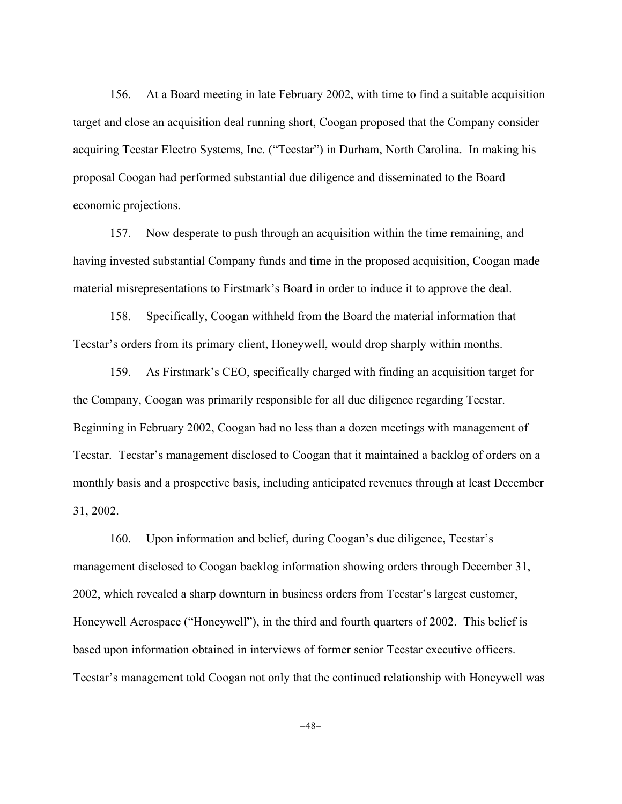156. At a Board meeting in late February 2002, with time to find a suitable acquisition target and close an acquisition deal running short, Coogan proposed that the Company consider acquiring Tecstar Electro Systems, Inc. ("Tecstar") in Durham, North Carolina. In making his proposal Coogan had performed substantial due diligence and disseminated to the Board economic projections.

157. Now desperate to push through an acquisition within the time remaining, and having invested substantial Company funds and time in the proposed acquisition, Coogan made material misrepresentations to Firstmark's Board in order to induce it to approve the deal.

158. Specifically, Coogan withheld from the Board the material information that Tecstar's orders from its primary client, Honeywell, would drop sharply within months.

159. As Firstmark's CEO, specifically charged with finding an acquisition target for the Company, Coogan was primarily responsible for all due diligence regarding Tecstar. Beginning in February 2002, Coogan had no less than a dozen meetings with management of Tecstar. Tecstar's management disclosed to Coogan that it maintained a backlog of orders on a monthly basis and a prospective basis, including anticipated revenues through at least December 31, 2002.

160. Upon information and belief, during Coogan's due diligence, Tecstar's management disclosed to Coogan backlog information showing orders through December 31, 2002, which revealed a sharp downturn in business orders from Tecstar's largest customer, Honeywell Aerospace ("Honeywell"), in the third and fourth quarters of 2002. This belief is based upon information obtained in interviews of former senior Tecstar executive officers. Tecstar's management told Coogan not only that the continued relationship with Honeywell was

 $-48-$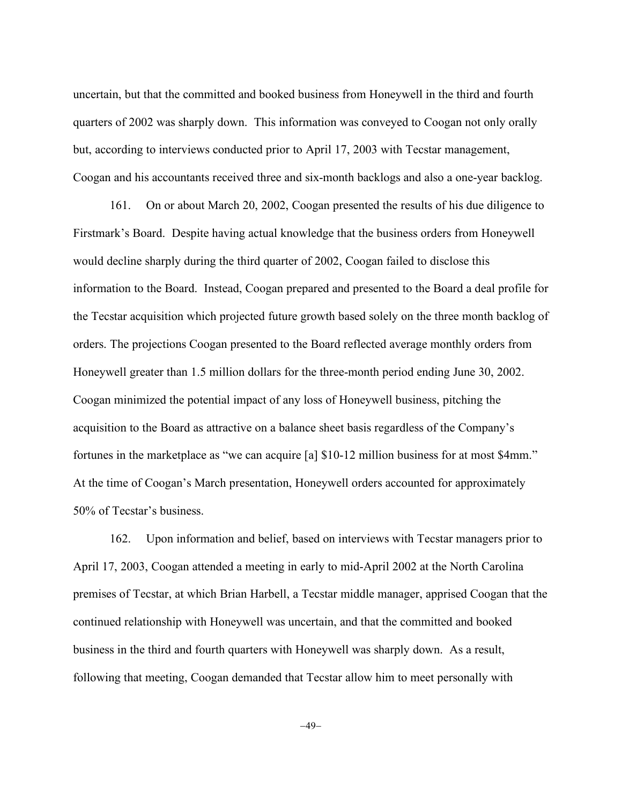uncertain, but that the committed and booked business from Honeywell in the third and fourth quarters of 2002 was sharply down. This information was conveyed to Coogan not only orally but, according to interviews conducted prior to April 17, 2003 with Tecstar management, Coogan and his accountants received three and six-month backlogs and also a one-year backlog.

161. On or about March 20, 2002, Coogan presented the results of his due diligence to Firstmark's Board. Despite having actual knowledge that the business orders from Honeywell would decline sharply during the third quarter of 2002, Coogan failed to disclose this information to the Board. Instead, Coogan prepared and presented to the Board a deal profile for the Tecstar acquisition which projected future growth based solely on the three month backlog of orders. The projections Coogan presented to the Board reflected average monthly orders from Honeywell greater than 1.5 million dollars for the three-month period ending June 30, 2002. Coogan minimized the potential impact of any loss of Honeywell business, pitching the acquisition to the Board as attractive on a balance sheet basis regardless of the Company's fortunes in the marketplace as "we can acquire [a] \$10-12 million business for at most \$4mm." At the time of Coogan's March presentation, Honeywell orders accounted for approximately 50% of Tecstar's business.

162. Upon information and belief, based on interviews with Tecstar managers prior to April 17, 2003, Coogan attended a meeting in early to mid-April 2002 at the North Carolina premises of Tecstar, at which Brian Harbell, a Tecstar middle manager, apprised Coogan that the continued relationship with Honeywell was uncertain, and that the committed and booked business in the third and fourth quarters with Honeywell was sharply down. As a result, following that meeting, Coogan demanded that Tecstar allow him to meet personally with

 $-49-$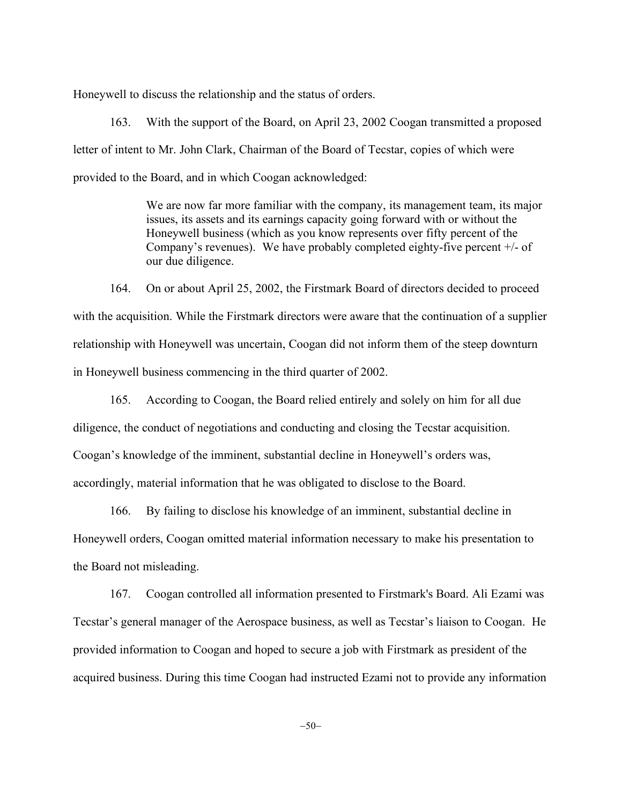Honeywell to discuss the relationship and the status of orders.

163. With the support of the Board, on April 23, 2002 Coogan transmitted a proposed letter of intent to Mr. John Clark, Chairman of the Board of Tecstar, copies of which were provided to the Board, and in which Coogan acknowledged:

> We are now far more familiar with the company, its management team, its major issues, its assets and its earnings capacity going forward with or without the Honeywell business (which as you know represents over fifty percent of the Company's revenues). We have probably completed eighty-five percent +/- of our due diligence.

164. On or about April 25, 2002, the Firstmark Board of directors decided to proceed with the acquisition. While the Firstmark directors were aware that the continuation of a supplier relationship with Honeywell was uncertain, Coogan did not inform them of the steep downturn in Honeywell business commencing in the third quarter of 2002.

165. According to Coogan, the Board relied entirely and solely on him for all due diligence, the conduct of negotiations and conducting and closing the Tecstar acquisition. Coogan's knowledge of the imminent, substantial decline in Honeywell's orders was, accordingly, material information that he was obligated to disclose to the Board.

166. By failing to disclose his knowledge of an imminent, substantial decline in Honeywell orders, Coogan omitted material information necessary to make his presentation to the Board not misleading.

167. Coogan controlled all information presented to Firstmark's Board. Ali Ezami was Tecstar's general manager of the Aerospace business, as well as Tecstar's liaison to Coogan. He provided information to Coogan and hoped to secure a job with Firstmark as president of the acquired business. During this time Coogan had instructed Ezami not to provide any information

 $-50-$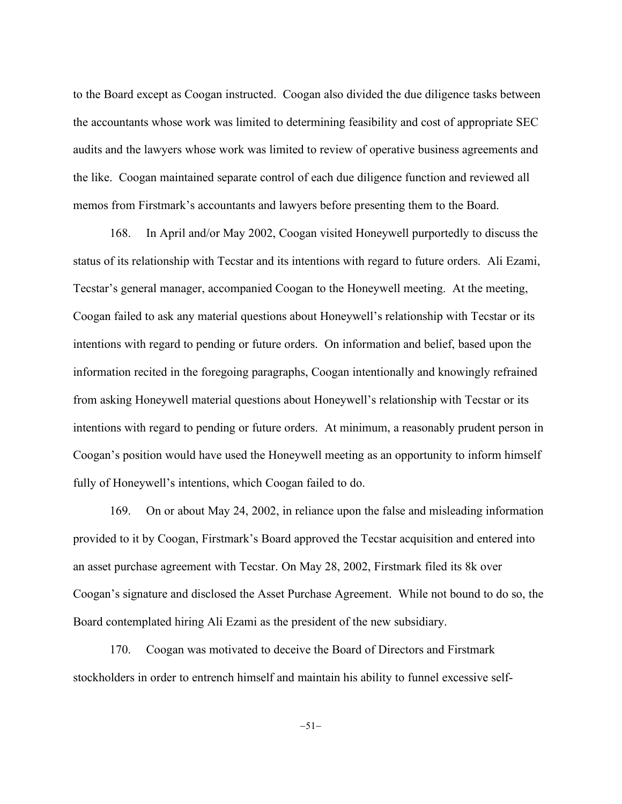to the Board except as Coogan instructed. Coogan also divided the due diligence tasks between the accountants whose work was limited to determining feasibility and cost of appropriate SEC audits and the lawyers whose work was limited to review of operative business agreements and the like. Coogan maintained separate control of each due diligence function and reviewed all memos from Firstmark's accountants and lawyers before presenting them to the Board.

168. In April and/or May 2002, Coogan visited Honeywell purportedly to discuss the status of its relationship with Tecstar and its intentions with regard to future orders. Ali Ezami, Tecstar's general manager, accompanied Coogan to the Honeywell meeting. At the meeting, Coogan failed to ask any material questions about Honeywell's relationship with Tecstar or its intentions with regard to pending or future orders. On information and belief, based upon the information recited in the foregoing paragraphs, Coogan intentionally and knowingly refrained from asking Honeywell material questions about Honeywell's relationship with Tecstar or its intentions with regard to pending or future orders. At minimum, a reasonably prudent person in Coogan's position would have used the Honeywell meeting as an opportunity to inform himself fully of Honeywell's intentions, which Coogan failed to do.

169. On or about May 24, 2002, in reliance upon the false and misleading information provided to it by Coogan, Firstmark's Board approved the Tecstar acquisition and entered into an asset purchase agreement with Tecstar. On May 28, 2002, Firstmark filed its 8k over Coogan's signature and disclosed the Asset Purchase Agreement. While not bound to do so, the Board contemplated hiring Ali Ezami as the president of the new subsidiary.

170. Coogan was motivated to deceive the Board of Directors and Firstmark stockholders in order to entrench himself and maintain his ability to funnel excessive self-

 $-51-$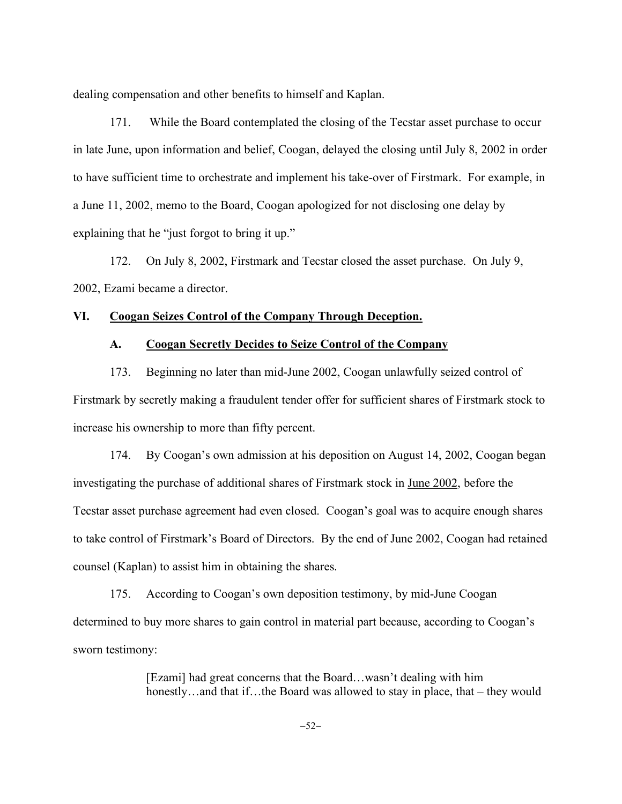dealing compensation and other benefits to himself and Kaplan.

171. While the Board contemplated the closing of the Tecstar asset purchase to occur in late June, upon information and belief, Coogan, delayed the closing until July 8, 2002 in order to have sufficient time to orchestrate and implement his take-over of Firstmark. For example, in a June 11, 2002, memo to the Board, Coogan apologized for not disclosing one delay by explaining that he "just forgot to bring it up."

172. On July 8, 2002, Firstmark and Tecstar closed the asset purchase. On July 9, 2002, Ezami became a director.

## **VI. Coogan Seizes Control of the Company Through Deception.**

## **A. Coogan Secretly Decides to Seize Control of the Company**

173. Beginning no later than mid-June 2002, Coogan unlawfully seized control of Firstmark by secretly making a fraudulent tender offer for sufficient shares of Firstmark stock to increase his ownership to more than fifty percent.

174. By Coogan's own admission at his deposition on August 14, 2002, Coogan began investigating the purchase of additional shares of Firstmark stock in June 2002, before the Tecstar asset purchase agreement had even closed. Coogan's goal was to acquire enough shares to take control of Firstmark's Board of Directors. By the end of June 2002, Coogan had retained counsel (Kaplan) to assist him in obtaining the shares.

175. According to Coogan's own deposition testimony, by mid-June Coogan determined to buy more shares to gain control in material part because, according to Coogan's sworn testimony:

> [Ezami] had great concerns that the Board…wasn't dealing with him honestly…and that if…the Board was allowed to stay in place, that – they would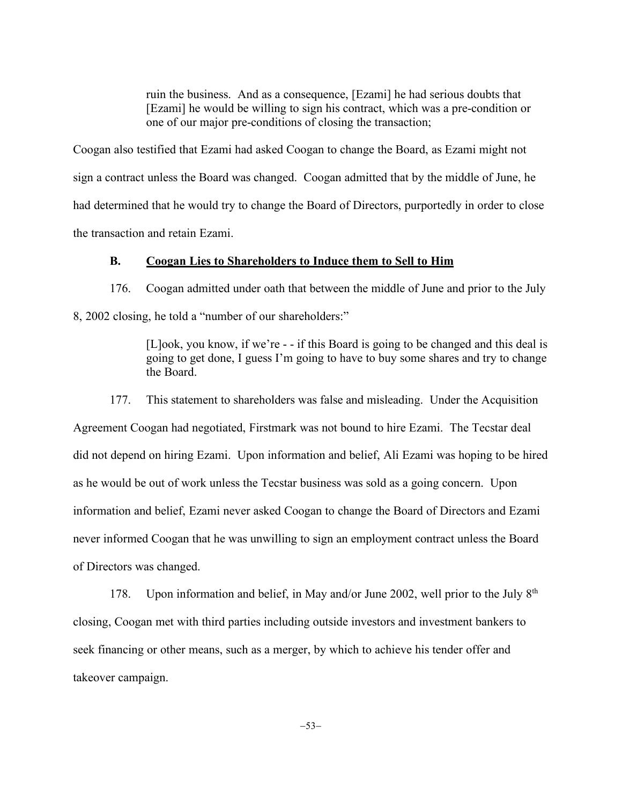ruin the business. And as a consequence, [Ezami] he had serious doubts that [Ezami] he would be willing to sign his contract, which was a pre-condition or one of our major pre-conditions of closing the transaction;

Coogan also testified that Ezami had asked Coogan to change the Board, as Ezami might not sign a contract unless the Board was changed. Coogan admitted that by the middle of June, he had determined that he would try to change the Board of Directors, purportedly in order to close the transaction and retain Ezami.

## **B. Coogan Lies to Shareholders to Induce them to Sell to Him**

176. Coogan admitted under oath that between the middle of June and prior to the July 8, 2002 closing, he told a "number of our shareholders:"

> [L]ook, you know, if we're - - if this Board is going to be changed and this deal is going to get done, I guess I'm going to have to buy some shares and try to change the Board.

177. This statement to shareholders was false and misleading. Under the Acquisition Agreement Coogan had negotiated, Firstmark was not bound to hire Ezami. The Tecstar deal did not depend on hiring Ezami. Upon information and belief, Ali Ezami was hoping to be hired as he would be out of work unless the Tecstar business was sold as a going concern. Upon information and belief, Ezami never asked Coogan to change the Board of Directors and Ezami never informed Coogan that he was unwilling to sign an employment contract unless the Board of Directors was changed.

178. Upon information and belief, in May and/or June 2002, well prior to the July 8<sup>th</sup> closing, Coogan met with third parties including outside investors and investment bankers to seek financing or other means, such as a merger, by which to achieve his tender offer and takeover campaign.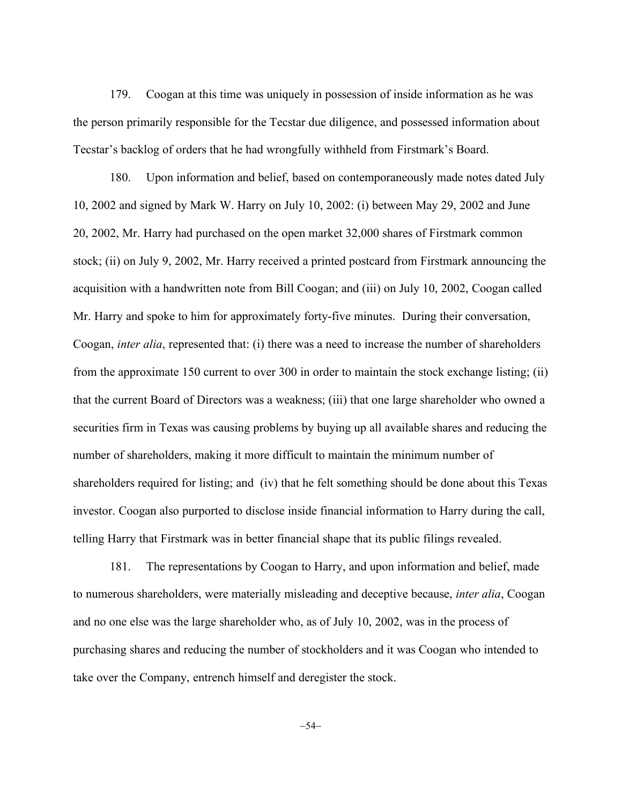179. Coogan at this time was uniquely in possession of inside information as he was the person primarily responsible for the Tecstar due diligence, and possessed information about Tecstar's backlog of orders that he had wrongfully withheld from Firstmark's Board.

180. Upon information and belief, based on contemporaneously made notes dated July 10, 2002 and signed by Mark W. Harry on July 10, 2002: (i) between May 29, 2002 and June 20, 2002, Mr. Harry had purchased on the open market 32,000 shares of Firstmark common stock; (ii) on July 9, 2002, Mr. Harry received a printed postcard from Firstmark announcing the acquisition with a handwritten note from Bill Coogan; and (iii) on July 10, 2002, Coogan called Mr. Harry and spoke to him for approximately forty-five minutes. During their conversation, Coogan, *inter alia*, represented that: (i) there was a need to increase the number of shareholders from the approximate 150 current to over 300 in order to maintain the stock exchange listing; (ii) that the current Board of Directors was a weakness; (iii) that one large shareholder who owned a securities firm in Texas was causing problems by buying up all available shares and reducing the number of shareholders, making it more difficult to maintain the minimum number of shareholders required for listing; and (iv) that he felt something should be done about this Texas investor. Coogan also purported to disclose inside financial information to Harry during the call, telling Harry that Firstmark was in better financial shape that its public filings revealed.

181. The representations by Coogan to Harry, and upon information and belief, made to numerous shareholders, were materially misleading and deceptive because, *inter alia*, Coogan and no one else was the large shareholder who, as of July 10, 2002, was in the process of purchasing shares and reducing the number of stockholders and it was Coogan who intended to take over the Company, entrench himself and deregister the stock.

 $-54-$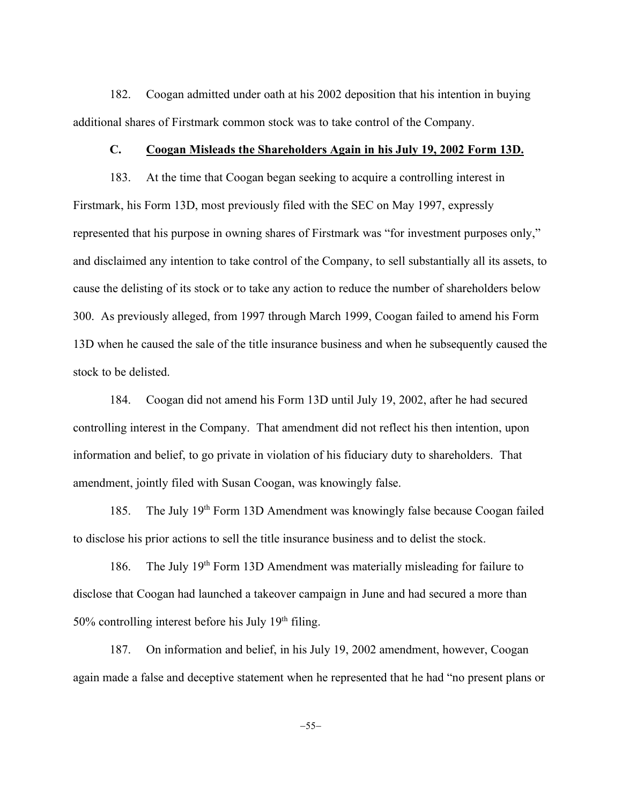182. Coogan admitted under oath at his 2002 deposition that his intention in buying additional shares of Firstmark common stock was to take control of the Company.

## **C. Coogan Misleads the Shareholders Again in his July 19, 2002 Form 13D.**

183. At the time that Coogan began seeking to acquire a controlling interest in Firstmark, his Form 13D, most previously filed with the SEC on May 1997, expressly represented that his purpose in owning shares of Firstmark was "for investment purposes only," and disclaimed any intention to take control of the Company, to sell substantially all its assets, to cause the delisting of its stock or to take any action to reduce the number of shareholders below 300. As previously alleged, from 1997 through March 1999, Coogan failed to amend his Form 13D when he caused the sale of the title insurance business and when he subsequently caused the stock to be delisted.

184. Coogan did not amend his Form 13D until July 19, 2002, after he had secured controlling interest in the Company. That amendment did not reflect his then intention, upon information and belief, to go private in violation of his fiduciary duty to shareholders. That amendment, jointly filed with Susan Coogan, was knowingly false.

185. The July 19th Form 13D Amendment was knowingly false because Coogan failed to disclose his prior actions to sell the title insurance business and to delist the stock.

186. The July 19th Form 13D Amendment was materially misleading for failure to disclose that Coogan had launched a takeover campaign in June and had secured a more than  $50\%$  controlling interest before his July 19<sup>th</sup> filing.

187. On information and belief, in his July 19, 2002 amendment, however, Coogan again made a false and deceptive statement when he represented that he had "no present plans or

 $-55-$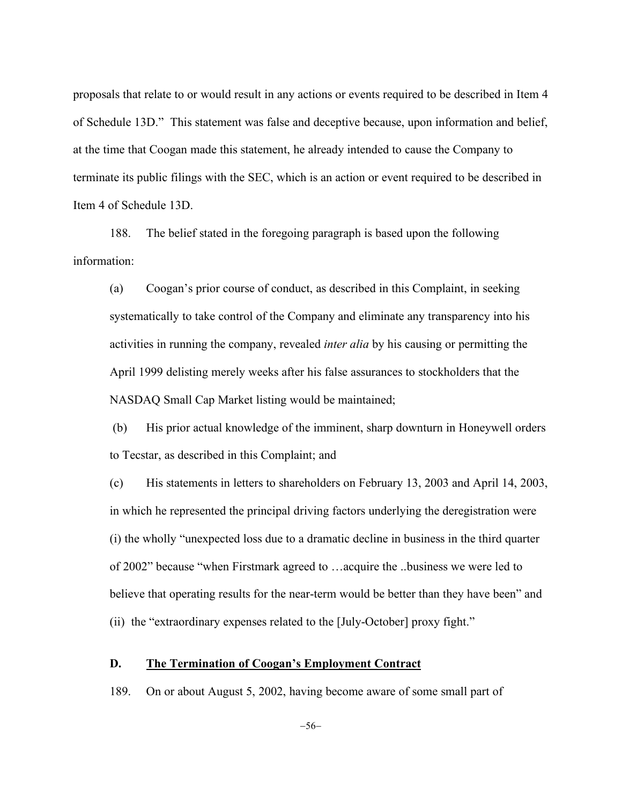proposals that relate to or would result in any actions or events required to be described in Item 4 of Schedule 13D." This statement was false and deceptive because, upon information and belief, at the time that Coogan made this statement, he already intended to cause the Company to terminate its public filings with the SEC, which is an action or event required to be described in Item 4 of Schedule 13D.

188. The belief stated in the foregoing paragraph is based upon the following information:

(a) Coogan's prior course of conduct, as described in this Complaint, in seeking systematically to take control of the Company and eliminate any transparency into his activities in running the company, revealed *inter alia* by his causing or permitting the April 1999 delisting merely weeks after his false assurances to stockholders that the NASDAQ Small Cap Market listing would be maintained;

(b) His prior actual knowledge of the imminent, sharp downturn in Honeywell orders to Tecstar, as described in this Complaint; and

(c) His statements in letters to shareholders on February 13, 2003 and April 14, 2003, in which he represented the principal driving factors underlying the deregistration were (i) the wholly "unexpected loss due to a dramatic decline in business in the third quarter of 2002" because "when Firstmark agreed to …acquire the ..business we were led to believe that operating results for the near-term would be better than they have been" and (ii) the "extraordinary expenses related to the [July-October] proxy fight."

### **D. The Termination of Coogan's Employment Contract**

189. On or about August 5, 2002, having become aware of some small part of

 $-56-$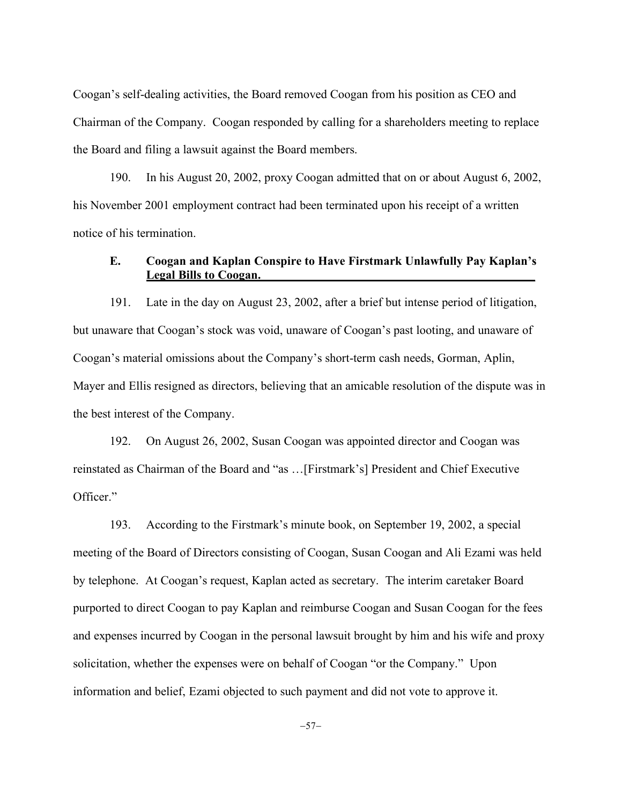Coogan's self-dealing activities, the Board removed Coogan from his position as CEO and Chairman of the Company. Coogan responded by calling for a shareholders meeting to replace the Board and filing a lawsuit against the Board members.

190. In his August 20, 2002, proxy Coogan admitted that on or about August 6, 2002, his November 2001 employment contract had been terminated upon his receipt of a written notice of his termination.

# **E. Coogan and Kaplan Conspire to Have Firstmark Unlawfully Pay Kaplan's Legal Bills to Coogan.\_\_\_\_\_\_\_\_\_\_\_\_\_\_\_\_\_\_\_\_\_\_\_\_\_\_\_\_\_\_\_\_\_\_\_\_\_\_\_\_\_\_\_\_\_**

191. Late in the day on August 23, 2002, after a brief but intense period of litigation, but unaware that Coogan's stock was void, unaware of Coogan's past looting, and unaware of Coogan's material omissions about the Company's short-term cash needs, Gorman, Aplin, Mayer and Ellis resigned as directors, believing that an amicable resolution of the dispute was in the best interest of the Company.

192. On August 26, 2002, Susan Coogan was appointed director and Coogan was reinstated as Chairman of the Board and "as …[Firstmark's] President and Chief Executive Officer."

193. According to the Firstmark's minute book, on September 19, 2002, a special meeting of the Board of Directors consisting of Coogan, Susan Coogan and Ali Ezami was held by telephone. At Coogan's request, Kaplan acted as secretary. The interim caretaker Board purported to direct Coogan to pay Kaplan and reimburse Coogan and Susan Coogan for the fees and expenses incurred by Coogan in the personal lawsuit brought by him and his wife and proxy solicitation, whether the expenses were on behalf of Coogan "or the Company." Upon information and belief, Ezami objected to such payment and did not vote to approve it.

 $-57-$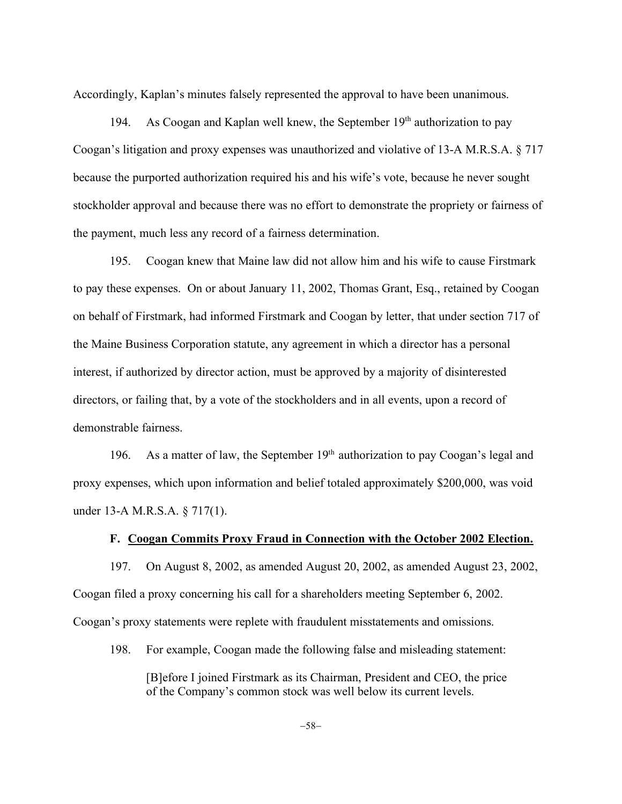Accordingly, Kaplan's minutes falsely represented the approval to have been unanimous.

194. As Coogan and Kaplan well knew, the September  $19<sup>th</sup>$  authorization to pay Coogan's litigation and proxy expenses was unauthorized and violative of 13-A M.R.S.A. § 717 because the purported authorization required his and his wife's vote, because he never sought stockholder approval and because there was no effort to demonstrate the propriety or fairness of the payment, much less any record of a fairness determination.

195. Coogan knew that Maine law did not allow him and his wife to cause Firstmark to pay these expenses. On or about January 11, 2002, Thomas Grant, Esq., retained by Coogan on behalf of Firstmark, had informed Firstmark and Coogan by letter, that under section 717 of the Maine Business Corporation statute, any agreement in which a director has a personal interest, if authorized by director action, must be approved by a majority of disinterested directors, or failing that, by a vote of the stockholders and in all events, upon a record of demonstrable fairness.

196. As a matter of law, the September  $19<sup>th</sup>$  authorization to pay Coogan's legal and proxy expenses, which upon information and belief totaled approximately \$200,000, was void under 13-A M.R.S.A. § 717(1).

## **F. Coogan Commits Proxy Fraud in Connection with the October 2002 Election.**

197. On August 8, 2002, as amended August 20, 2002, as amended August 23, 2002, Coogan filed a proxy concerning his call for a shareholders meeting September 6, 2002. Coogan's proxy statements were replete with fraudulent misstatements and omissions.

198. For example, Coogan made the following false and misleading statement: [B]efore I joined Firstmark as its Chairman, President and CEO, the price of the Company's common stock was well below its current levels.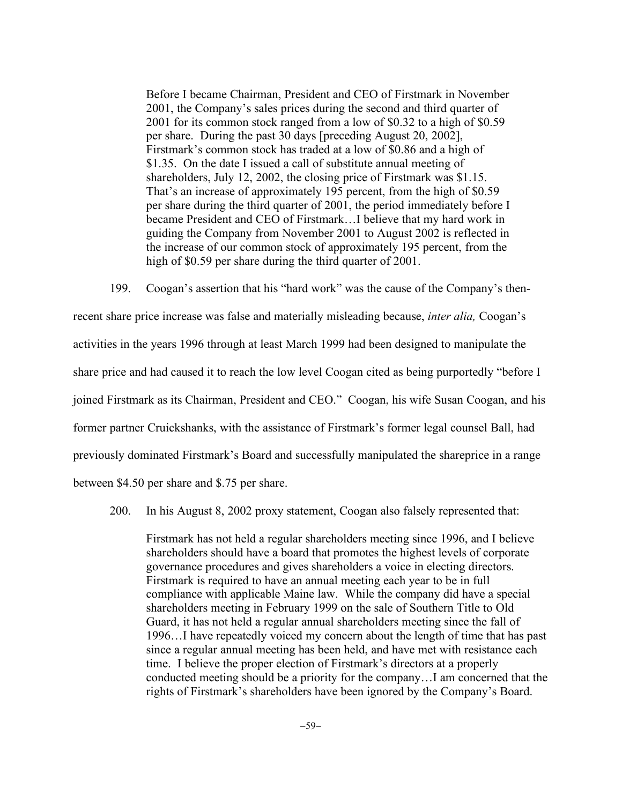Before I became Chairman, President and CEO of Firstmark in November 2001, the Company's sales prices during the second and third quarter of 2001 for its common stock ranged from a low of \$0.32 to a high of \$0.59 per share. During the past 30 days [preceding August 20, 2002], Firstmark's common stock has traded at a low of \$0.86 and a high of \$1.35. On the date I issued a call of substitute annual meeting of shareholders, July 12, 2002, the closing price of Firstmark was \$1.15. That's an increase of approximately 195 percent, from the high of \$0.59 per share during the third quarter of 2001, the period immediately before I became President and CEO of Firstmark…I believe that my hard work in guiding the Company from November 2001 to August 2002 is reflected in the increase of our common stock of approximately 195 percent, from the high of \$0.59 per share during the third quarter of 2001.

199. Coogan's assertion that his "hard work" was the cause of the Company's thenrecent share price increase was false and materially misleading because, *inter alia,* Coogan's activities in the years 1996 through at least March 1999 had been designed to manipulate the share price and had caused it to reach the low level Coogan cited as being purportedly "before I joined Firstmark as its Chairman, President and CEO." Coogan, his wife Susan Coogan, and his former partner Cruickshanks, with the assistance of Firstmark's former legal counsel Ball, had previously dominated Firstmark's Board and successfully manipulated the shareprice in a range between \$4.50 per share and \$.75 per share.

200. In his August 8, 2002 proxy statement, Coogan also falsely represented that:

Firstmark has not held a regular shareholders meeting since 1996, and I believe shareholders should have a board that promotes the highest levels of corporate governance procedures and gives shareholders a voice in electing directors. Firstmark is required to have an annual meeting each year to be in full compliance with applicable Maine law. While the company did have a special shareholders meeting in February 1999 on the sale of Southern Title to Old Guard, it has not held a regular annual shareholders meeting since the fall of 1996…I have repeatedly voiced my concern about the length of time that has past since a regular annual meeting has been held, and have met with resistance each time. I believe the proper election of Firstmark's directors at a properly conducted meeting should be a priority for the company…I am concerned that the rights of Firstmark's shareholders have been ignored by the Company's Board.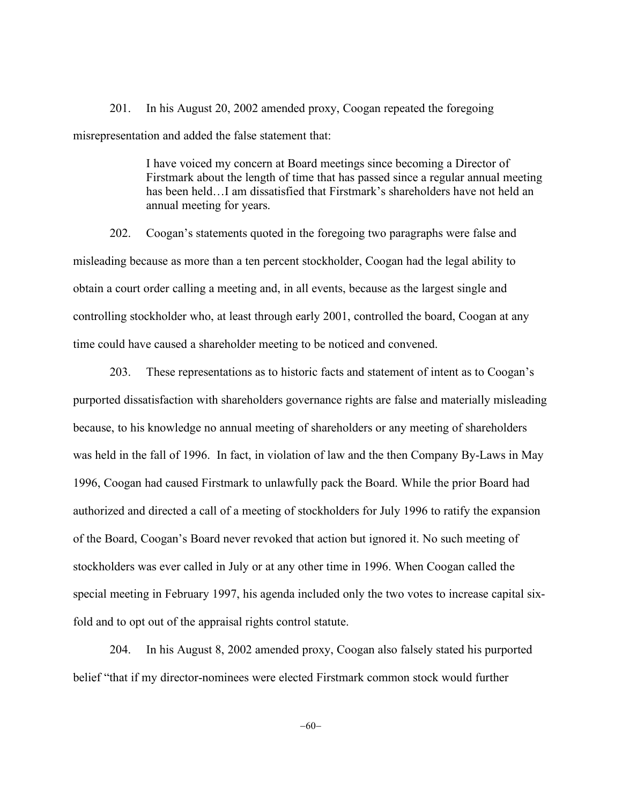201. In his August 20, 2002 amended proxy, Coogan repeated the foregoing misrepresentation and added the false statement that:

> I have voiced my concern at Board meetings since becoming a Director of Firstmark about the length of time that has passed since a regular annual meeting has been held…I am dissatisfied that Firstmark's shareholders have not held an annual meeting for years.

202. Coogan's statements quoted in the foregoing two paragraphs were false and misleading because as more than a ten percent stockholder, Coogan had the legal ability to obtain a court order calling a meeting and, in all events, because as the largest single and controlling stockholder who, at least through early 2001, controlled the board, Coogan at any time could have caused a shareholder meeting to be noticed and convened.

203. These representations as to historic facts and statement of intent as to Coogan's purported dissatisfaction with shareholders governance rights are false and materially misleading because, to his knowledge no annual meeting of shareholders or any meeting of shareholders was held in the fall of 1996. In fact, in violation of law and the then Company By-Laws in May 1996, Coogan had caused Firstmark to unlawfully pack the Board. While the prior Board had authorized and directed a call of a meeting of stockholders for July 1996 to ratify the expansion of the Board, Coogan's Board never revoked that action but ignored it. No such meeting of stockholders was ever called in July or at any other time in 1996. When Coogan called the special meeting in February 1997, his agenda included only the two votes to increase capital sixfold and to opt out of the appraisal rights control statute.

204. In his August 8, 2002 amended proxy, Coogan also falsely stated his purported belief "that if my director-nominees were elected Firstmark common stock would further

 $-60-$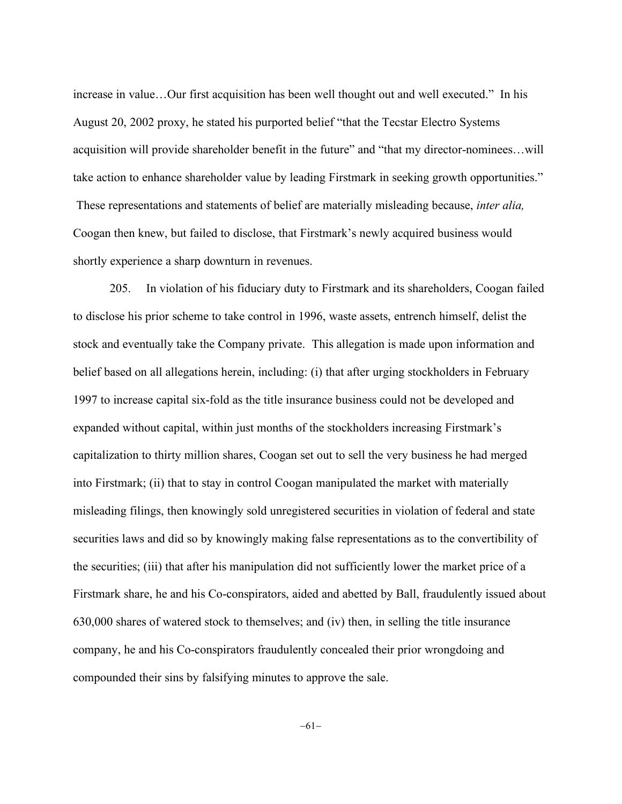increase in value…Our first acquisition has been well thought out and well executed." In his August 20, 2002 proxy, he stated his purported belief "that the Tecstar Electro Systems acquisition will provide shareholder benefit in the future" and "that my director-nominees…will take action to enhance shareholder value by leading Firstmark in seeking growth opportunities." These representations and statements of belief are materially misleading because, *inter alia,* Coogan then knew, but failed to disclose, that Firstmark's newly acquired business would shortly experience a sharp downturn in revenues.

205. In violation of his fiduciary duty to Firstmark and its shareholders, Coogan failed to disclose his prior scheme to take control in 1996, waste assets, entrench himself, delist the stock and eventually take the Company private. This allegation is made upon information and belief based on all allegations herein, including: (i) that after urging stockholders in February 1997 to increase capital six-fold as the title insurance business could not be developed and expanded without capital, within just months of the stockholders increasing Firstmark's capitalization to thirty million shares, Coogan set out to sell the very business he had merged into Firstmark; (ii) that to stay in control Coogan manipulated the market with materially misleading filings, then knowingly sold unregistered securities in violation of federal and state securities laws and did so by knowingly making false representations as to the convertibility of the securities; (iii) that after his manipulation did not sufficiently lower the market price of a Firstmark share, he and his Co-conspirators, aided and abetted by Ball, fraudulently issued about 630,000 shares of watered stock to themselves; and (iv) then, in selling the title insurance company, he and his Co-conspirators fraudulently concealed their prior wrongdoing and compounded their sins by falsifying minutes to approve the sale.

 $-61-$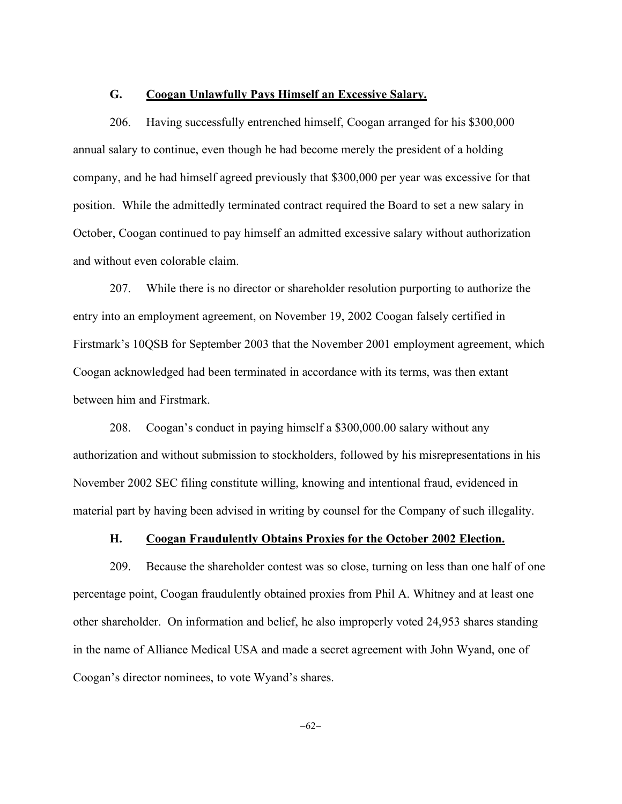### **G. Coogan Unlawfully Pays Himself an Excessive Salary.**

206. Having successfully entrenched himself, Coogan arranged for his \$300,000 annual salary to continue, even though he had become merely the president of a holding company, and he had himself agreed previously that \$300,000 per year was excessive for that position. While the admittedly terminated contract required the Board to set a new salary in October, Coogan continued to pay himself an admitted excessive salary without authorization and without even colorable claim.

207. While there is no director or shareholder resolution purporting to authorize the entry into an employment agreement, on November 19, 2002 Coogan falsely certified in Firstmark's 10QSB for September 2003 that the November 2001 employment agreement, which Coogan acknowledged had been terminated in accordance with its terms, was then extant between him and Firstmark.

208. Coogan's conduct in paying himself a \$300,000.00 salary without any authorization and without submission to stockholders, followed by his misrepresentations in his November 2002 SEC filing constitute willing, knowing and intentional fraud, evidenced in material part by having been advised in writing by counsel for the Company of such illegality.

## **H. Coogan Fraudulently Obtains Proxies for the October 2002 Election.**

209. Because the shareholder contest was so close, turning on less than one half of one percentage point, Coogan fraudulently obtained proxies from Phil A. Whitney and at least one other shareholder. On information and belief, he also improperly voted 24,953 shares standing in the name of Alliance Medical USA and made a secret agreement with John Wyand, one of Coogan's director nominees, to vote Wyand's shares.

 $-62-$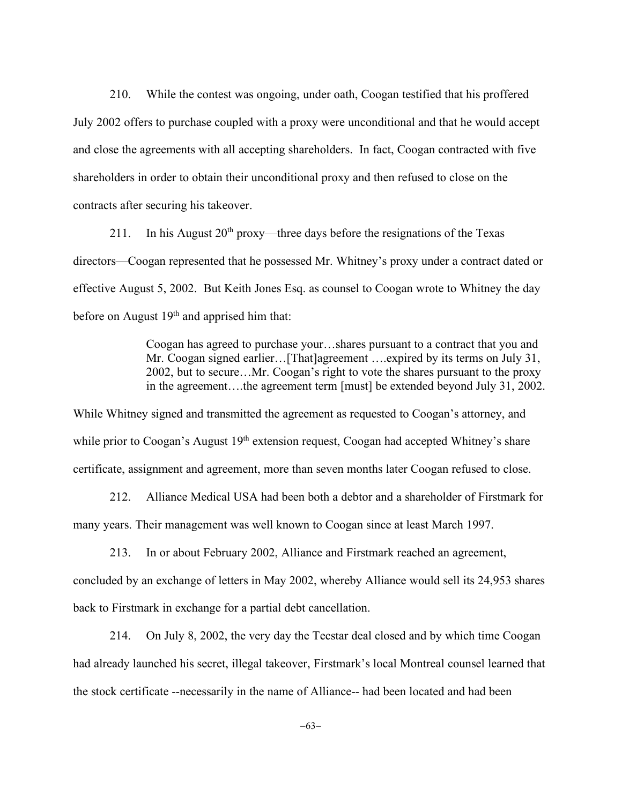210. While the contest was ongoing, under oath, Coogan testified that his proffered July 2002 offers to purchase coupled with a proxy were unconditional and that he would accept and close the agreements with all accepting shareholders. In fact, Coogan contracted with five shareholders in order to obtain their unconditional proxy and then refused to close on the contracts after securing his takeover.

211. In his August  $20<sup>th</sup>$  proxy—three days before the resignations of the Texas directors—Coogan represented that he possessed Mr. Whitney's proxy under a contract dated or effective August 5, 2002. But Keith Jones Esq. as counsel to Coogan wrote to Whitney the day before on August  $19<sup>th</sup>$  and apprised him that:

> Coogan has agreed to purchase your…shares pursuant to a contract that you and Mr. Coogan signed earlier...[That]agreement ....expired by its terms on July 31, 2002, but to secure…Mr. Coogan's right to vote the shares pursuant to the proxy in the agreement….the agreement term [must] be extended beyond July 31, 2002.

While Whitney signed and transmitted the agreement as requested to Coogan's attorney, and while prior to Coogan's August 19<sup>th</sup> extension request, Coogan had accepted Whitney's share certificate, assignment and agreement, more than seven months later Coogan refused to close.

212. Alliance Medical USA had been both a debtor and a shareholder of Firstmark for many years. Their management was well known to Coogan since at least March 1997.

213. In or about February 2002, Alliance and Firstmark reached an agreement, concluded by an exchange of letters in May 2002, whereby Alliance would sell its 24,953 shares back to Firstmark in exchange for a partial debt cancellation.

214. On July 8, 2002, the very day the Tecstar deal closed and by which time Coogan had already launched his secret, illegal takeover, Firstmark's local Montreal counsel learned that the stock certificate --necessarily in the name of Alliance-- had been located and had been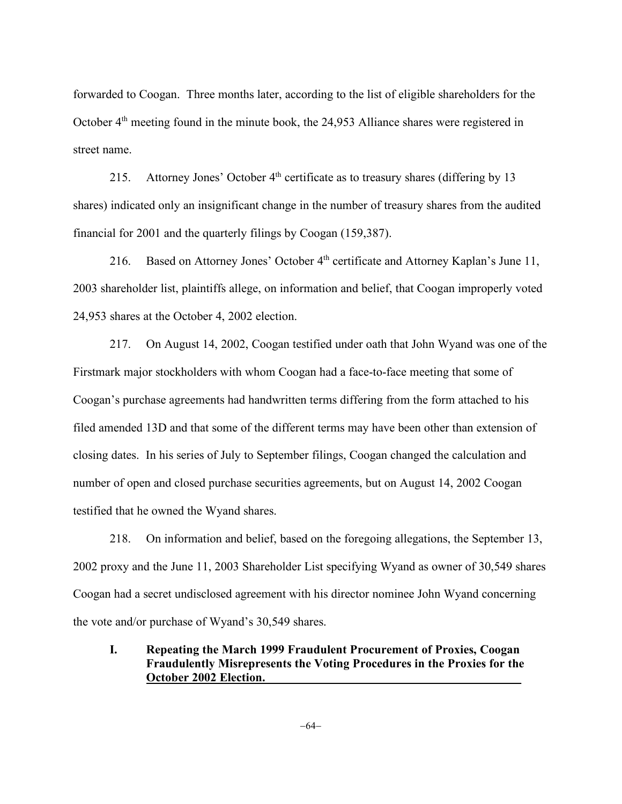forwarded to Coogan. Three months later, according to the list of eligible shareholders for the October  $4<sup>th</sup>$  meeting found in the minute book, the 24,953 Alliance shares were registered in street name.

215. Attorney Jones' October  $4<sup>th</sup>$  certificate as to treasury shares (differing by 13 shares) indicated only an insignificant change in the number of treasury shares from the audited financial for 2001 and the quarterly filings by Coogan (159,387).

216. Based on Attorney Jones' October 4<sup>th</sup> certificate and Attorney Kaplan's June 11, 2003 shareholder list, plaintiffs allege, on information and belief, that Coogan improperly voted 24,953 shares at the October 4, 2002 election.

217. On August 14, 2002, Coogan testified under oath that John Wyand was one of the Firstmark major stockholders with whom Coogan had a face-to-face meeting that some of Coogan's purchase agreements had handwritten terms differing from the form attached to his filed amended 13D and that some of the different terms may have been other than extension of closing dates. In his series of July to September filings, Coogan changed the calculation and number of open and closed purchase securities agreements, but on August 14, 2002 Coogan testified that he owned the Wyand shares.

218. On information and belief, based on the foregoing allegations, the September 13, 2002 proxy and the June 11, 2003 Shareholder List specifying Wyand as owner of 30,549 shares Coogan had a secret undisclosed agreement with his director nominee John Wyand concerning the vote and/or purchase of Wyand's 30,549 shares.

# **I. Repeating the March 1999 Fraudulent Procurement of Proxies, Coogan Fraudulently Misrepresents the Voting Procedures in the Proxies for the October 2002 Election.\_\_\_\_\_\_\_\_\_\_\_\_\_\_\_\_\_\_\_\_\_\_\_\_\_\_\_\_\_\_\_\_\_\_\_\_\_\_\_\_\_\_**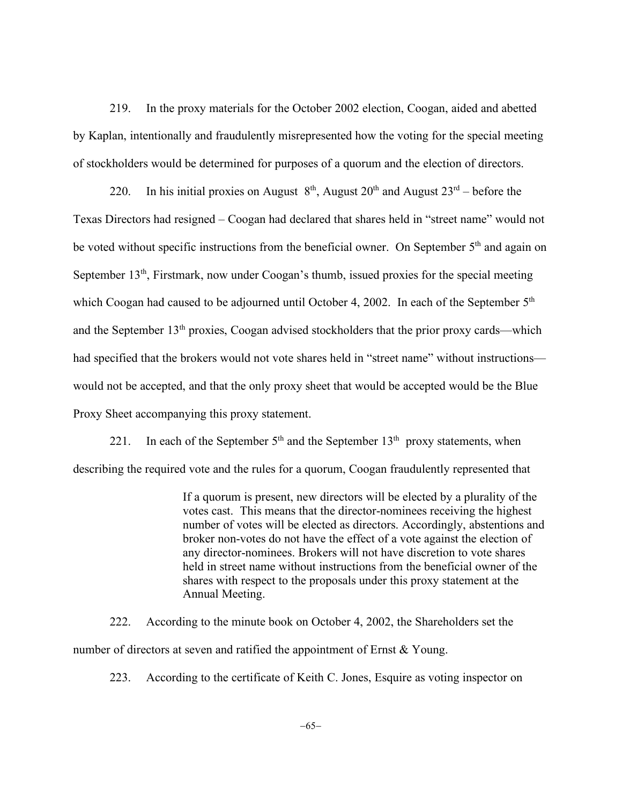219. In the proxy materials for the October 2002 election, Coogan, aided and abetted by Kaplan, intentionally and fraudulently misrepresented how the voting for the special meeting of stockholders would be determined for purposes of a quorum and the election of directors.

220. In his initial proxies on August  $8<sup>th</sup>$ , August 20<sup>th</sup> and August 23<sup>rd</sup> – before the Texas Directors had resigned – Coogan had declared that shares held in "street name" would not be voted without specific instructions from the beneficial owner. On September 5<sup>th</sup> and again on September  $13<sup>th</sup>$ , Firstmark, now under Coogan's thumb, issued proxies for the special meeting which Coogan had caused to be adjourned until October 4, 2002. In each of the September 5<sup>th</sup> and the September 13<sup>th</sup> proxies, Coogan advised stockholders that the prior proxy cards—which had specified that the brokers would not vote shares held in "street name" without instructions would not be accepted, and that the only proxy sheet that would be accepted would be the Blue Proxy Sheet accompanying this proxy statement.

221. In each of the September  $5<sup>th</sup>$  and the September  $13<sup>th</sup>$  proxy statements, when describing the required vote and the rules for a quorum, Coogan fraudulently represented that

> If a quorum is present, new directors will be elected by a plurality of the votes cast. This means that the director-nominees receiving the highest number of votes will be elected as directors. Accordingly, abstentions and broker non-votes do not have the effect of a vote against the election of any director-nominees. Brokers will not have discretion to vote shares held in street name without instructions from the beneficial owner of the shares with respect to the proposals under this proxy statement at the Annual Meeting.

222. According to the minute book on October 4, 2002, the Shareholders set the number of directors at seven and ratified the appointment of Ernst & Young.

223. According to the certificate of Keith C. Jones, Esquire as voting inspector on

-65-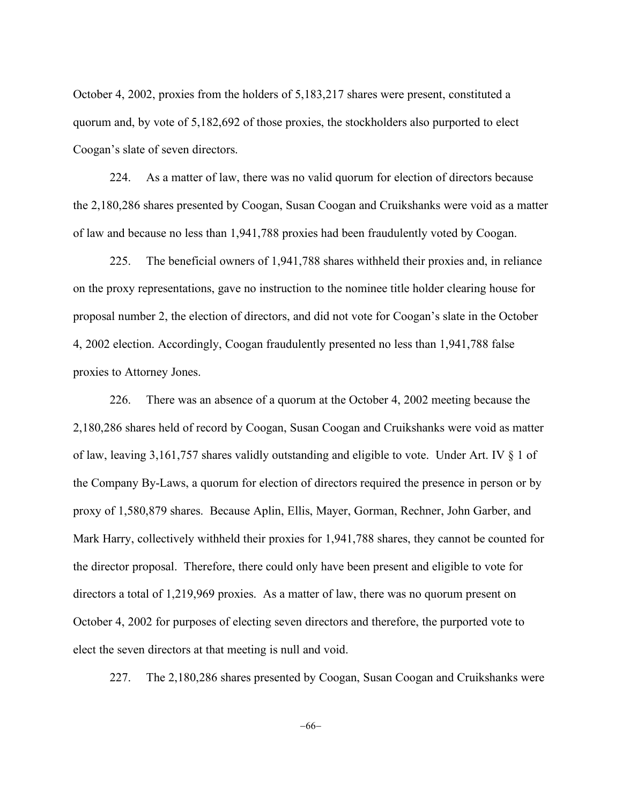October 4, 2002, proxies from the holders of 5,183,217 shares were present, constituted a quorum and, by vote of 5,182,692 of those proxies, the stockholders also purported to elect Coogan's slate of seven directors.

224. As a matter of law, there was no valid quorum for election of directors because the 2,180,286 shares presented by Coogan, Susan Coogan and Cruikshanks were void as a matter of law and because no less than 1,941,788 proxies had been fraudulently voted by Coogan.

225. The beneficial owners of 1,941,788 shares withheld their proxies and, in reliance on the proxy representations, gave no instruction to the nominee title holder clearing house for proposal number 2, the election of directors, and did not vote for Coogan's slate in the October 4, 2002 election. Accordingly, Coogan fraudulently presented no less than 1,941,788 false proxies to Attorney Jones.

226. There was an absence of a quorum at the October 4, 2002 meeting because the 2,180,286 shares held of record by Coogan, Susan Coogan and Cruikshanks were void as matter of law, leaving 3,161,757 shares validly outstanding and eligible to vote. Under Art. IV § 1 of the Company By-Laws, a quorum for election of directors required the presence in person or by proxy of 1,580,879 shares. Because Aplin, Ellis, Mayer, Gorman, Rechner, John Garber, and Mark Harry, collectively withheld their proxies for 1,941,788 shares, they cannot be counted for the director proposal. Therefore, there could only have been present and eligible to vote for directors a total of 1,219,969 proxies. As a matter of law, there was no quorum present on October 4, 2002 for purposes of electing seven directors and therefore, the purported vote to elect the seven directors at that meeting is null and void.

227. The 2,180,286 shares presented by Coogan, Susan Coogan and Cruikshanks were

-66-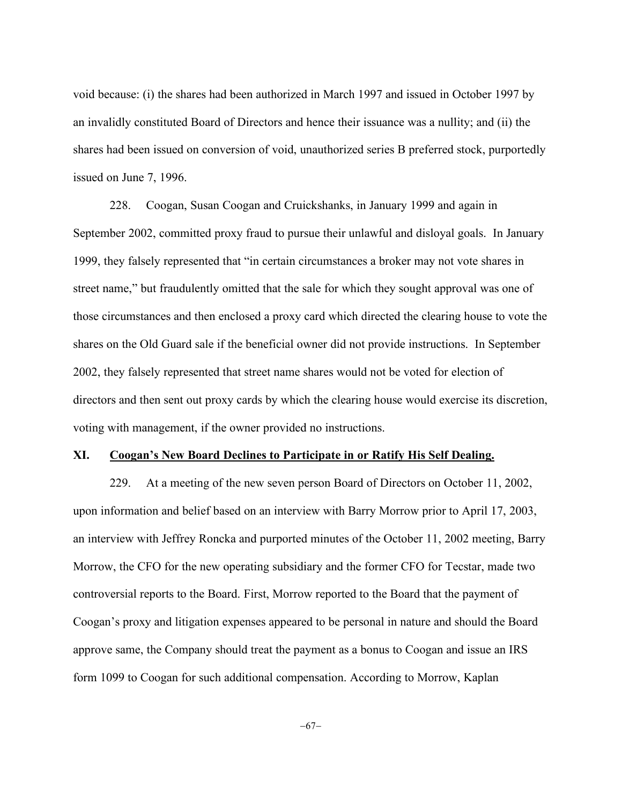void because: (i) the shares had been authorized in March 1997 and issued in October 1997 by an invalidly constituted Board of Directors and hence their issuance was a nullity; and (ii) the shares had been issued on conversion of void, unauthorized series B preferred stock, purportedly issued on June 7, 1996.

228. Coogan, Susan Coogan and Cruickshanks, in January 1999 and again in September 2002, committed proxy fraud to pursue their unlawful and disloyal goals. In January 1999, they falsely represented that "in certain circumstances a broker may not vote shares in street name," but fraudulently omitted that the sale for which they sought approval was one of those circumstances and then enclosed a proxy card which directed the clearing house to vote the shares on the Old Guard sale if the beneficial owner did not provide instructions. In September 2002, they falsely represented that street name shares would not be voted for election of directors and then sent out proxy cards by which the clearing house would exercise its discretion, voting with management, if the owner provided no instructions.

## **XI. Coogan's New Board Declines to Participate in or Ratify His Self Dealing.**

229. At a meeting of the new seven person Board of Directors on October 11, 2002, upon information and belief based on an interview with Barry Morrow prior to April 17, 2003, an interview with Jeffrey Roncka and purported minutes of the October 11, 2002 meeting, Barry Morrow, the CFO for the new operating subsidiary and the former CFO for Tecstar, made two controversial reports to the Board. First, Morrow reported to the Board that the payment of Coogan's proxy and litigation expenses appeared to be personal in nature and should the Board approve same, the Company should treat the payment as a bonus to Coogan and issue an IRS form 1099 to Coogan for such additional compensation. According to Morrow, Kaplan

-67-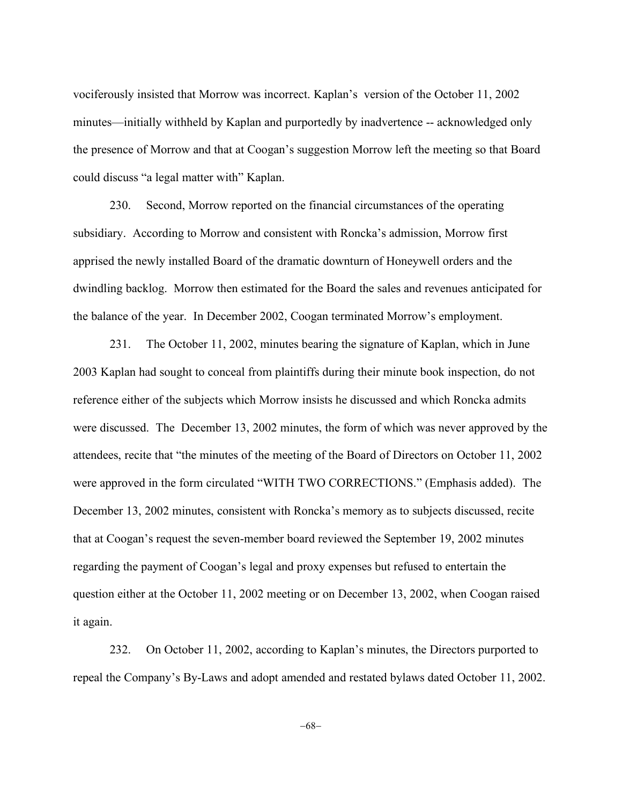vociferously insisted that Morrow was incorrect. Kaplan's version of the October 11, 2002 minutes—initially withheld by Kaplan and purportedly by inadvertence -- acknowledged only the presence of Morrow and that at Coogan's suggestion Morrow left the meeting so that Board could discuss "a legal matter with" Kaplan.

230. Second, Morrow reported on the financial circumstances of the operating subsidiary. According to Morrow and consistent with Roncka's admission, Morrow first apprised the newly installed Board of the dramatic downturn of Honeywell orders and the dwindling backlog. Morrow then estimated for the Board the sales and revenues anticipated for the balance of the year. In December 2002, Coogan terminated Morrow's employment.

231. The October 11, 2002, minutes bearing the signature of Kaplan, which in June 2003 Kaplan had sought to conceal from plaintiffs during their minute book inspection, do not reference either of the subjects which Morrow insists he discussed and which Roncka admits were discussed. The December 13, 2002 minutes, the form of which was never approved by the attendees, recite that "the minutes of the meeting of the Board of Directors on October 11, 2002 were approved in the form circulated "WITH TWO CORRECTIONS." (Emphasis added). The December 13, 2002 minutes, consistent with Roncka's memory as to subjects discussed, recite that at Coogan's request the seven-member board reviewed the September 19, 2002 minutes regarding the payment of Coogan's legal and proxy expenses but refused to entertain the question either at the October 11, 2002 meeting or on December 13, 2002, when Coogan raised it again.

232. On October 11, 2002, according to Kaplan's minutes, the Directors purported to repeal the Company's By-Laws and adopt amended and restated bylaws dated October 11, 2002.

-68-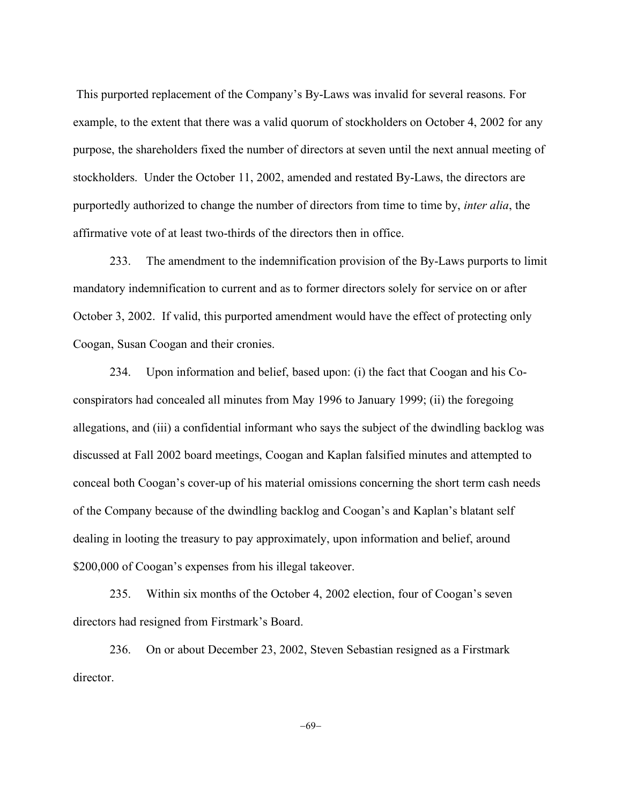This purported replacement of the Company's By-Laws was invalid for several reasons. For example, to the extent that there was a valid quorum of stockholders on October 4, 2002 for any purpose, the shareholders fixed the number of directors at seven until the next annual meeting of stockholders. Under the October 11, 2002, amended and restated By-Laws, the directors are purportedly authorized to change the number of directors from time to time by, *inter alia*, the affirmative vote of at least two-thirds of the directors then in office.

233. The amendment to the indemnification provision of the By-Laws purports to limit mandatory indemnification to current and as to former directors solely for service on or after October 3, 2002. If valid, this purported amendment would have the effect of protecting only Coogan, Susan Coogan and their cronies.

234. Upon information and belief, based upon: (i) the fact that Coogan and his Coconspirators had concealed all minutes from May 1996 to January 1999; (ii) the foregoing allegations, and (iii) a confidential informant who says the subject of the dwindling backlog was discussed at Fall 2002 board meetings, Coogan and Kaplan falsified minutes and attempted to conceal both Coogan's cover-up of his material omissions concerning the short term cash needs of the Company because of the dwindling backlog and Coogan's and Kaplan's blatant self dealing in looting the treasury to pay approximately, upon information and belief, around \$200,000 of Coogan's expenses from his illegal takeover.

235. Within six months of the October 4, 2002 election, four of Coogan's seven directors had resigned from Firstmark's Board.

236. On or about December 23, 2002, Steven Sebastian resigned as a Firstmark director.

-69-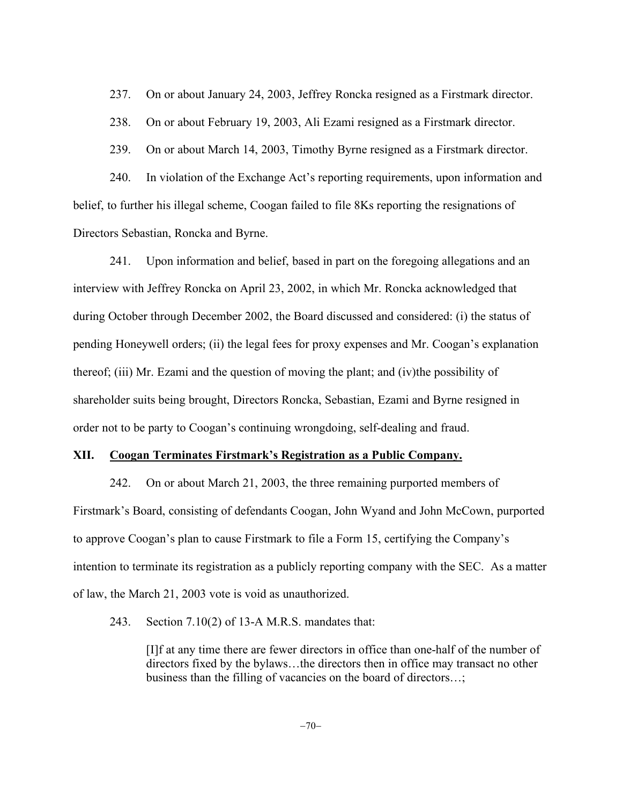237. On or about January 24, 2003, Jeffrey Roncka resigned as a Firstmark director.

238. On or about February 19, 2003, Ali Ezami resigned as a Firstmark director.

239. On or about March 14, 2003, Timothy Byrne resigned as a Firstmark director.

240. In violation of the Exchange Act's reporting requirements, upon information and belief, to further his illegal scheme, Coogan failed to file 8Ks reporting the resignations of Directors Sebastian, Roncka and Byrne.

241. Upon information and belief, based in part on the foregoing allegations and an interview with Jeffrey Roncka on April 23, 2002, in which Mr. Roncka acknowledged that during October through December 2002, the Board discussed and considered: (i) the status of pending Honeywell orders; (ii) the legal fees for proxy expenses and Mr. Coogan's explanation thereof; (iii) Mr. Ezami and the question of moving the plant; and (iv)the possibility of shareholder suits being brought, Directors Roncka, Sebastian, Ezami and Byrne resigned in order not to be party to Coogan's continuing wrongdoing, self-dealing and fraud.

#### **XII. Coogan Terminates Firstmark's Registration as a Public Company.**

242. On or about March 21, 2003, the three remaining purported members of Firstmark's Board, consisting of defendants Coogan, John Wyand and John McCown, purported to approve Coogan's plan to cause Firstmark to file a Form 15, certifying the Company's intention to terminate its registration as a publicly reporting company with the SEC. As a matter of law, the March 21, 2003 vote is void as unauthorized.

243. Section 7.10(2) of 13-A M.R.S. mandates that:

[I]f at any time there are fewer directors in office than one-half of the number of directors fixed by the bylaws…the directors then in office may transact no other business than the filling of vacancies on the board of directors…;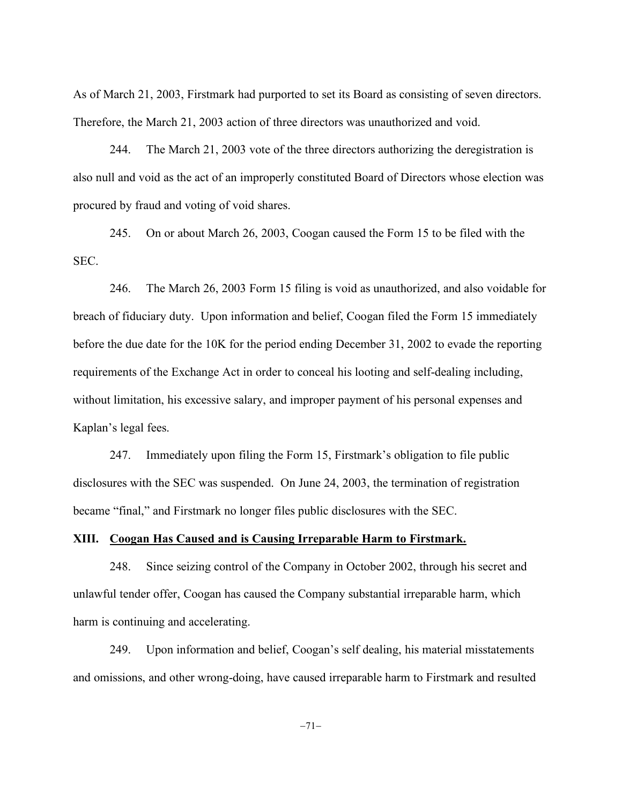As of March 21, 2003, Firstmark had purported to set its Board as consisting of seven directors. Therefore, the March 21, 2003 action of three directors was unauthorized and void.

244. The March 21, 2003 vote of the three directors authorizing the deregistration is also null and void as the act of an improperly constituted Board of Directors whose election was procured by fraud and voting of void shares.

245. On or about March 26, 2003, Coogan caused the Form 15 to be filed with the SEC.

246. The March 26, 2003 Form 15 filing is void as unauthorized, and also voidable for breach of fiduciary duty. Upon information and belief, Coogan filed the Form 15 immediately before the due date for the 10K for the period ending December 31, 2002 to evade the reporting requirements of the Exchange Act in order to conceal his looting and self-dealing including, without limitation, his excessive salary, and improper payment of his personal expenses and Kaplan's legal fees.

247. Immediately upon filing the Form 15, Firstmark's obligation to file public disclosures with the SEC was suspended. On June 24, 2003, the termination of registration became "final," and Firstmark no longer files public disclosures with the SEC.

## **XIII. Coogan Has Caused and is Causing Irreparable Harm to Firstmark.**

248. Since seizing control of the Company in October 2002, through his secret and unlawful tender offer, Coogan has caused the Company substantial irreparable harm, which harm is continuing and accelerating.

249. Upon information and belief, Coogan's self dealing, his material misstatements and omissions, and other wrong-doing, have caused irreparable harm to Firstmark and resulted

 $-71-$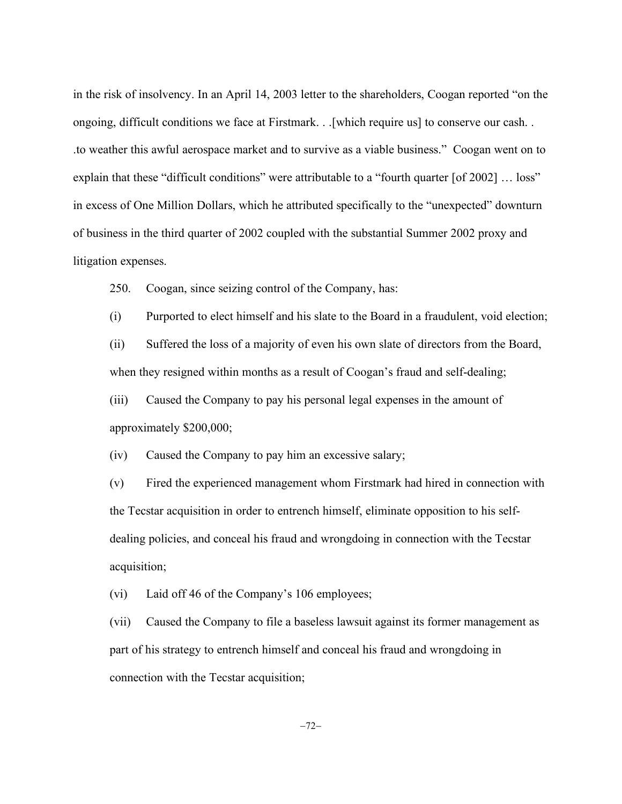in the risk of insolvency. In an April 14, 2003 letter to the shareholders, Coogan reported "on the ongoing, difficult conditions we face at Firstmark. . .[which require us] to conserve our cash. . .to weather this awful aerospace market and to survive as a viable business." Coogan went on to explain that these "difficult conditions" were attributable to a "fourth quarter [of 2002] ... loss" in excess of One Million Dollars, which he attributed specifically to the "unexpected" downturn of business in the third quarter of 2002 coupled with the substantial Summer 2002 proxy and litigation expenses.

250. Coogan, since seizing control of the Company, has:

(i) Purported to elect himself and his slate to the Board in a fraudulent, void election;

(ii) Suffered the loss of a majority of even his own slate of directors from the Board, when they resigned within months as a result of Coogan's fraud and self-dealing;

(iii) Caused the Company to pay his personal legal expenses in the amount of approximately \$200,000;

(iv) Caused the Company to pay him an excessive salary;

(v) Fired the experienced management whom Firstmark had hired in connection with the Tecstar acquisition in order to entrench himself, eliminate opposition to his selfdealing policies, and conceal his fraud and wrongdoing in connection with the Tecstar acquisition;

(vi) Laid off 46 of the Company's 106 employees;

(vii) Caused the Company to file a baseless lawsuit against its former management as part of his strategy to entrench himself and conceal his fraud and wrongdoing in connection with the Tecstar acquisition;

 $-72-$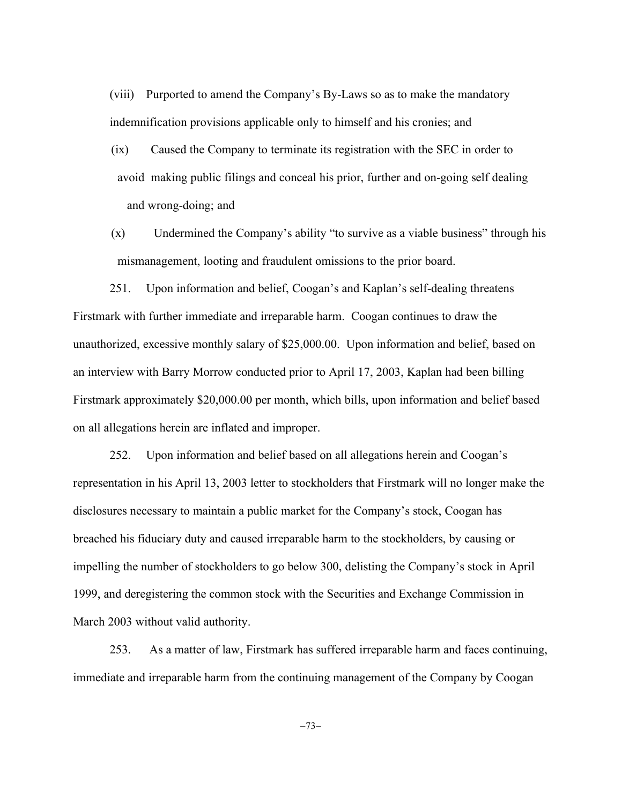(viii) Purported to amend the Company's By-Laws so as to make the mandatory indemnification provisions applicable only to himself and his cronies; and

- (ix) Caused the Company to terminate its registration with the SEC in order to avoid making public filings and conceal his prior, further and on-going self dealing and wrong-doing; and
- (x) Undermined the Company's ability "to survive as a viable business" through his mismanagement, looting and fraudulent omissions to the prior board.

251. Upon information and belief, Coogan's and Kaplan's self-dealing threatens Firstmark with further immediate and irreparable harm. Coogan continues to draw the unauthorized, excessive monthly salary of \$25,000.00. Upon information and belief, based on an interview with Barry Morrow conducted prior to April 17, 2003, Kaplan had been billing Firstmark approximately \$20,000.00 per month, which bills, upon information and belief based on all allegations herein are inflated and improper.

252. Upon information and belief based on all allegations herein and Coogan's representation in his April 13, 2003 letter to stockholders that Firstmark will no longer make the disclosures necessary to maintain a public market for the Company's stock, Coogan has breached his fiduciary duty and caused irreparable harm to the stockholders, by causing or impelling the number of stockholders to go below 300, delisting the Company's stock in April 1999, and deregistering the common stock with the Securities and Exchange Commission in March 2003 without valid authority.

253. As a matter of law, Firstmark has suffered irreparable harm and faces continuing, immediate and irreparable harm from the continuing management of the Company by Coogan

 $-73-$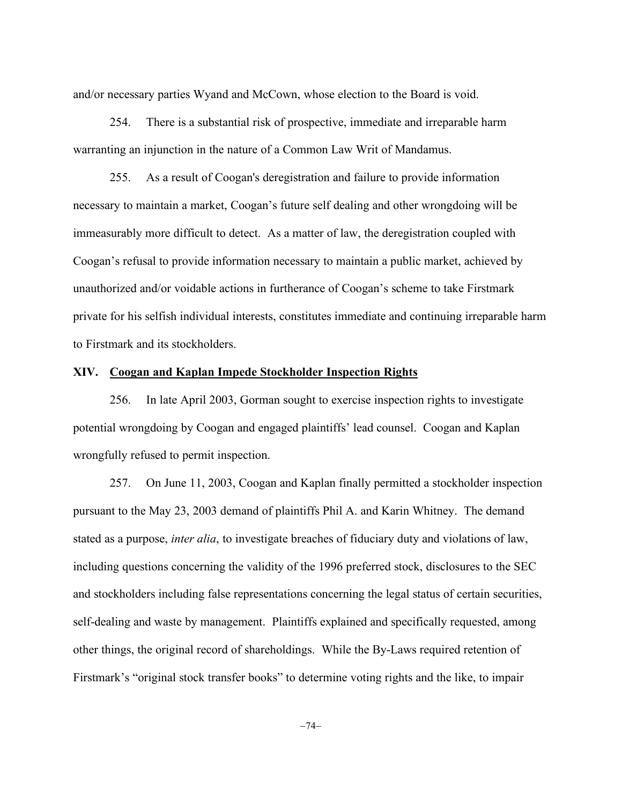and/or necessary parties Wyand and McCown, whose election to the Board is void.

254. There is a substantial risk of prospective, immediate and irreparable harm warranting an injunction in the nature of a Common Law Writ of Mandamus.

255. As a result of Coogan's deregistration and failure to provide information necessary to maintain a market, Coogan's future self dealing and other wrongdoing will be immeasurably more difficult to detect. As a matter of law, the deregistration coupled with Coogan's refusal to provide information necessary to maintain a public market, achieved by unauthorized and/or voidable actions in furtherance of Coogan's scheme to take Firstmark private for his selfish individual interests, constitutes immediate and continuing irreparable harm to Firstmark and its stockholders.

#### **XIV. Coogan and Kaplan Impede Stockholder Inspection Rights**

256. In late April 2003, Gorman sought to exercise inspection rights to investigate potential wrongdoing by Coogan and engaged plaintiffs' lead counsel. Coogan and Kaplan wrongfully refused to permit inspection.

257. On June 11, 2003, Coogan and Kaplan finally permitted a stockholder inspection pursuant to the May 23, 2003 demand of plaintiffs Phil A. and Karin Whitney. The demand stated as a purpose, *inter alia*, to investigate breaches of fiduciary duty and violations of law, including questions concerning the validity of the 1996 preferred stock, disclosures to the SEC and stockholders including false representations concerning the legal status of certain securities, self-dealing and waste by management. Plaintiffs explained and specifically requested, among other things, the original record of shareholdings. While the By-Laws required retention of Firstmark's "original stock transfer books" to determine voting rights and the like, to impair

 $-74-$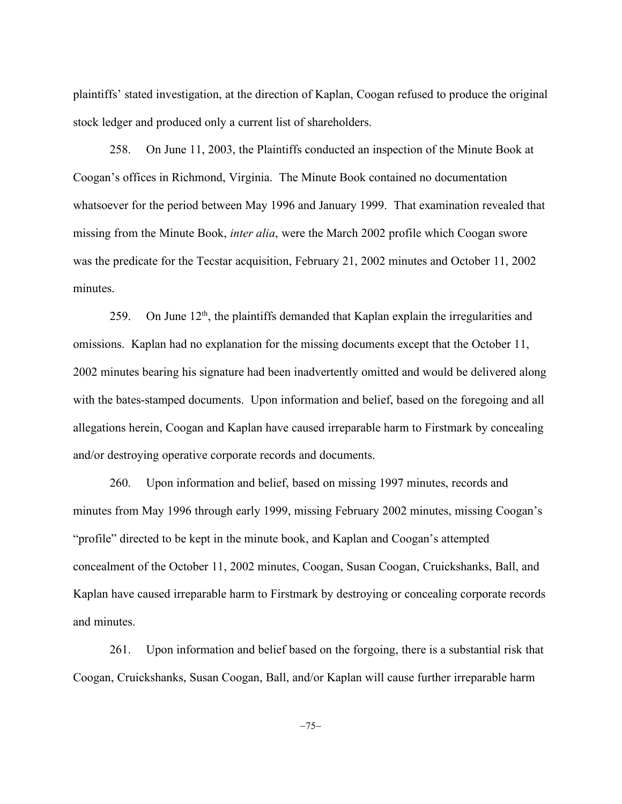plaintiffs' stated investigation, at the direction of Kaplan, Coogan refused to produce the original stock ledger and produced only a current list of shareholders.

258. On June 11, 2003, the Plaintiffs conducted an inspection of the Minute Book at Coogan's offices in Richmond, Virginia. The Minute Book contained no documentation whatsoever for the period between May 1996 and January 1999. That examination revealed that missing from the Minute Book, *inter alia*, were the March 2002 profile which Coogan swore was the predicate for the Tecstar acquisition, February 21, 2002 minutes and October 11, 2002 minutes.

259. On June  $12<sup>th</sup>$ , the plaintiffs demanded that Kaplan explain the irregularities and omissions. Kaplan had no explanation for the missing documents except that the October 11, 2002 minutes bearing his signature had been inadvertently omitted and would be delivered along with the bates-stamped documents. Upon information and belief, based on the foregoing and all allegations herein, Coogan and Kaplan have caused irreparable harm to Firstmark by concealing and/or destroying operative corporate records and documents.

260. Upon information and belief, based on missing 1997 minutes, records and minutes from May 1996 through early 1999, missing February 2002 minutes, missing Coogan's "profile" directed to be kept in the minute book, and Kaplan and Coogan's attempted concealment of the October 11, 2002 minutes, Coogan, Susan Coogan, Cruickshanks, Ball, and Kaplan have caused irreparable harm to Firstmark by destroying or concealing corporate records and minutes.

261. Upon information and belief based on the forgoing, there is a substantial risk that Coogan, Cruickshanks, Susan Coogan, Ball, and/or Kaplan will cause further irreparable harm

 $-75-$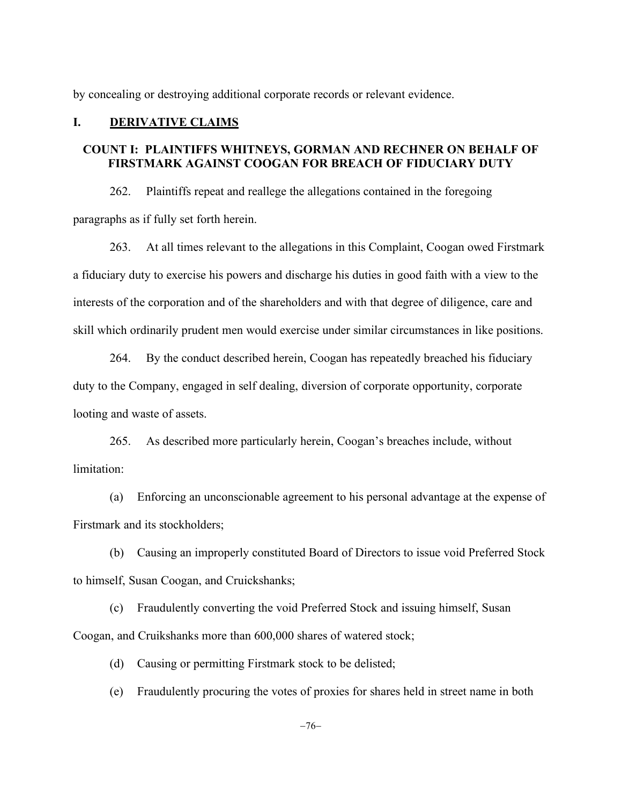by concealing or destroying additional corporate records or relevant evidence.

### **I. DERIVATIVE CLAIMS**

## **COUNT I: PLAINTIFFS WHITNEYS, GORMAN AND RECHNER ON BEHALF OF FIRSTMARK AGAINST COOGAN FOR BREACH OF FIDUCIARY DUTY**

262. Plaintiffs repeat and reallege the allegations contained in the foregoing paragraphs as if fully set forth herein.

263. At all times relevant to the allegations in this Complaint, Coogan owed Firstmark a fiduciary duty to exercise his powers and discharge his duties in good faith with a view to the interests of the corporation and of the shareholders and with that degree of diligence, care and skill which ordinarily prudent men would exercise under similar circumstances in like positions.

264. By the conduct described herein, Coogan has repeatedly breached his fiduciary duty to the Company, engaged in self dealing, diversion of corporate opportunity, corporate looting and waste of assets.

265. As described more particularly herein, Coogan's breaches include, without limitation:

(a) Enforcing an unconscionable agreement to his personal advantage at the expense of Firstmark and its stockholders;

(b) Causing an improperly constituted Board of Directors to issue void Preferred Stock to himself, Susan Coogan, and Cruickshanks;

(c) Fraudulently converting the void Preferred Stock and issuing himself, Susan Coogan, and Cruikshanks more than 600,000 shares of watered stock;

(d) Causing or permitting Firstmark stock to be delisted;

(e) Fraudulently procuring the votes of proxies for shares held in street name in both

 $-76-$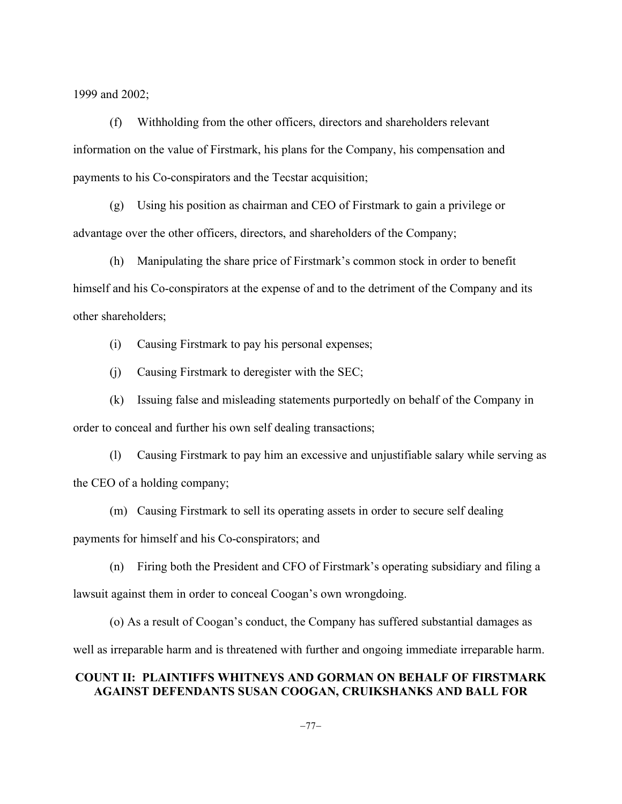1999 and 2002;

(f) Withholding from the other officers, directors and shareholders relevant information on the value of Firstmark, his plans for the Company, his compensation and payments to his Co-conspirators and the Tecstar acquisition;

(g) Using his position as chairman and CEO of Firstmark to gain a privilege or advantage over the other officers, directors, and shareholders of the Company;

(h) Manipulating the share price of Firstmark's common stock in order to benefit himself and his Co-conspirators at the expense of and to the detriment of the Company and its other shareholders;

(i) Causing Firstmark to pay his personal expenses;

(j) Causing Firstmark to deregister with the SEC;

(k) Issuing false and misleading statements purportedly on behalf of the Company in order to conceal and further his own self dealing transactions;

(l) Causing Firstmark to pay him an excessive and unjustifiable salary while serving as the CEO of a holding company;

(m) Causing Firstmark to sell its operating assets in order to secure self dealing payments for himself and his Co-conspirators; and

(n) Firing both the President and CFO of Firstmark's operating subsidiary and filing a lawsuit against them in order to conceal Coogan's own wrongdoing.

(o) As a result of Coogan's conduct, the Company has suffered substantial damages as well as irreparable harm and is threatened with further and ongoing immediate irreparable harm.

# **COUNT II: PLAINTIFFS WHITNEYS AND GORMAN ON BEHALF OF FIRSTMARK AGAINST DEFENDANTS SUSAN COOGAN, CRUIKSHANKS AND BALL FOR**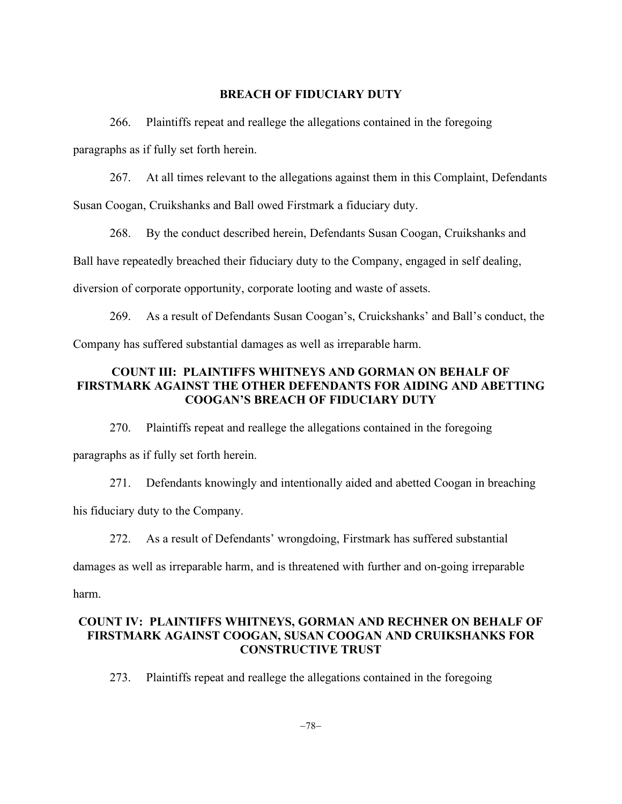#### **BREACH OF FIDUCIARY DUTY**

266. Plaintiffs repeat and reallege the allegations contained in the foregoing paragraphs as if fully set forth herein.

267. At all times relevant to the allegations against them in this Complaint, Defendants Susan Coogan, Cruikshanks and Ball owed Firstmark a fiduciary duty.

268. By the conduct described herein, Defendants Susan Coogan, Cruikshanks and Ball have repeatedly breached their fiduciary duty to the Company, engaged in self dealing, diversion of corporate opportunity, corporate looting and waste of assets.

269. As a result of Defendants Susan Coogan's, Cruickshanks' and Ball's conduct, the Company has suffered substantial damages as well as irreparable harm.

### **COUNT III: PLAINTIFFS WHITNEYS AND GORMAN ON BEHALF OF FIRSTMARK AGAINST THE OTHER DEFENDANTS FOR AIDING AND ABETTING COOGAN'S BREACH OF FIDUCIARY DUTY**

270. Plaintiffs repeat and reallege the allegations contained in the foregoing paragraphs as if fully set forth herein.

271. Defendants knowingly and intentionally aided and abetted Coogan in breaching his fiduciary duty to the Company.

272. As a result of Defendants' wrongdoing, Firstmark has suffered substantial damages as well as irreparable harm, and is threatened with further and on-going irreparable harm.

## **COUNT IV: PLAINTIFFS WHITNEYS, GORMAN AND RECHNER ON BEHALF OF FIRSTMARK AGAINST COOGAN, SUSAN COOGAN AND CRUIKSHANKS FOR CONSTRUCTIVE TRUST**

273. Plaintiffs repeat and reallege the allegations contained in the foregoing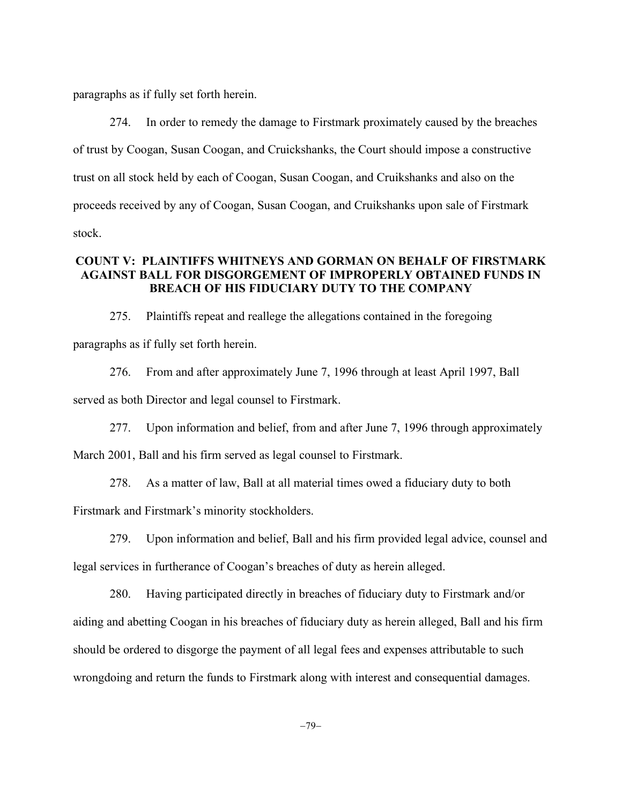paragraphs as if fully set forth herein.

274. In order to remedy the damage to Firstmark proximately caused by the breaches of trust by Coogan, Susan Coogan, and Cruickshanks, the Court should impose a constructive trust on all stock held by each of Coogan, Susan Coogan, and Cruikshanks and also on the proceeds received by any of Coogan, Susan Coogan, and Cruikshanks upon sale of Firstmark stock.

### **COUNT V: PLAINTIFFS WHITNEYS AND GORMAN ON BEHALF OF FIRSTMARK AGAINST BALL FOR DISGORGEMENT OF IMPROPERLY OBTAINED FUNDS IN BREACH OF HIS FIDUCIARY DUTY TO THE COMPANY**

275. Plaintiffs repeat and reallege the allegations contained in the foregoing paragraphs as if fully set forth herein.

276. From and after approximately June 7, 1996 through at least April 1997, Ball served as both Director and legal counsel to Firstmark.

277. Upon information and belief, from and after June 7, 1996 through approximately March 2001, Ball and his firm served as legal counsel to Firstmark.

278. As a matter of law, Ball at all material times owed a fiduciary duty to both

Firstmark and Firstmark's minority stockholders.

279. Upon information and belief, Ball and his firm provided legal advice, counsel and legal services in furtherance of Coogan's breaches of duty as herein alleged.

280. Having participated directly in breaches of fiduciary duty to Firstmark and/or aiding and abetting Coogan in his breaches of fiduciary duty as herein alleged, Ball and his firm should be ordered to disgorge the payment of all legal fees and expenses attributable to such wrongdoing and return the funds to Firstmark along with interest and consequential damages.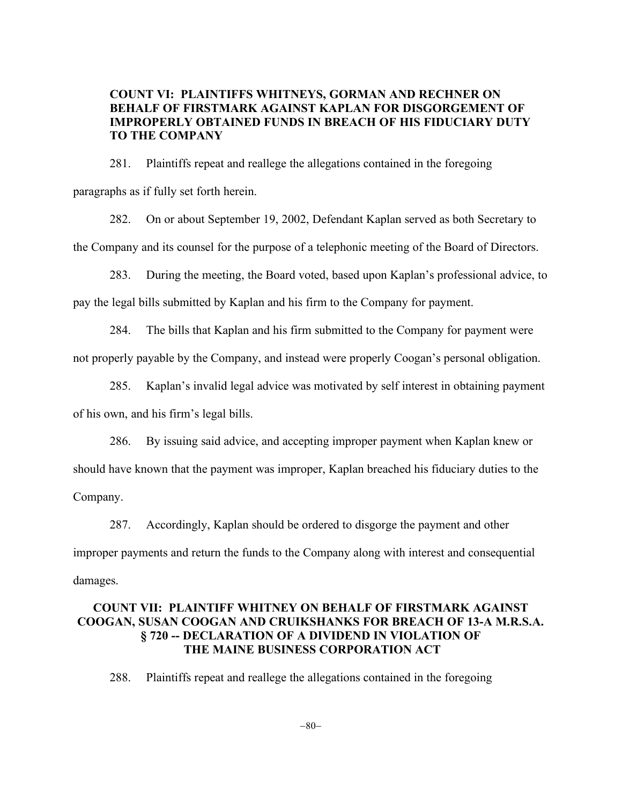## **COUNT VI: PLAINTIFFS WHITNEYS, GORMAN AND RECHNER ON BEHALF OF FIRSTMARK AGAINST KAPLAN FOR DISGORGEMENT OF IMPROPERLY OBTAINED FUNDS IN BREACH OF HIS FIDUCIARY DUTY TO THE COMPANY**

281. Plaintiffs repeat and reallege the allegations contained in the foregoing paragraphs as if fully set forth herein.

282. On or about September 19, 2002, Defendant Kaplan served as both Secretary to the Company and its counsel for the purpose of a telephonic meeting of the Board of Directors.

283. During the meeting, the Board voted, based upon Kaplan's professional advice, to pay the legal bills submitted by Kaplan and his firm to the Company for payment.

284. The bills that Kaplan and his firm submitted to the Company for payment were not properly payable by the Company, and instead were properly Coogan's personal obligation.

285. Kaplan's invalid legal advice was motivated by self interest in obtaining payment of his own, and his firm's legal bills.

286. By issuing said advice, and accepting improper payment when Kaplan knew or should have known that the payment was improper, Kaplan breached his fiduciary duties to the Company.

287. Accordingly, Kaplan should be ordered to disgorge the payment and other improper payments and return the funds to the Company along with interest and consequential damages.

## **COUNT VII: PLAINTIFF WHITNEY ON BEHALF OF FIRSTMARK AGAINST COOGAN, SUSAN COOGAN AND CRUIKSHANKS FOR BREACH OF 13-A M.R.S.A. § 720 -- DECLARATION OF A DIVIDEND IN VIOLATION OF THE MAINE BUSINESS CORPORATION ACT**

288. Plaintiffs repeat and reallege the allegations contained in the foregoing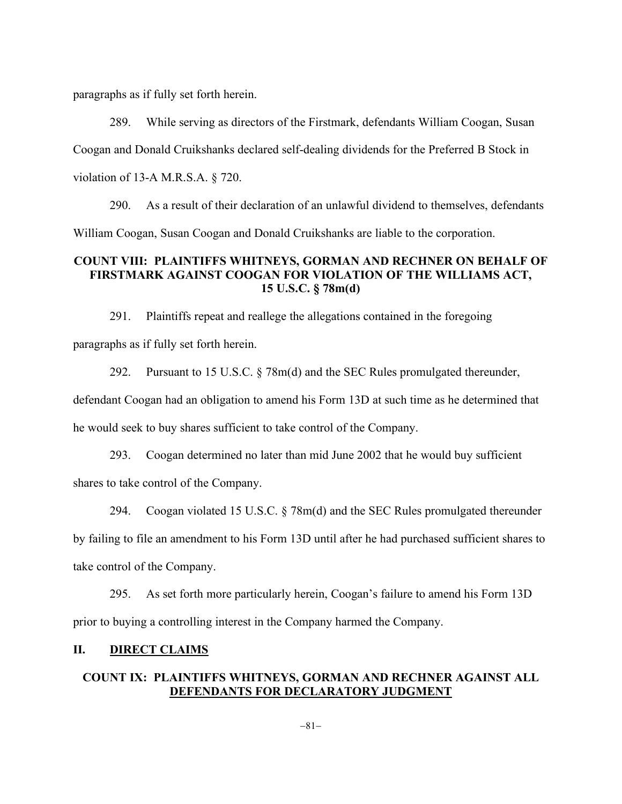paragraphs as if fully set forth herein.

289. While serving as directors of the Firstmark, defendants William Coogan, Susan Coogan and Donald Cruikshanks declared self-dealing dividends for the Preferred B Stock in violation of 13-A M.R.S.A. § 720.

290. As a result of their declaration of an unlawful dividend to themselves, defendants William Coogan, Susan Coogan and Donald Cruikshanks are liable to the corporation.

### **COUNT VIII: PLAINTIFFS WHITNEYS, GORMAN AND RECHNER ON BEHALF OF FIRSTMARK AGAINST COOGAN FOR VIOLATION OF THE WILLIAMS ACT, 15 U.S.C. § 78m(d)**

291. Plaintiffs repeat and reallege the allegations contained in the foregoing paragraphs as if fully set forth herein.

292. Pursuant to 15 U.S.C.  $\frac{8}{3}$  78m(d) and the SEC Rules promulgated thereunder, defendant Coogan had an obligation to amend his Form 13D at such time as he determined that he would seek to buy shares sufficient to take control of the Company.

293. Coogan determined no later than mid June 2002 that he would buy sufficient shares to take control of the Company.

294. Coogan violated 15 U.S.C. § 78m(d) and the SEC Rules promulgated thereunder by failing to file an amendment to his Form 13D until after he had purchased sufficient shares to take control of the Company.

295. As set forth more particularly herein, Coogan's failure to amend his Form 13D prior to buying a controlling interest in the Company harmed the Company.

# **II. DIRECT CLAIMS**

# **COUNT IX: PLAINTIFFS WHITNEYS, GORMAN AND RECHNER AGAINST ALL DEFENDANTS FOR DECLARATORY JUDGMENT**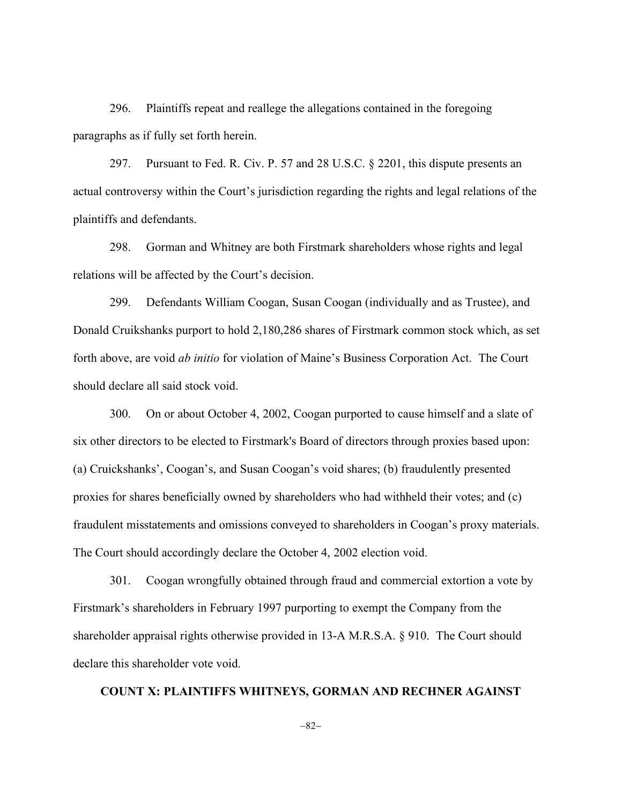296. Plaintiffs repeat and reallege the allegations contained in the foregoing paragraphs as if fully set forth herein.

297. Pursuant to Fed. R. Civ. P. 57 and 28 U.S.C. § 2201, this dispute presents an actual controversy within the Court's jurisdiction regarding the rights and legal relations of the plaintiffs and defendants.

298. Gorman and Whitney are both Firstmark shareholders whose rights and legal relations will be affected by the Court's decision.

299. Defendants William Coogan, Susan Coogan (individually and as Trustee), and Donald Cruikshanks purport to hold 2,180,286 shares of Firstmark common stock which, as set forth above, are void *ab initio* for violation of Maine's Business Corporation Act. The Court should declare all said stock void.

300. On or about October 4, 2002, Coogan purported to cause himself and a slate of six other directors to be elected to Firstmark's Board of directors through proxies based upon: (a) Cruickshanks', Coogan's, and Susan Coogan's void shares; (b) fraudulently presented proxies for shares beneficially owned by shareholders who had withheld their votes; and (c) fraudulent misstatements and omissions conveyed to shareholders in Coogan's proxy materials. The Court should accordingly declare the October 4, 2002 election void.

301. Coogan wrongfully obtained through fraud and commercial extortion a vote by Firstmark's shareholders in February 1997 purporting to exempt the Company from the shareholder appraisal rights otherwise provided in 13-A M.R.S.A. § 910. The Court should declare this shareholder vote void.

#### **COUNT X: PLAINTIFFS WHITNEYS, GORMAN AND RECHNER AGAINST**

 $-82-$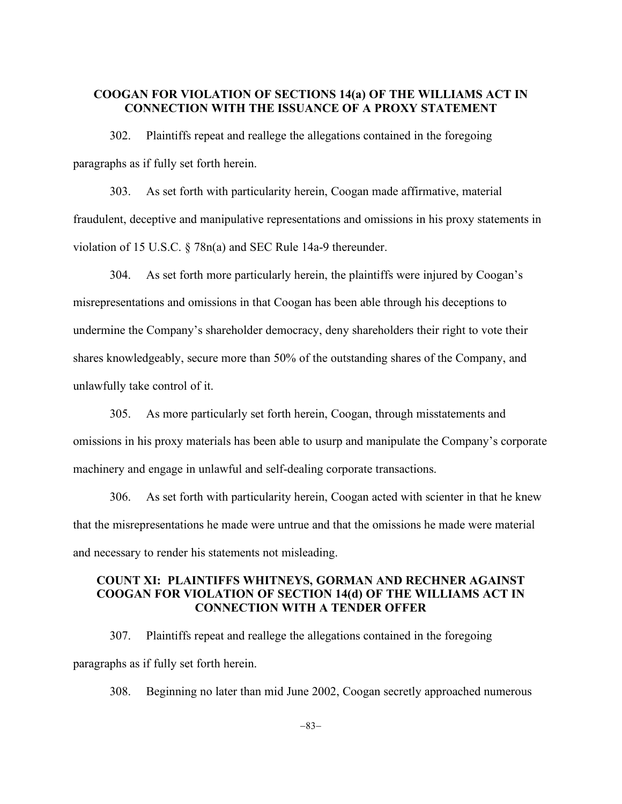### **COOGAN FOR VIOLATION OF SECTIONS 14(a) OF THE WILLIAMS ACT IN CONNECTION WITH THE ISSUANCE OF A PROXY STATEMENT**

302. Plaintiffs repeat and reallege the allegations contained in the foregoing paragraphs as if fully set forth herein.

303. As set forth with particularity herein, Coogan made affirmative, material fraudulent, deceptive and manipulative representations and omissions in his proxy statements in violation of 15 U.S.C. § 78n(a) and SEC Rule 14a-9 thereunder.

304. As set forth more particularly herein, the plaintiffs were injured by Coogan's misrepresentations and omissions in that Coogan has been able through his deceptions to undermine the Company's shareholder democracy, deny shareholders their right to vote their shares knowledgeably, secure more than 50% of the outstanding shares of the Company, and unlawfully take control of it.

305. As more particularly set forth herein, Coogan, through misstatements and omissions in his proxy materials has been able to usurp and manipulate the Company's corporate machinery and engage in unlawful and self-dealing corporate transactions.

306. As set forth with particularity herein, Coogan acted with scienter in that he knew that the misrepresentations he made were untrue and that the omissions he made were material and necessary to render his statements not misleading.

## **COUNT XI: PLAINTIFFS WHITNEYS, GORMAN AND RECHNER AGAINST COOGAN FOR VIOLATION OF SECTION 14(d) OF THE WILLIAMS ACT IN CONNECTION WITH A TENDER OFFER**

307. Plaintiffs repeat and reallege the allegations contained in the foregoing paragraphs as if fully set forth herein.

308. Beginning no later than mid June 2002, Coogan secretly approached numerous

 $-83-$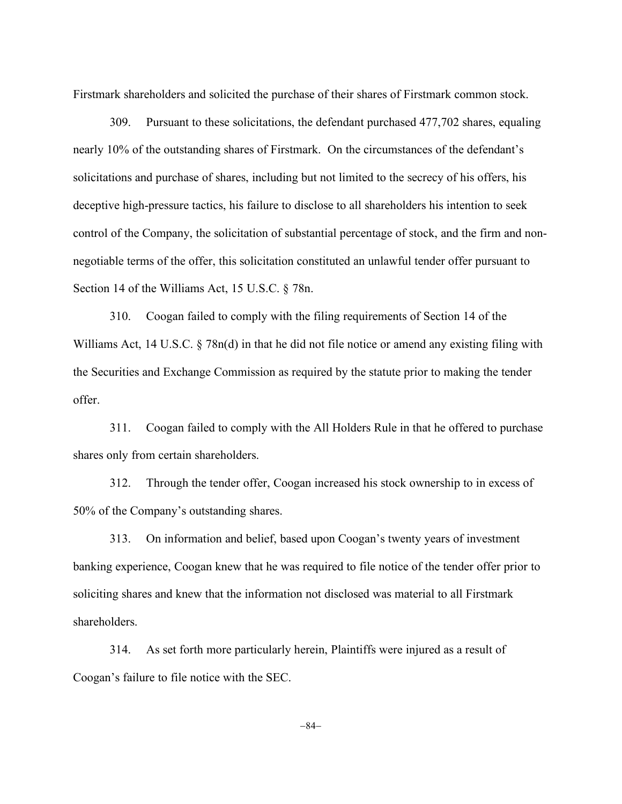Firstmark shareholders and solicited the purchase of their shares of Firstmark common stock.

309. Pursuant to these solicitations, the defendant purchased 477,702 shares, equaling nearly 10% of the outstanding shares of Firstmark. On the circumstances of the defendant's solicitations and purchase of shares, including but not limited to the secrecy of his offers, his deceptive high-pressure tactics, his failure to disclose to all shareholders his intention to seek control of the Company, the solicitation of substantial percentage of stock, and the firm and nonnegotiable terms of the offer, this solicitation constituted an unlawful tender offer pursuant to Section 14 of the Williams Act, 15 U.S.C. § 78n.

310. Coogan failed to comply with the filing requirements of Section 14 of the Williams Act, 14 U.S.C. § 78n(d) in that he did not file notice or amend any existing filing with the Securities and Exchange Commission as required by the statute prior to making the tender offer.

311. Coogan failed to comply with the All Holders Rule in that he offered to purchase shares only from certain shareholders.

312. Through the tender offer, Coogan increased his stock ownership to in excess of 50% of the Company's outstanding shares.

313. On information and belief, based upon Coogan's twenty years of investment banking experience, Coogan knew that he was required to file notice of the tender offer prior to soliciting shares and knew that the information not disclosed was material to all Firstmark shareholders.

314. As set forth more particularly herein, Plaintiffs were injured as a result of Coogan's failure to file notice with the SEC.

-84-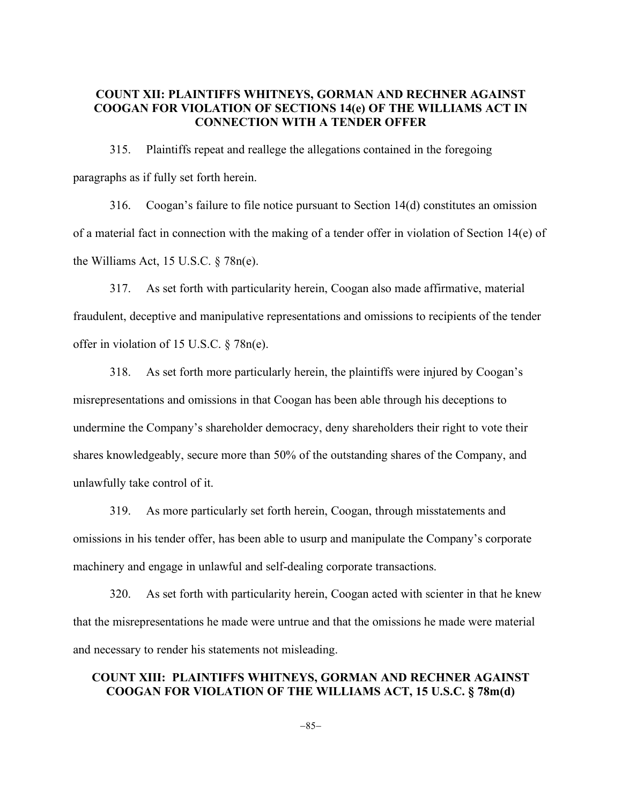### **COUNT XII: PLAINTIFFS WHITNEYS, GORMAN AND RECHNER AGAINST COOGAN FOR VIOLATION OF SECTIONS 14(e) OF THE WILLIAMS ACT IN CONNECTION WITH A TENDER OFFER**

315. Plaintiffs repeat and reallege the allegations contained in the foregoing paragraphs as if fully set forth herein.

316. Coogan's failure to file notice pursuant to Section 14(d) constitutes an omission of a material fact in connection with the making of a tender offer in violation of Section 14(e) of the Williams Act, 15 U.S.C.  $\S$  78n(e).

317. As set forth with particularity herein, Coogan also made affirmative, material fraudulent, deceptive and manipulative representations and omissions to recipients of the tender offer in violation of 15 U.S.C. § 78n(e).

318. As set forth more particularly herein, the plaintiffs were injured by Coogan's misrepresentations and omissions in that Coogan has been able through his deceptions to undermine the Company's shareholder democracy, deny shareholders their right to vote their shares knowledgeably, secure more than 50% of the outstanding shares of the Company, and unlawfully take control of it.

319. As more particularly set forth herein, Coogan, through misstatements and omissions in his tender offer, has been able to usurp and manipulate the Company's corporate machinery and engage in unlawful and self-dealing corporate transactions.

320. As set forth with particularity herein, Coogan acted with scienter in that he knew that the misrepresentations he made were untrue and that the omissions he made were material and necessary to render his statements not misleading.

## **COUNT XIII: PLAINTIFFS WHITNEYS, GORMAN AND RECHNER AGAINST COOGAN FOR VIOLATION OF THE WILLIAMS ACT, 15 U.S.C. § 78m(d)**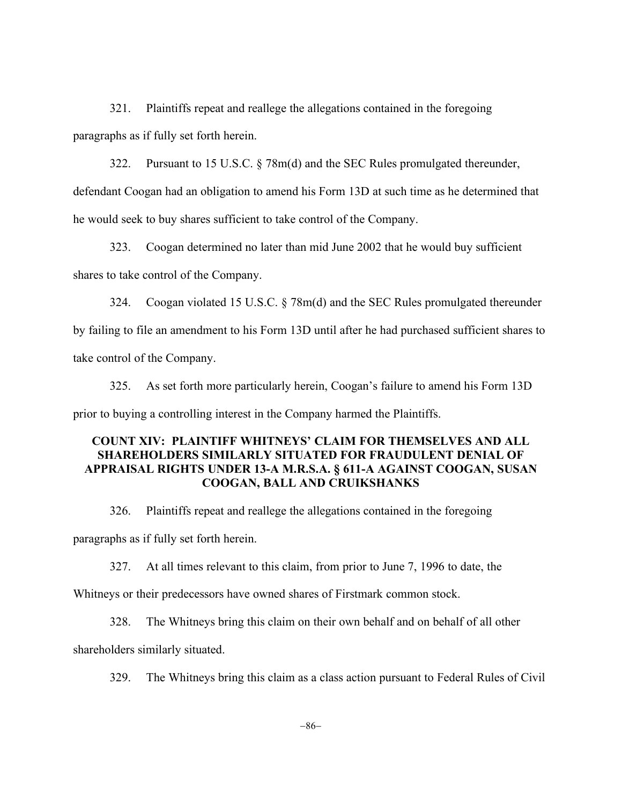321. Plaintiffs repeat and reallege the allegations contained in the foregoing paragraphs as if fully set forth herein.

322. Pursuant to 15 U.S.C. § 78m(d) and the SEC Rules promulgated thereunder, defendant Coogan had an obligation to amend his Form 13D at such time as he determined that

he would seek to buy shares sufficient to take control of the Company.

323. Coogan determined no later than mid June 2002 that he would buy sufficient shares to take control of the Company.

324. Coogan violated 15 U.S.C. § 78m(d) and the SEC Rules promulgated thereunder by failing to file an amendment to his Form 13D until after he had purchased sufficient shares to take control of the Company.

325. As set forth more particularly herein, Coogan's failure to amend his Form 13D prior to buying a controlling interest in the Company harmed the Plaintiffs.

# **COUNT XIV: PLAINTIFF WHITNEYS' CLAIM FOR THEMSELVES AND ALL SHAREHOLDERS SIMILARLY SITUATED FOR FRAUDULENT DENIAL OF APPRAISAL RIGHTS UNDER 13-A M.R.S.A. § 611-A AGAINST COOGAN, SUSAN COOGAN, BALL AND CRUIKSHANKS**

326. Plaintiffs repeat and reallege the allegations contained in the foregoing

paragraphs as if fully set forth herein.

327. At all times relevant to this claim, from prior to June 7, 1996 to date, the

Whitneys or their predecessors have owned shares of Firstmark common stock.

328. The Whitneys bring this claim on their own behalf and on behalf of all other

shareholders similarly situated.

329. The Whitneys bring this claim as a class action pursuant to Federal Rules of Civil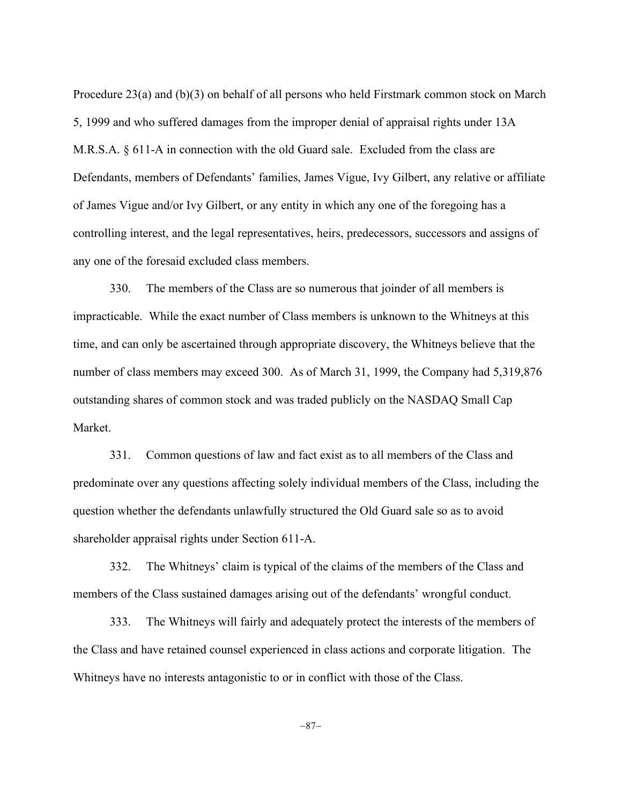Procedure 23(a) and (b)(3) on behalf of all persons who held Firstmark common stock on March 5, 1999 and who suffered damages from the improper denial of appraisal rights under 13A M.R.S.A. § 611-A in connection with the old Guard sale. Excluded from the class are Defendants, members of Defendants' families, James Vigue, Ivy Gilbert, any relative or affiliate of James Vigue and/or Ivy Gilbert, or any entity in which any one of the foregoing has a controlling interest, and the legal representatives, heirs, predecessors, successors and assigns of any one of the foresaid excluded class members.

330. The members of the Class are so numerous that joinder of all members is impracticable. While the exact number of Class members is unknown to the Whitneys at this time, and can only be ascertained through appropriate discovery, the Whitneys believe that the number of class members may exceed 300. As of March 31, 1999, the Company had 5,319,876 outstanding shares of common stock and was traded publicly on the NASDAQ Small Cap Market.

331. Common questions of law and fact exist as to all members of the Class and predominate over any questions affecting solely individual members of the Class, including the question whether the defendants unlawfully structured the Old Guard sale so as to avoid shareholder appraisal rights under Section 611-A.

332. The Whitneys' claim is typical of the claims of the members of the Class and members of the Class sustained damages arising out of the defendants' wrongful conduct.

333. The Whitneys will fairly and adequately protect the interests of the members of the Class and have retained counsel experienced in class actions and corporate litigation. The Whitneys have no interests antagonistic to or in conflict with those of the Class.

-87-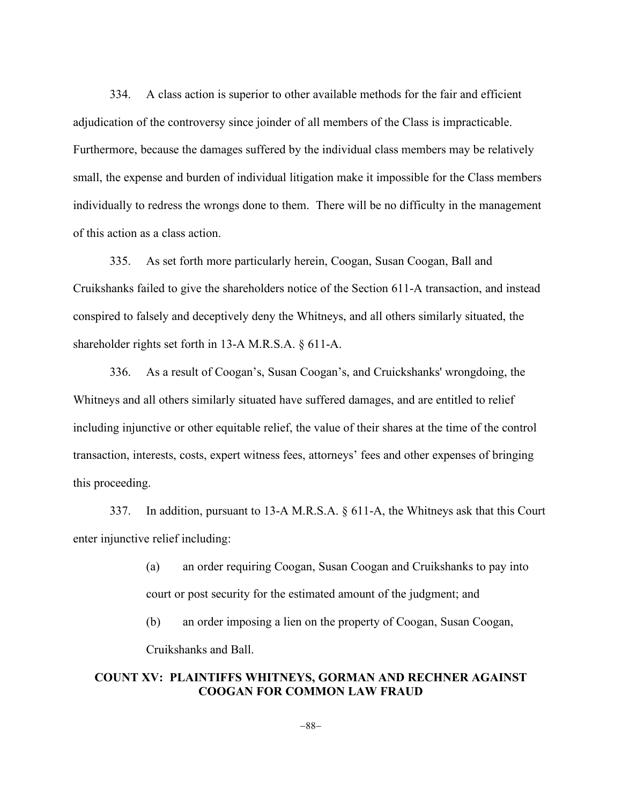334. A class action is superior to other available methods for the fair and efficient adjudication of the controversy since joinder of all members of the Class is impracticable. Furthermore, because the damages suffered by the individual class members may be relatively small, the expense and burden of individual litigation make it impossible for the Class members individually to redress the wrongs done to them. There will be no difficulty in the management of this action as a class action.

335. As set forth more particularly herein, Coogan, Susan Coogan, Ball and Cruikshanks failed to give the shareholders notice of the Section 611-A transaction, and instead conspired to falsely and deceptively deny the Whitneys, and all others similarly situated, the shareholder rights set forth in 13-A M.R.S.A. § 611-A.

336. As a result of Coogan's, Susan Coogan's, and Cruickshanks' wrongdoing, the Whitneys and all others similarly situated have suffered damages, and are entitled to relief including injunctive or other equitable relief, the value of their shares at the time of the control transaction, interests, costs, expert witness fees, attorneys' fees and other expenses of bringing this proceeding.

337. In addition, pursuant to 13-A M.R.S.A. § 611-A, the Whitneys ask that this Court enter injunctive relief including:

> (a) an order requiring Coogan, Susan Coogan and Cruikshanks to pay into court or post security for the estimated amount of the judgment; and

(b) an order imposing a lien on the property of Coogan, Susan Coogan, Cruikshanks and Ball.

## **COUNT XV: PLAINTIFFS WHITNEYS, GORMAN AND RECHNER AGAINST COOGAN FOR COMMON LAW FRAUD**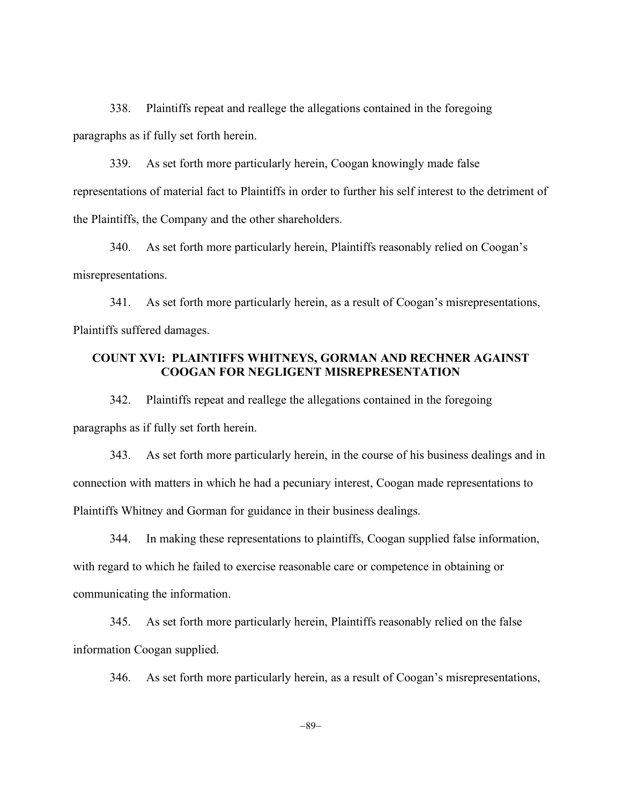338. Plaintiffs repeat and reallege the allegations contained in the foregoing paragraphs as if fully set forth herein.

339. As set forth more particularly herein, Coogan knowingly made false representations of material fact to Plaintiffs in order to further his self interest to the detriment of the Plaintiffs, the Company and the other shareholders.

340. As set forth more particularly herein, Plaintiffs reasonably relied on Coogan's misrepresentations.

341. As set forth more particularly herein, as a result of Coogan's misrepresentations, Plaintiffs suffered damages.

# **COUNT XVI: PLAINTIFFS WHITNEYS, GORMAN AND RECHNER AGAINST COOGAN FOR NEGLIGENT MISREPRESENTATION**

342. Plaintiffs repeat and reallege the allegations contained in the foregoing paragraphs as if fully set forth herein.

343. As set forth more particularly herein, in the course of his business dealings and in connection with matters in which he had a pecuniary interest, Coogan made representations to Plaintiffs Whitney and Gorman for guidance in their business dealings.

344. In making these representations to plaintiffs, Coogan supplied false information, with regard to which he failed to exercise reasonable care or competence in obtaining or communicating the information.

345. As set forth more particularly herein, Plaintiffs reasonably relied on the false information Coogan supplied.

346. As set forth more particularly herein, as a result of Coogan's misrepresentations,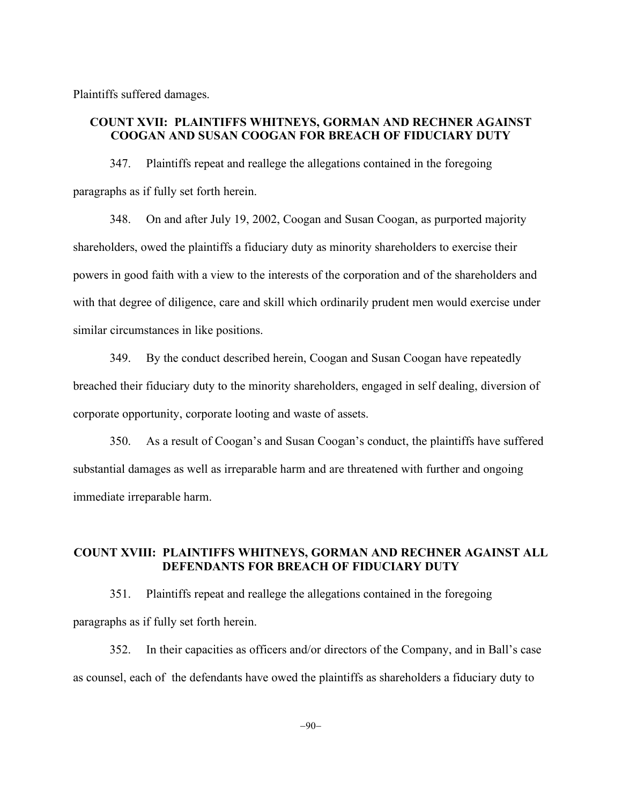Plaintiffs suffered damages.

## **COUNT XVII: PLAINTIFFS WHITNEYS, GORMAN AND RECHNER AGAINST COOGAN AND SUSAN COOGAN FOR BREACH OF FIDUCIARY DUTY**

347. Plaintiffs repeat and reallege the allegations contained in the foregoing paragraphs as if fully set forth herein.

348. On and after July 19, 2002, Coogan and Susan Coogan, as purported majority shareholders, owed the plaintiffs a fiduciary duty as minority shareholders to exercise their powers in good faith with a view to the interests of the corporation and of the shareholders and with that degree of diligence, care and skill which ordinarily prudent men would exercise under similar circumstances in like positions.

349. By the conduct described herein, Coogan and Susan Coogan have repeatedly breached their fiduciary duty to the minority shareholders, engaged in self dealing, diversion of corporate opportunity, corporate looting and waste of assets.

350. As a result of Coogan's and Susan Coogan's conduct, the plaintiffs have suffered substantial damages as well as irreparable harm and are threatened with further and ongoing immediate irreparable harm.

# **COUNT XVIII: PLAINTIFFS WHITNEYS, GORMAN AND RECHNER AGAINST ALL DEFENDANTS FOR BREACH OF FIDUCIARY DUTY**

351. Plaintiffs repeat and reallege the allegations contained in the foregoing paragraphs as if fully set forth herein.

352. In their capacities as officers and/or directors of the Company, and in Ball's case as counsel, each of the defendants have owed the plaintiffs as shareholders a fiduciary duty to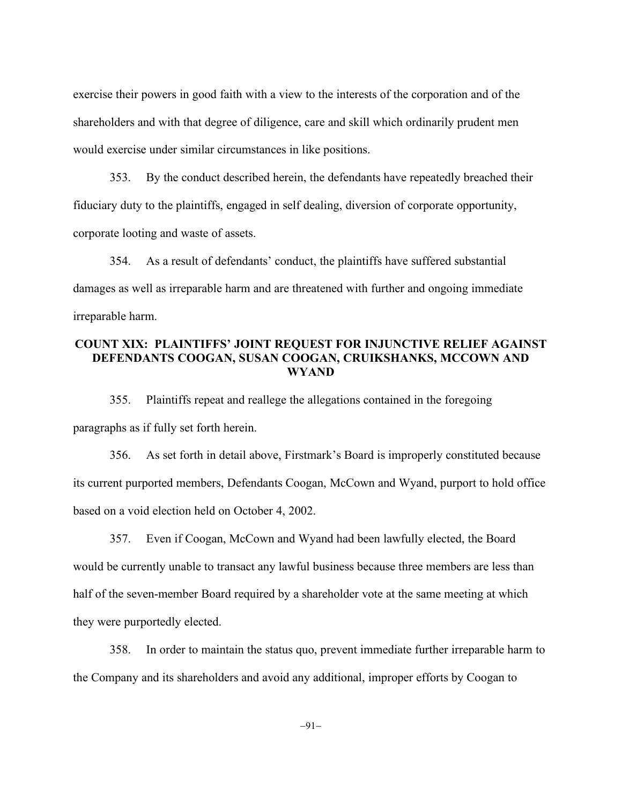exercise their powers in good faith with a view to the interests of the corporation and of the shareholders and with that degree of diligence, care and skill which ordinarily prudent men would exercise under similar circumstances in like positions.

353. By the conduct described herein, the defendants have repeatedly breached their fiduciary duty to the plaintiffs, engaged in self dealing, diversion of corporate opportunity, corporate looting and waste of assets.

354. As a result of defendants' conduct, the plaintiffs have suffered substantial damages as well as irreparable harm and are threatened with further and ongoing immediate irreparable harm.

## **COUNT XIX: PLAINTIFFS' JOINT REQUEST FOR INJUNCTIVE RELIEF AGAINST DEFENDANTS COOGAN, SUSAN COOGAN, CRUIKSHANKS, MCCOWN AND WYAND**

355. Plaintiffs repeat and reallege the allegations contained in the foregoing paragraphs as if fully set forth herein.

356. As set forth in detail above, Firstmark's Board is improperly constituted because its current purported members, Defendants Coogan, McCown and Wyand, purport to hold office based on a void election held on October 4, 2002.

357. Even if Coogan, McCown and Wyand had been lawfully elected, the Board would be currently unable to transact any lawful business because three members are less than half of the seven-member Board required by a shareholder vote at the same meeting at which they were purportedly elected.

358. In order to maintain the status quo, prevent immediate further irreparable harm to the Company and its shareholders and avoid any additional, improper efforts by Coogan to

 $-91-$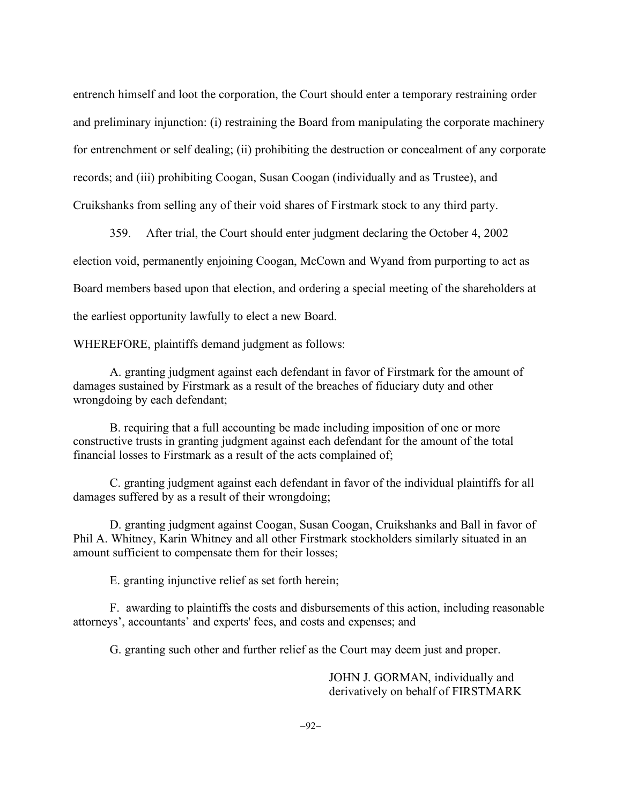entrench himself and loot the corporation, the Court should enter a temporary restraining order and preliminary injunction: (i) restraining the Board from manipulating the corporate machinery for entrenchment or self dealing; (ii) prohibiting the destruction or concealment of any corporate records; and (iii) prohibiting Coogan, Susan Coogan (individually and as Trustee), and Cruikshanks from selling any of their void shares of Firstmark stock to any third party.

359. After trial, the Court should enter judgment declaring the October 4, 2002 election void, permanently enjoining Coogan, McCown and Wyand from purporting to act as Board members based upon that election, and ordering a special meeting of the shareholders at the earliest opportunity lawfully to elect a new Board.

WHEREFORE, plaintiffs demand judgment as follows:

A. granting judgment against each defendant in favor of Firstmark for the amount of damages sustained by Firstmark as a result of the breaches of fiduciary duty and other wrongdoing by each defendant;

B. requiring that a full accounting be made including imposition of one or more constructive trusts in granting judgment against each defendant for the amount of the total financial losses to Firstmark as a result of the acts complained of;

C. granting judgment against each defendant in favor of the individual plaintiffs for all damages suffered by as a result of their wrongdoing;

D. granting judgment against Coogan, Susan Coogan, Cruikshanks and Ball in favor of Phil A. Whitney, Karin Whitney and all other Firstmark stockholders similarly situated in an amount sufficient to compensate them for their losses;

E. granting injunctive relief as set forth herein;

F. awarding to plaintiffs the costs and disbursements of this action, including reasonable attorneys', accountants' and experts' fees, and costs and expenses; and

G. granting such other and further relief as the Court may deem just and proper.

JOHN J. GORMAN, individually and derivatively on behalf of FIRSTMARK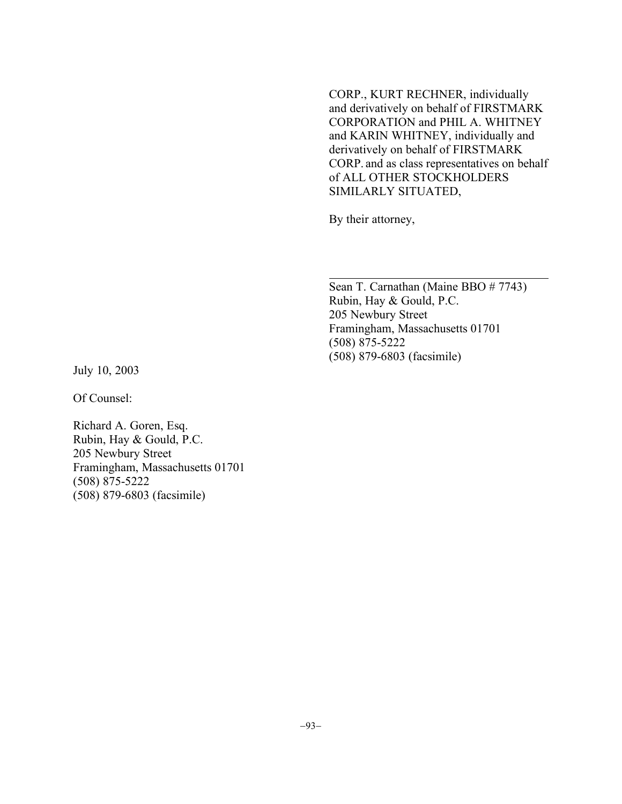CORP., KURT RECHNER, individually and derivatively on behalf of FIRSTMARK CORPORATION and PHIL A. WHITNEY and KARIN WHITNEY, individually and derivatively on behalf of FIRSTMARK CORP. and as class representatives on behalf of ALL OTHER STOCKHOLDERS SIMILARLY SITUATED,

By their attorney,

Sean T. Carnathan (Maine BBO # 7743) Rubin, Hay & Gould, P.C. 205 Newbury Street Framingham, Massachusetts 01701 (508) 875-5222 (508) 879-6803 (facsimile)

July 10, 2003

Of Counsel:

Richard A. Goren, Esq. Rubin, Hay & Gould, P.C. 205 Newbury Street Framingham, Massachusetts 01701 (508) 875-5222 (508) 879-6803 (facsimile)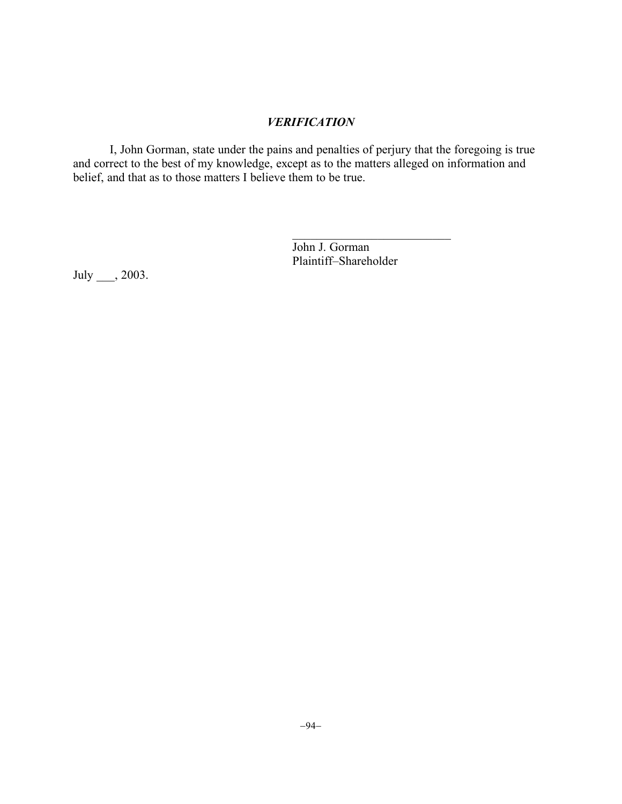# *VERIFICATION*

I, John Gorman, state under the pains and penalties of perjury that the foregoing is true and correct to the best of my knowledge, except as to the matters alleged on information and belief, and that as to those matters I believe them to be true.

> John J. Gorman Plaintiff–Shareholder

 $\mathcal{L}_\text{max}$ 

July \_\_\_, 2003.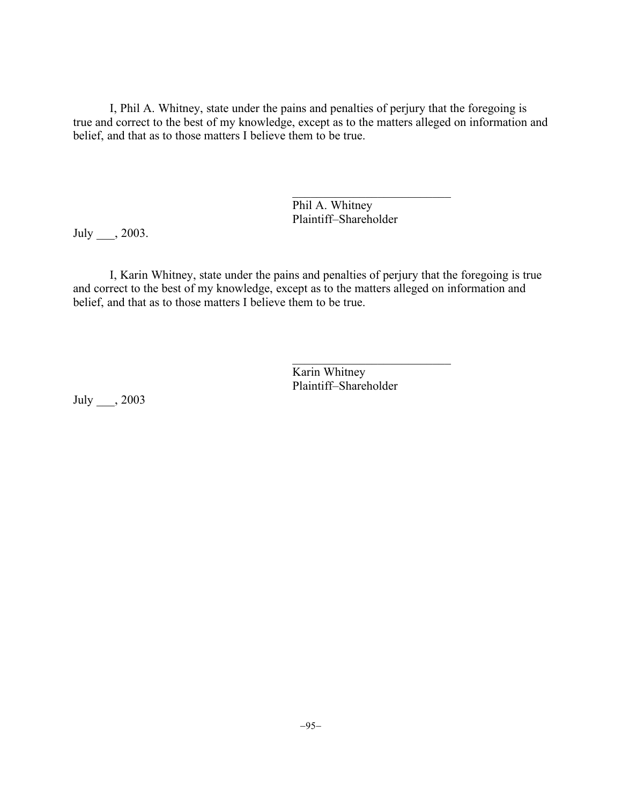I, Phil A. Whitney, state under the pains and penalties of perjury that the foregoing is true and correct to the best of my knowledge, except as to the matters alleged on information and belief, and that as to those matters I believe them to be true.

> Phil A. Whitney Plaintiff–Shareholder

 $\mathcal{L}_\text{max}$  , where  $\mathcal{L}_\text{max}$  and  $\mathcal{L}_\text{max}$ 

July \_\_\_, 2003.

I, Karin Whitney, state under the pains and penalties of perjury that the foregoing is true and correct to the best of my knowledge, except as to the matters alleged on information and belief, and that as to those matters I believe them to be true.

> Karin Whitney Plaintiff–Shareholder

 $\mathcal{L}_\text{max}$  , where  $\mathcal{L}_\text{max}$  and  $\mathcal{L}_\text{max}$ 

July \_\_\_, 2003